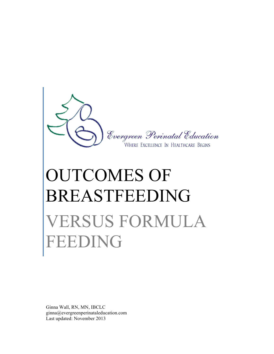

# TCOMES OF REASTFEEDING **ISUS FORMULA** ING

Ginna Wall, RN, MN, IBCLC ginna@evergreenperinataleducation.com Last updated: November 2013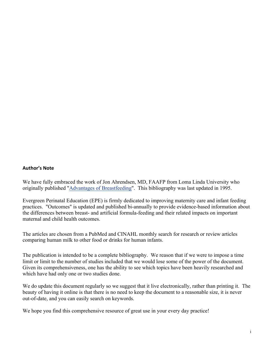## **Author's Note**

We have fully embraced the work of Jon Ahrendsen, MD, FAAFP from Loma Linda University who originally published "Advantages of Breastfeeding". This bibliography was last updated in 1995.

Evergreen Perinatal Education (EPE) is firmly dedicated to improving maternity care and infant feeding practices. "Outcomes" is updated and published bi-annually to provide evidence-based information about the differences between breast- and artificial formula-feeding and their related impacts on important maternal and child health outcomes.

The articles are chosen from a PubMed and CINAHL monthly search for research or review articles comparing human milk to other food or drinks for human infants.

The publication is intended to be a complete bibliography. We reason that if we were to impose a time limit or limit to the number of studies included that we would lose some of the power of the document. Given its comprehensiveness, one has the ability to see which topics have been heavily researched and which have had only one or two studies done.

We do update this document regularly so we suggest that it live electronically, rather than printing it. The beauty of having it online is that there is no need to keep the document to a reasonable size, it is never out-of-date, and you can easily search on keywords.

We hope you find this comprehensive resource of great use in your every day practice!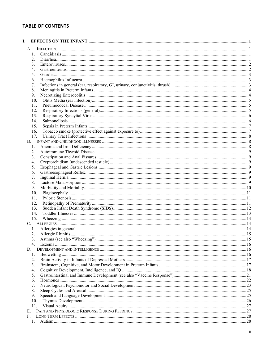# **TABLE OF CONTENTS**

| I.                 |  |
|--------------------|--|
| А.                 |  |
| 1.                 |  |
| 2.                 |  |
| 3.                 |  |
| 4.                 |  |
| 5.                 |  |
| 6.                 |  |
| 7.                 |  |
| 8.                 |  |
| 9.                 |  |
| 10.                |  |
| 11.                |  |
| 12.                |  |
| 13.                |  |
| 14.                |  |
| 15.                |  |
| 16.                |  |
| 17.                |  |
| <b>B</b> .         |  |
| 1.                 |  |
| 2.                 |  |
| 3.                 |  |
| 4.                 |  |
| 5.                 |  |
| 6.                 |  |
| 7.                 |  |
| 8.                 |  |
|                    |  |
| 9.<br>10.          |  |
| 11.                |  |
| 12.                |  |
| 13.                |  |
| 14.                |  |
| 15.                |  |
| C.                 |  |
|                    |  |
| 2.                 |  |
|                    |  |
| $\overline{4}$ .   |  |
| D.                 |  |
| 1.                 |  |
| 2.                 |  |
| 3.                 |  |
|                    |  |
| 4.                 |  |
| 5.<br>6.           |  |
| 7.                 |  |
|                    |  |
| 8.                 |  |
| 9.                 |  |
| 10.                |  |
| 11.                |  |
| Е.<br>$F_{\rm{c}}$ |  |
|                    |  |
| 1.                 |  |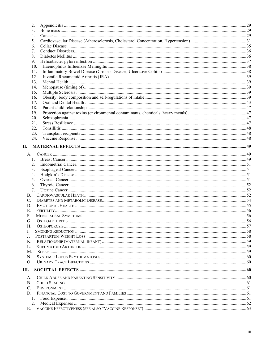| 2.               |                       |      |
|------------------|-----------------------|------|
| 3.               |                       |      |
| 4.               |                       |      |
| 5.               |                       |      |
| 6.               |                       |      |
| 7.               |                       |      |
| 8.               |                       |      |
| 9.               |                       |      |
| 10.              |                       |      |
| 11.              |                       |      |
| 12.              |                       |      |
| 13.              |                       |      |
| 14.              |                       |      |
| 15.              |                       |      |
| 16.              |                       |      |
| 17.              |                       |      |
| 18.              |                       |      |
| 19.              |                       |      |
| 20.              |                       |      |
| 21.              |                       |      |
| 22.              |                       |      |
| 23.              |                       |      |
| 24.              |                       |      |
| П.               |                       |      |
| A.               |                       |      |
| 1.               |                       |      |
| 2.               |                       |      |
| 3.               |                       |      |
| $\overline{4}$ . |                       |      |
| 5.               |                       |      |
| 6.               |                       |      |
| 7.               |                       |      |
| В.               |                       |      |
| $C_{\cdot}$      |                       |      |
| D.               |                       |      |
| Е.               |                       |      |
| F.               |                       |      |
| G.               | <b>OSTEOARTHRITIS</b> | . 56 |
| Н.               |                       |      |
| I.               |                       |      |
| J.               |                       |      |
| Κ.               |                       |      |
| L.               |                       |      |
| M.               |                       |      |
| N.               |                       |      |
| O.               |                       |      |
| Ш.               |                       |      |
| А.               |                       |      |
| В.               |                       |      |
| $\mathcal{C}$ .  |                       |      |
| D.               |                       |      |
| 1.               |                       |      |
| 2.               |                       |      |
| Е.               |                       |      |
|                  |                       |      |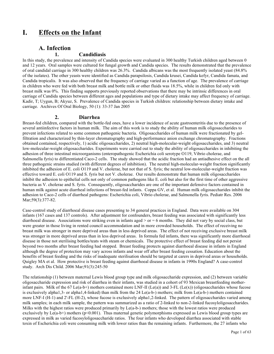# **I. Effects on the Infant**

# **A. Infection**

#### **1. Candidiasis**

In this study, the prevalence and intensity of Candida species were evaluated in 300 healthy Turkish children aged between 0 and 12 years. Oral samples were cultured for fungal growth and Candida species. The results demonstrated that the prevalence of oral candidal carriage in 300 healthy children was 26.3%. Candida albicans was the most frequently isolated yeast (84.8% of the isolates). The other yeasts were identified as Candida parapsilosis, Candida krusei, Candida kefyr, Candida famata, and Candida tropicalis. It was also observed that the frequency of carriage varied as a function of age. The prevalence of carriage in children who were fed with both breast milk and bottle milk or other fluids was 18.5%, while in children fed only with breast milk was 0%. This finding supports previously reported observations that there may be intrinsic differences in oral carriage of Candida species between different ages and populations and type of dietary intake may affect frequency of carriage. Kadir, T; Uygun, B; Akyuz, S. Prevalence of Candida species in Turkish children: relationship between dietary intake and carriage. Archives Of Oral Biology, 50 (1): 33-37 Jan 2005

#### **2. Diarrhea**

Breast-fed children, compared with the bottle-fed ones, have a lower incidence of acute gastroenteritis due to the presence of several antiinfective factors in human milk. The aim of this work is to study the ability of human milk oligosaccharides to prevent infections related to some common pathogenic bacteria. Oligosaccharides of human milk were fractionated by gelfiltration and characterized by thin-layer chromatography and high-performance anion exchange chromatography. Fractions obtained contained, respectively, 1) acidic oligosaccharides, 2) neutral high-molecular-weight oligosaccharides, and 3) neutral low-molecular-weight oligosaccharides. Experiments were carried out to study the ability of oligosaccharides in inhibiting the adhesion of three intestinal microorganisms (enteropathogenic Escherichia coli serotype O119, Vibrio cholerae, and Salmonella fyris) to differentiated Caco-2 cells. The study showed that the acidic fraction had an antiadhesive effect on the all three pathogenic strains studied (with different degrees of inhibition). The neutral high-molecular-weight fraction significantly inhibited the adhesion of E. coli O119 and V. cholerae, but not that of S. fyris; the neutral low-molecular-weight fraction was effective toward E. coli O119 and S. fyris but not V. cholerae. Our results demonstrate that human milk oligosaccharides inhibit the adhesion to epithelial cells not only of common pathogens like E. coli but also for the first time of other aggressive bacteria as V. cholerae and S. fyris. Consequently, oligosaccharides are one of the important defensive factors contained in human milk against acute diarrheal infections of breast-fed infants. Coppa GV, et al. Human milk oligosaccharides inhibit the adhesion to Caco-2 cells of diarrheal pathogens: Escherichia coli, Vibrio cholerae, and Salmonella fyris. Pediatr Res. 2006 Mar; 59(3): 377-82.

Case-control study of diarrhoeal disease cases presenting to 34 general practices in England. Data were available on 304 infants (167 cases and 137 controls). After adjustment for confounders, breast feeding was associated with significantly less diarrhoeal disease. Associations were striking even in infants aged  $>$  or  $=$  6 months. They did not vary by social class, but were greater in those living in rented council accommodation and in more crowded households. The effect of receiving no breast milk was stronger in more deprived areas than in less deprived areas. The effect of not receiving exclusive breast milk was stronger in more deprived areas than in less deprived areas. In formula fed infants, there was significantly more diarrhoeal disease in those not sterilising bottles/teats with steam or chemicals. The protective effect of breast feeding did not persist beyond two months after breast feeding had stopped. Breast feeding protects against diarrhoeal disease in infants in England although the degree of protection may vary across infants and wear off after breast feeding cessation. Education about the benefits of breast feeding and the risks of inadequate sterilisation should be targeted at carers in deprived areas or households. Quigley MA et al. How protective is breast feeding against diarrhoeal disease in infants in 1990s England? A case-control study. Arch Dis Child. 2006 Mar;91(3):245-50

The relationship (1) between maternal Lewis blood group type and milk oligosaccharide expression, and (2) between variable oligosaccharide expression and risk of diarrhea in their infants, was studied in a cohort of 93 Mexican breastfeeding motherinfant pairs. Milk of the 67 Le(a-b+) mothers contained more LNF-II (Le(a)) and 3-FL (Le(x)) (oligosaccharides whose fucose is exclusively alpha1,3- or alpha1,4-linked) than milk from the 24 Le(a-b-) mothers; milk from Le(a-b-) mothers contained more LNF-I (H-1) and 2'-FL (H-2), whose fucose is exclusively alpha1,2-linked. The pattern of oligosaccharides varied among milk samples; in each milk sample, the pattern was summarized as a ratio of 2-linked to non-2-linked fucosyloligosaccharides. Milks with the highest ratios were produced primarily by Le(a-b-) mothers; those with the lowest ratios were produced exclusively by Le(a-b+) mothers ( $p<0.001$ ). Thus maternal genetic polymorphisms expressed as Lewis blood group types are expressed in milk as varied fucosyloligosaccharide ratios. The four infants who developed diarrhea associated with stable toxin of Escherichia coli were consuming milk with lower ratios than the remaining infants. Furthermore, the 27 infants who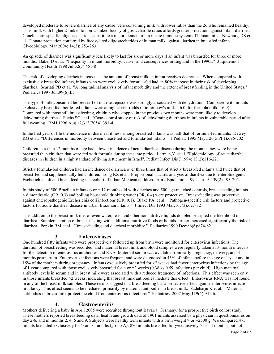developed moderate to severe diarrhea of any cause were consuming milk with lower ratios than the 26 who remained healthy. Thus, milk with higher 2-linked to non-2-linked fucosyloligosaccharide ratios affords greater protection against infant diarrhea. Conclusion: specific oligosaccharides constitute a major element of an innate immune system of human milk. Newburg-DS et al. "Innate protection conferred by fucosylated oligosaccharides of human milk against diarrhea in breastfed infants." Glycobiology. Mar 2004; 14(3): 253-263.

An episode of diarrhea was significantly less likely to last for six or more days if an infant was breastfed for three or more months. Baker D et al. "Inequality in infant morbidity: causes and consequences in England in the 1990s." J Epidemiol Community Health 1998 Jul;52(7):451-8

The risk of developing diarrhea increases as the amount of breast milk an infant receives decreases. When compared with exclusively breastfed infants, infants who were exclusively formula-fed had an 80% increase in their risk of developing diarrhea. Scariati PD et al. "A longitudinal analysis of infant morbidity and the extent of breastfeeding in the United States." Pediatrics 1997 Jun;99(6):E5

The type of milk consumed before start of diarrhea episode was strongly associated with dehydration. Compared with infants exclusively breastfed, bottle-fed infants were at higher risk (odds ratio for cow's milk = 6.0, for formula milk = 6.9). Compared with those still breastfeeding, children who stopped in the previous two months were more likely to develop dehydrating diarrhea. Fuchs SC et al. "Case-control study of risk of dehydrating diarrhoea in infants in vulnerable period after full weaning. BMJ 1996 Aug 17;313(7054):391-4

In the first year of life the incidence of diarrheal illness among breastfed infants was half that of formula-fed infants. Dewey KG et al. "Differences in morbidity between breast-fed and formula-fed infants." J Pediatr 1995 May;126(5 Pt 1):696-702

Children less than 12 months of age had a lower incidence of acute diarrheal disease during the months they were being breastfed than children that were fed with formula during the same period. Lerman,Y. et al. "Epidemiology of acute diarrheal diseases in children in a high standard of living settlement in Israel". Pediatr Infect Dis J 1994; 13(2);116-22.

Strictly formula-fed children had an incidence of diarrhea over three times that of strictly breast-fed infants and twice that of breast-fed and supplementally fed children. Long KZ et al. Proportional hazards analysis of diarrhea due to enterotoxigenic Escherichia coli and breastfeeding in a cohort of urban Mexican children. Am J Epidemiol. 1994 Jan 15;139(2):193-205.

In this study of 500 Brazilian infants  $\leq$  or  $= 12$  months old with diarrhea and 500 age-matched controls, breast-feeding infants < 6 months old (OR, 0.3) and boiling household drinking water (OR, 0.4) were protective. Breast-feeding was protective against enteropathogenic Escherichia coli infections (OR, 0.1). Blake PA, et al. "Pathogen-specific risk factors and protective factors for acute diarrheal disease in urban Brazilian infants." J Infect Dis 1993 Mar;167(3):627-32

The addition to the breast-milk diet of even water, teas, and other nonnutritive liquids doubled or tripled the likelihood of diarrhea. Supplementation of breast-feeding with additional nutritive foods or liquids further increased significantly the risk of diarrhea. Popkin BM et al. "Breast-feeding and diarrheal morbidity." Pediatrics 1990 Dec;86(6):874-82.

#### **3. Enteroviruses**

One hundred fifty infants who were prospectively followed up from birth were monitored for enterovirus infections. The duration of breastfeeding was recorded, and maternal breast milk and blood samples were regularly taken at 3-month intervals for the detection of enterovirus antibodies and RNA. Maternal serum was available from early pregnancy, delivery, and 3 months postpartum. Enterovirus infections were frequent and were diagnosed in 43% of infants before the age of 1 year and in 15% of the mothers during pregnancy. Infants exclusively breastfed for >2 weeks had fewer enterovirus infections by the age of 1 year compared with those exclusively breastfed for  $\lt$  or  $=$  2 weeks (0.38 vs 0.59 infections per child). High maternal antibody levels in serum and in breast milk were associated with a reduced frequency of infections. This effect was seen only in those infants breastfed >2 weeks, indicating that breast milk antibodies mediate this effect. Enterovirus RNA was not found in any of the breast milk samples. These results suggest that breastfeeding has a protective effect against enterovirus infections in infancy. This effect seems to be mediated primarily by maternal antibodies in breast milk. Sadeharju K et al. "Maternal antibodies in breast milk protect the child from enterovirus infections." Pediatrics. 2007 May;119(5):941-6.

#### **4. Gastroenteritis**

Mothers delivering a baby in April 2005 were recruited throughout Bavaria, Germany, for a prospective birth cohort study. These mothers reported breastfeeding data, health and growth data of 1901 infants assessed by a physician in questionnaires on day 2-6, and in months 2, 4, 6 and 9. Subjects were healthy term infants with a birth weight  $>$  or  $=$  2500 g. We compared 475 infants breastfed exclusively for  $>$  or  $=$  6 months (group A), 870 infants breastfed fully/exclusively  $>$  or  $=$  4 months, but not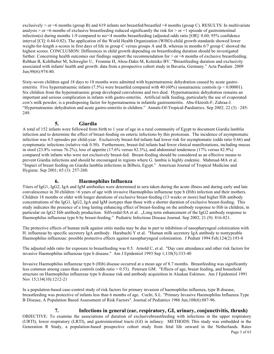exclusively  $>$  or  $=6$  months (group B) and 619 infants not breastfed/breastfed  $\leq 4$  months (group C). RESULTS: In multivariate analysis > or =6 months of exclusive breastfeeding reduced significantly the risk for > or =1 episode of gastrointestinal infection(s) during months 1-9 compared to no/<4 months breastfeeding (adjusted odds ratio [OR]: 0.60; 95% confidence interval [CI]: 0.44-0.82). The application of the World Health Organization (WHO)-child growth standards showed lower weight-for-length z-scores in first days of life in group C versus groups A and B, whereas in months 6/7 group C showed the highest scores. CONCLUSION: Differences in child growth depending on breastfeeding duration should be investigated further. Concerning health outcomes our findings support the recommendation for  $>$  or =6 months of exclusive breastfeeding. Rebhan B, Kohlhuber M, Schwegler U, Fromme H, Abou-Dakn M, Koletzko BV. "Breastfeeding duration and exclusivity associated with infants' health and growth: data from a prospective cohort study in Bavaria, Germany." Acta Paediatr. 2009 Jun;98(6):974-80.

Sixty-seven children aged 18 days to 18 months were admitted with hypernatraemic dehydration caused by acute gastroenteritis. Five hypernatraemic infants (7.5%) were breastfed compared with 40 (60%) isonatraemic controls ( $p \le 0.00001$ ). Six children from the hypernatraemic group developed convulsions and two died. Hypernatraemic dehydration remains an important and serious complication in infants with gastro-enteritis. Artificial milk feeding, particularly the use of evaporated cow's milk powder, is a predisposing factor for hypernatraemia in infantile gastroenteritis. Abu-Ekteish-F; Zahraa-J. "Hypernatraemic dehydration and acute gastro-enteritis in children." Annals-Of-Tropical-Paediatrics. Sep 2002; 22 (3) : 245- 249.

## **5. Giardia**

A total of 152 infants were followed from birth to 1 year of age in a rural community of Egypt to document Giardia lamblia infection and to determine the effect of breast-feeding on enteric infections by this protozoan. The incidence of asymptomatic infection was 4.5 episodes per child-year. Exclusively breast-fed infants had lower risk for asymptomatic (odds ratio 0.66) and symptomatic infections (relative risk 0.50). Furthermore, breast-fed infants had fewer clinical manifestations, including mucus in stool (23.8% versus 76.2%), loss of appetite (17.6% versus 82.3%), and abdominal tenderness (17% versus 82.9%) compared with infants who were not exclusively breast-fed. Breast-feeding should be considered as an effective means to prevent Giardia infections and should be encouraged in regions where G. lambia is highly endemic. Mahmud-MA et al. "Impact of breast feeding on Giardia lamblia infections in Bilbeis, Egypt." American Journal of Tropical Medicine and Hygiene. Sep 2001; 65 (3): 257-260.

## **6. Haemophilus Influenza**

Titers of IgG1, IgG2, IgA and IgM antibodies were determined in sera taken during the acute illness and during early and late convalescence in 30 children <6 years of age with invasive Haemophilus influenzae type b (Hib) infection and their mothers. Children 18 months or older with longer durations of exclusive breast-feeding (13 weeks or more) had higher Hib antibody concentrations of the IgG1, IgG2, IgA and IgM isotypes than those with a shorter duration of exclusive breast-feeding. This study indicates the presence of a long lasting enhancing effect of breast-feeding on the antibody response to Hib in children, in particular on IgG2 Hib antibody production. Silfverdal-SA et al. "Long term enhancement of the IgG2 antibody response to Haemophilus influenzae type b by breast-feeding." Pediatric Infectious Disease Journal. Sep 2002; 21 (9): 816-821.

The protective effects of human milk against otitis media may be due in part to inhibition of nasopharyngeal colonization with H. influenzae by specific secretory IgA antibody. Harabuchi Y et al. "Human milk secretory IgA antibody to nontypeable Haemophilus influenzae: possible protective effects against nasopharyngeal colonization. J Pediatr 1994 Feb;124(2):193-8

The adjusted odds ratio for exposure to breastfeeding was 0.5. Arnold C, et al. "Day care attendance and other risk factors for invasive Haemophilus influenzae type b disease." Am J Epidemiol 1993 Sep 1;138(5):333-40

Invasive Haemophilus influenzae type b (Hib) disease occurred at a mean age of 8.7 months. Breastfeeding was significantly less common among cases than controls (odds ratio = 0.53). Petersen GM. "Effects of age, breast feeding, and household structure on Haemophilus influenzae type b disease risk and antibody acquisition in Alaskan Eskimos. Am J Epidemiol 1991 Nov 15;134(10):1212-21

In a population-based case-control study of risk factors for primary invasion of haemophilus influenza, type B disease, breastfeeding was protective of infants less than 6 months of age. Cochi, S.L. "Primary Invasive Haemophilus Influenza Type B Disease, A Population Based Assessment of Risk Factors". Journal of Pediatrics 1986 Jun;108(6):887-96.

#### **7. Infections in general (ear, respiratory, GI, urinary, conjunctivitis, thrush)**

Page 3 of 63 OBJECTIVE: To examine the associations of duration of exclusivebreastfeeding with infections in the upper respiratory (URTI), lower respiratory (LRTI), and gastrointestinal tracts (GI) in infancy. METHODS: This study was embedded in the Generation R Study, a population-based prospective cohort study from fetal life onward in the Netherlands. Rates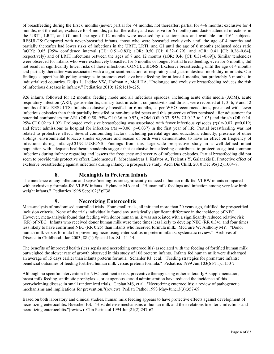of breastfeeding during the first 6 months (never; partial for <4 months, not thereafter; partial for 4–6 months; exclusive for 4 months, not thereafter; exclusive for 4 months, partial thereafter; and exclusive for 6 months) and doctor-attended infections in the URTI, LRTI, and GI until the age of 12 months were assessed by questionnaires and available for 4164 subjects. RESULTS: Compared with never-breastfed infants, those who were breastfed exclusively until the age of 4 months and partially thereafter had lower risks of infections in the URTI, LRTI, and GI until the age of 6 months (adjusted odds ratio [aOR]: 0.65 [95% confidence interval (CI): 0.51–0.83]; aOR: 0.50 [CI: 0.32–0.79]; and aOR: 0.41 [CI: 0.26–0.64], respectively) and of LRTI infections between the ages of 7 and 12 months (aOR: 0.46 [CI: 0.31–0.69]). Similar tendencies were observed for infants who were exclusively breastfed for 6 months or longer. Partial breastfeeding, even for 6 months, did not result in significantly lower risks of these infections. CONCLUSIONS: Exclusive breastfeeding until the age of 4 months and partially thereafter was associated with a significant reduction of respiratory and gastrointestinal morbidity in infants. Our findings support health-policy strategies to promote exclusive breastfeeding for at least 4 months, but preferably 6 months, in industrialized countries. Duijts L, Jaddoe VW, Hofman A, Moll HA. "Prolonged and exclusive breastfeeding reduces the risk of infectious diseases in infancy." Pediatrics 2010; 126:1e18-e25.

926 infants, followed for 12 months: feeding mode and all infectious episodes, including acute otitis media (AOM), acute respiratory infection (ARI), gastroenteritis, urinary tract infection, conjunctivitis and thrush, were recorded at 1, 3, 6, 9 and 12 months of life. RESULTS: Infants exclusively breastfed for 6 months, as per WHO recommendations, presented with fewer infectious episodes than their partially breastfed or non-breastfed peers and this protective effect persisted after adjustment for potential confounders for ARI (OR 0.58, 95% CI 0.36 to 0.92), AOM (OR 0.37, 95% CI 0.13 to 1.05) and thrush (OR 0.14, 95% CI 0.02 to 1.02). Prolonged exclusive breastfeeding was associated with fewer infectious episodes  $(r(s)=0.07, p=0.019)$ and fewer admissions to hospital for infection  $(r(s)=0.06, p=0.037)$  in the first year of life. Partial breastfeeding was not related to protective effect. Several confounding factors, including parental age and education, ethnicity, presence of other siblings, environmental tobacco smoke exposure and season of birth were demonstrated to have an effect on frequency of infections during infancy.CONCLUSIONS: Findings from this large-scale prospective study in a well-defined infant population with adequate healthcare standards suggest that exclusive breastfeeding contributes to protection against common infections during infancy regarding and lessens the frequency and severity of infectious episodes. Partial breastfeeding did not seem to provide this protective effect. Ladomenou F, Moschandreas J, Kafatos A, Tselentis Y, Galanakis E. Protective effect of exclusive breastfeeding against infections during infancy: a prospective study. Arch Dis Child. 2010 Dec;95(12):1004-8.

# **8. Meningitis in Preterm Infants**

The incidence of any infection and sepsis/meningitis are significantly reduced in human milk-fed VLBW infants compared with exclusively formula-fed VLBW infants. Hylander MA et al. "Human milk feedings and infection among very low birth weight infants." Pediatrics 1998 Sep;102(3):E38

#### **9. Necrotizing Enterocolitis**

Meta-analysis of randomised controlled trials. Four small trials, all initiated more than 20 years ago, fulfilled the prespecified inclusion criteria. None of the trials individually found any statistically significant difference in the incidence of NEC. However, meta-analysis found that feeding with donor human milk was associated with a significantly reduced relative risk (RR) of NEC. Infants who received donor human milk were three times less likely to develop NEC (RR 0.34), and four times less likely to have confirmed NEC (RR 0.25) than infants who received formula milk. McGuire W; Anthony MY. "Donor human milk versus formula for preventing necrotising enterocolitis in preterm infants: systematic review." Archives of Disease in Childhood. Jan 2003; 88 (1) Special Iss. SI : 11-14.

The benefits of improved health (less sepsis and necrotizing enterocolitis) associated with the feeding of fortified human milk outweighed the slower rate of growth observed in this study of 108 preterm infants. Infants fed human milk were discharged an average of 15 days earlier than infants preterm formula. Schanler RJ, et al. "Feeding strategies for premature infants: beneficial outcomes of feeding fortified human milk versus preterm formula." Pediatrics 1999 Jun;103(6 Pt 1):1150-7

Although no specific intervention for NEC treatment exists, preventive therapy using either enteral IgA supplementation, breast milk feeding, antibiotic prophylaxis, or exogenous steroid administration have reduced the incidence of this overwhelming disease in small randomized trials. Caplan MS, et al. "Necrotizing enterocolitis: a review of pathogenetic mechanisms and implications for prevention."(review) Pediatr Pathol 1993 May-Jun;13(3):357-69

Based on both laboratory and clinical studies, human milk feeding appears to have protective effects against development of necrotizing enterocolitis. Buescher ES. "Host defense mechanisms of human milk and their relations to enteric infections and necrotizing enterocolitis."(review) Clin Perinatol 1994 Jun;21(2):247-62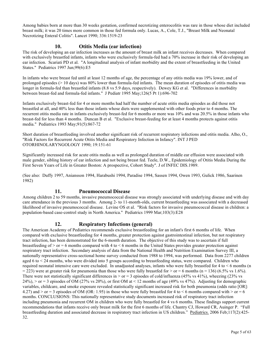Among babies born at more than 30 weeks gestation, confirmed necrotizing enterocolitis was rare in those whose diet included breast milk; it was 20 times more common in those fed formula only. Lucas, A., Cole, T.J., "Breast Milk and Neonatal Necrotizing Enteral Colitis". Lancet 1990; 336:1519-23

## **10. Otitis Media (ear infection)**

The risk of developing an ear infection increases as the amount of breast milk an infant receives decreases. When compared with exclusively breastfed infants, infants who were exclusively formula-fed had a 70% increase in their risk of developing an ear infection. Scariati PD et al. "A longitudinal analysis of infant morbidity and the extent of breastfeeding in the United States." Pediatrics 1997 Jun;99(6):E5

In infants who were breast fed until at least 12 months of age, the percentage of any otitis media was 19% lower, and of prolonged episodes (> 10 days) was 80% lower than formula-fed infants. The mean duration of episodes of otitis media was longer in formula-fed than breastfed infants (8.8 vs 5.9 days, respectively). Dewey KG et al. "Differences in morbidity between breast-fed and formula-fed infants." J Pediatr 1995 May;126(5 Pt 1):696-702

Infants exclusively breast-fed for 4 or more months had half the number of acute otitis media episodes as did those not breastfed at all, and 40% less than those infants whose diets were supplemented with other foods prior to 4 months. The recurrent otitis media rate in infants exclusively breast-fed for 6 months or more was 10% and was 20.5% in those infants who breast-fed for less than 4 months. Duncan B et al. "Exclusive breast-feeding for at least 4 months protects against otitis media." Pediatrics 1993 May;91(5):867-72

Short duration of breastfeeding involved another significant risk of recurrent respiratory infections and otitis media. Alho, O., "Risk Factors for Recurrent Acute Otitis Media and Respiratory Infection in Infancy". INT J PED OTORHINOLARYNGOLOGY 1990; 19:151-61

Significantly increased risk for acute otitis media as well as prolonged duration of middle ear effusion were associated with male gender, sibling history of ear infection and not being breast fed. Teele, D.W., Epidemiology of Otitis Media During the First Seven Years of Life in Greater Boston: A prospective, Cohort Study". J of INFEC DIS.1989.

(See also: Duffy 1997, Aniansson 1994, Harabushi 1994, Paradise 1994, Sassen 1994, Owen 1993, Gulick 1986, Saarinen 1982)

## **11. Pneumococcal Disease**

Among children 2 to 59 months, invasive pneumococcal disease was strongly associated with underlying disease and with day care attendance in the previous 3 months. Among 2- to 11-month-olds, current breastfeeding was associated with a decreased likelihood of invasive pneumococcal disease. Levine OS et al. "Risk factors for invasive pneumococcal disease in children: a population-based case-control study in North America." Pediatrics 1999 Mar;103(3):E28

# **12. Respiratory Infections (general)**

The American Academy of Pediatrics recommends exclusive breastfeeding for an infant's first 6 months of life. When compared with exclusive breastfeeding for 4 months, greater protection against gastrointestinal infection, but not respiratory tract infection, has been demonstrated for the 6-month duration. The objective of this study was to ascertain if full breastfeeding of  $>$  or  $=$  6 months compared with 4 to  $<$  6 months in the United States provides greater protection against respiratory tract infection. Secondary analysis of data from the National Health and Nutrition Examination Survey III, a nationally representative cross-sectional home survey conducted from 1988 to 1994, was performed. Data from 2277 children aged 6 to < 24 months, who were divided into 5 groups according to breastfeeding status, were compared. Children who required neonatal intensive care were excluded. In unadjusted analyses, infants who were fully breastfed for 4 to < 6 months (n  $= 223$ ) were at greater risk for pneumonia than those who were fully breastfed for  $>$  or  $= 6$  months (n = 136) (6.5% vs 1.6%). There were not statistically significant differences in  $>$  or  $=$  3 episodes of cold/influenza (45% vs 41%), wheezing (23% vs  $24\%$ ,  $>$  or = 3 episodes of OM (27% vs 20%), or first OM at < 12 months of age (49% vs 47%). Adjusting for demographic variables, childcare, and smoke exposure revealed statistically significant increased risk for both pneumonia (odds ratio [OR]: 4.27) and  $>$  or = 3 episodes of OM (OR: 1.95) in those who were fully breastfed for 4 to  $<$  6 months compared with  $>$  or = 6 months. CONCLUSIONS: This nationally representative study documents increased risk of respiratory tract infection including pneumonia and recurrent OM in children who were fully breastfed for 4 vs 6 months. These findings support current recommendations that infants receive only breast milk for the first 6 months of life. Chantry CJ, Howard CR, Auinger P. "Full breastfeeding duration and associated decrease in respiratory tract infection in US children." Pediatrics. 2006 Feb;117(2):425- 32.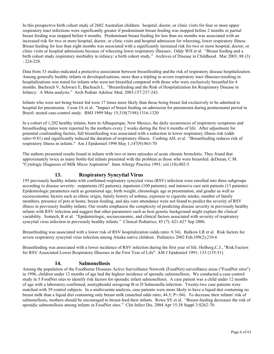In this prospective birth cohort study of 2602 Australian children: hospital, doctor, or clinic visits for four or more upper respiratory tract infections were significantly greater if predominant breast feeding was stopped before 2 months or partial breast feeding was stopped before 6 months. Predominant breast feeding for less than six months was associated with an increased risk for two or more hospital, doctor, or clinic visits and hospital admission for wheezing, lower respiratory illness. Breast feeding for less than eight months was associated with a significantly increased risk for two or more hospital, doctor, or clinic visits or hospital admissions because of wheezing lower respiratory illnesses. Oddy WH et al. "Breast feeding and a birth cohort study respiratory morbidity in infancy: a birth cohort study." Archives of Disease in Childhood. Mar 2003; 88 (3) : 224-228.

Data from 33 studiesindicated a protective association between breastfeeding and the risk of respiratory disease hospitalization. Among generally healthy infants in developed nations, more than a tripling in severe respiratory tract illnessesresulting in hospitalizations was noted for infants who were not breastfed compared with those who were exclusively breastfed for 4 months. Bachrach V, Schwarz E, Bachrach L. "Breastfeeding and the Risk of Hospitalization for Respiratory Disease in Infancy: A Meta-analysis." Arch Pediatr Adolesc Med. 2003;157:237-243.

Infants who were not being breast fed were 17 times more likely than those being breast fed exclusively to be admitted to hospital for pneumonia. Cesar JA et al. "Impact of breast feeding on admission for pneumonia during postneonatal period in Brazil: nested case-control study. BMJ 1999 May 15;318(7194):1316-1320

In a cohort of 1,202 healthy infants, born in Albuquerque, New Mexico, the daily occurrences of respiratory symptoms and breastfeeding status were reported by the mothers every 2 weeks during the first 6 months of life. After adjustment for potential confounding factors, full breastfeeding was associated with a reduction in lower respiratory illness risk (odds ratio=0.81) and significantly reduced the duration of respiratory illness. Cushing AH, et al. "Breastfeeding reduces risk of respiratory illness in infants." Am J Epidemiol 1998 May 1;147(9):863-70

The authors presented results found in infants with two or more episodes of acute chronic bronchitis. They found that approximately twice as many bottle-fed infants presented with the problem as those who were breastfed. deDuran, C.M. "Cytologic Diagnosis of Milk Micro Aspiration". Imm Allergy Practice 1991; xiii (10);402-5

# **13. Respiratory Syncytial Virus**

195 previously healthy infants with confirmed respiratory syncytial virus (RSV) infection were enrolled into three subgroups according to disease severity: outpatients (82 patients), inpatients (100 patients), and intensive care unit patients (13 patients). Epidemiologic parameters such as gestational age, birth weight, chronologic age at presentation, and gender as well as socioeconomic factors such as ethnic origin, family history of asthma, exposure to cigarette smoke, number of family members, presence of pets at home, breast-feeding, and day-care attendance were not found to predict the severity of RSV illness in previously healthy infants. Our results emphasize the complexity of predicting disease severity in previously healthy infants with RSV infection and suggest that other parameters such as host genetic background might explain the clinical variability. Somech, R et al. "Epidemiologic, socioeconomic, and clinical factors associated with severity of respiratory syncytial virus infection in previously healthy infants." Clinical Pediatrics, 45 (7): 621-627 Sep 2006.

Breastfeeding was associated with a lower risk of RSV hospitalization (odds ratio: 0.34). Bulkow LR et al. Risk factors for severe respiratory syncytial virus infection among Alaska native children. Pediatrics 2002 Feb;109(2):210-6

Breastfeeding was associated with a lower incidence of RSV infection during the first year of life. Holberg,C.J., "Risk Factors for RSV Associated Lower Respiratory Illnesses in the First Year of Life". AM J Epidemiol 1991; 133 (135-51)

#### **14. Salmonellosis**

Among the population of the Foodborne Diseases Active Surveillance Network (FoodNet) surveillance areas ("FoodNet sites") in 1996, children under 12 months of age had the highest incidence of sporadic salmonellosis. We conducted a case-control study in 5 FoodNet sites to identify risk factors for sporadic infant salmonellosis. A case patient was a child under 12 months of age with a laboratory-confirmed, nontyphoidal serogroup B or D Salmonella infection. Twenty-two case patients were matched with 39 control subjects. In a multivariate analysis, case patients were more likely to have a liquid diet containing no breast milk than a liquid diet containing only breast milk (matched odds ratio, 44.5; P=.04). To decrease their infants' risk of salmonellosis, mothers should be encouraged to breast-feed their infants. Rowe SY et al. "Breast-feeding decreases the risk of sporadic salmonellosis among infants in FoodNet sites." Clin Infect Dis. 2004 Apr 15;38 Suppl 3:S262-70.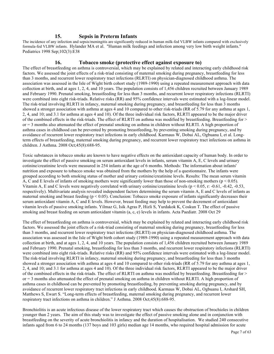#### **15. Sepsis in Preterm Infants**

The incidence of any infection and sepsis/meningitis are significantly reduced in human milk-fed VLBW infants compared with exclusively formula-fed VLBW infants. Hylander MA et al. "Human milk feedings and infection among very low birth weight infants." Pediatrics 1998 Sep;102(3):E38

#### **16. Tobacco smoke (protective effect against exposure to)**

The effect of breastfeeding on asthma is controversial, which may be explained by related and interacting early childhood risk factors. We assessed the joint effects of a risk-triad consisting of maternal smoking during pregnancy, breastfeeding for less than 3 months, and recurrent lower respiratory tract infections (RLRTI) on physician-diagnosed childhood asthma. The association was assessed in the Isle of Wight birth cohort study (1989-1990) using a repeated measurement approach with data collection at birth, and at ages 1, 2, 4, and 10 years. The population consists of 1,456 children recruited between January 1989 and February 1990. Prenatal smoking, breastfeeding for less than 3 months, and recurrent lower respiratory infections (RLRTI) were combined into eight risk-triads. Relative risks (RR) and 95% confidence intervals were estimated with a log-linear model. The risk-triad involving RLRTI in infancy, maternal smoking during pregnancy, and breastfeeding for less than 3 months showed a stronger association with asthma at ages 4 and 10 compared to other risk-triads (RR of 5.79 for any asthma at ages 1, 2, 4, and 10; and 3.1 for asthma at ages 4 and 10). Of the three individual risk factors, RLRTI appeared to be the major driver of the combined effects in the risk-triads. The effect of RLRTI on asthma was modified by breastfeeding. Breastfeeding for > or = 3 months also attenuated the effect of prenatal smoking on asthma in children without RLRTI. A high proportion of asthma cases in childhood can be prevented by promoting breastfeeding, by preventing smoking during pregnancy, and by avoidance of recurrent lower respiratory tract infections in early childhood. Karmaus W, Dobai AL, Ogbuanu I, et al. Longterm effects of breastfeeding, maternal smoking during pregnancy, and recurrent lower respiratory tract infections on asthma in children. J Asthma. 2008 Oct;45(8):688-95.

Toxic substances in tobacco smoke are known to have negative effects on the antioxidant capacity of human body. In order to investigate the effect of passive smoking on serum antioxidant levels in infants, serum vitamin A, E, C levels and urinary cotinine/creatinine levels were measured in 254 infants at the age of 6 months. Methods: The information about infants' nutrition and exposure to tobacco smoke was obtained from the mothers by the help of a questionnaire. The infants were grouped according to both smoking status of mother and urinary cotinine/creatinine levels. Results: The mean serum vitamin A, C and E levels of infants of smoking mothers were significantly lower than those of non-smoking mothers ( $p < 0.05$ ). Vitamin A, E and C levels were negatively correlated with urinary cotinine/creatinine levels ( $p < 0.05$ , r:  $-0.61$ ,  $-0.42$ ,  $-0.53$ , respectively). Multivariate analysis revealed independent factors determining the serum vitamin A, E and C levels of infants as maternal smoking and breast feeding (p < 0.05). Conclusion: Tobacco smoke exposure of infants significantly decreases their serum antioxidant vitamin A, C and E levels. However, breast feeding may help to prevent the decrement of antioxidant vitamin levels of passive smoking infants. Yilmaz G, Isik Agras P, Hizli S, Yurdakok K, Coskun T. The effect of passive smoking and breast feeding on serum antioxidant vitamin (a, c, e) levels in infants. Acta Paediatr. 2008 Oct 29

The effect of breastfeeding on asthma is controversial, which may be explained by related and interacting early childhood risk factors. We assessed the joint effects of a risk-triad consisting of maternal smoking during pregnancy, breastfeeding for less than 3 months, and recurrent lower respiratory tract infections (RLRTI) on physician-diagnosed childhood asthma. The association was assessed in the Isle of Wight birth cohort study (1989-1990) using a repeated measurement approach with data collection at birth, and at ages 1, 2, 4, and 10 years. The population consists of 1,456 children recruited between January 1989 and February 1990. Prenatal smoking, breastfeeding for less than 3 months, and recurrent lower respiratory infections (RLRTI) were combined into eight risk-triads. Relative risks (RR) and 95% confidence intervals were estimated with a log-linear model. The risk-triad involving RLRTI in infancy, maternal smoking during pregnancy, and breastfeeding for less than 3 months showed a stronger association with asthma at ages 4 and 10 compared to other risk-triads (RR of 5.79 for any asthma at ages 1, 2, 4, and 10; and 3.1 for asthma at ages 4 and 10). Of the three individual risk factors, RLRTI appeared to be the major driver of the combined effects in the risk-triads. The effect of RLRTI on asthma was modified by breastfeeding. Breastfeeding for  $\geq$ or = 3 months also attenuated the effect of prenatal smoking on asthma in children without RLRTI. A high proportion of asthma cases in childhood can be prevented by promoting breastfeeding, by preventing smoking during pregnancy, and by avoidance of recurrent lower respiratory tract infections in early childhood. Karmaus W, Dobai AL, Ogbuanu I, Arshard SH, Matthews S, Ewart S. "Long-term effects of breastfeeding, maternal smoking during pregnancy, and recurrent lower respiratory tract infections on asthma in children." J Asthma. 2008 Oct;45(8):688-95.

Bronchiolitis is an acute infectious disease of the lower respiratory tract which causes the obstruction of brochioles in children younger than 2 years. The aim of this study was to investigate the effect of passive smoking alone and in conjunction with breastfeeding on the severity of acute bronchiolitis in infancy and the duration of hospitalisation. We studied 240 consecutive infants aged from 6 to 24 months (137 boys and 103 girls) median age 14 months, who required hospital admission for acute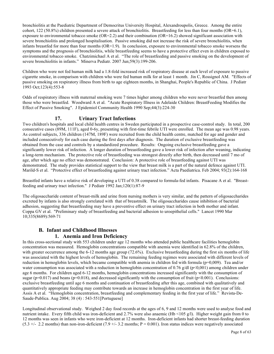bronchiolitis at the Paediatric Department of Democritus University Hospital, Alexandroupolis, Greece. Among the entire cohort, 122 (50.8%) children presented a severe attack of bronchiolitis. Breastfeeding for less than four months  $(OR=6.1)$ , exposure to environmental tobacco smoke (OR=2.2) and their combination (OR=16.2) showed significant association with severe bronchiolitis and prolonged hospitalisation. Passive smoking did not increase the risk of severe bronchiolitis, when infants breastfed for more than four months (OR=1.9). In conclusion, exposure to environmental tobacco smoke worsens the symptoms and the prognosis of bronchiolitis, while breastfeeding seems to have a protective effect even in children exposed to environmental tobacco smoke. Chatzimichael A et al. "The role of breastfeeding and passive smoking on the development of severe bronchiolitis in infants." Minerva Pediatr. 2007 Jun;59(3):199-206.

Children who were not fed human milk had a 1.8-fold increased risk of respiratory disease at each level of exposure to passive cigarette smoke, in comparison with children who were fed human milk for at least 1 month. Jin C, Rossignol AM. "Effects of passive smoking on respiratory illness from birth to age eighteen months, in Shanghai, People's Republic of China. J Pediatr 1993 Oct;123(4):553-8

Odds of respiratory illness with maternal smoking were 7 times higher among children who were never breastfed then among those who were breastfed. Woodward A et al. "Acute Respiratory Illness in Adelaide Children: BreastFeeding Modifies the Effect of Passive Smoking". J Epidemiol Community Health 1990 Sep;44(3):224-30

#### **17. Urinary Tract Infections**

Two children's hospitals and local child health centres in Sweden participated in a prospective case-control study. In total, 200 consecutive cases (89M, 111F), aged 0-6y, presenting with first-time febrile UTI were enrolled. The mean age was 0.98 years. As control subjects, 336 children (147M, 189F) were recruited from the child health centre, matched for age and gender and included consecutively for each case during the first days after diagnosis. The duration of exclusive breastfeeding was obtained from the case and controls by a standardized procedure. Results: Ongoing exclusive breastfeeding gave a significantly lower risk of infection. A longer duration of breastfeeding gave a lower risk of infection after weaning, indicating a long-term mechanism. The protective role of breastfeeding was strongest directly after birth, then decreased until 7 mo of age, after which age no effect was demonstrated. Conclusion: A protective role of breastfeeding against UTI was demonstrated. The study provides statistical support to the view that breast milk is a part of the natural defence against UTI. Marild-S et al. "Protective effect of breastfeeding against urinary tract infection." Acta Paediatrica. Feb 2004; 93(2):164-168

Breastfed infants have a relative risk of developing a UTI of 0.38 compared to formula-fed infants. Pisacane A et al. "Breastfeeding and urinary tract infection." J Pediatr 1992 Jan;120(1):87-9

The oligosaccharide content of breast-milk and urine from nursing mothers is very similar, and the pattern of oligosaccharides excreted by infants is also strongly correlated with that of breastmilk. The oligosaccharides cause inhibition of bacterial adhesion, suggesting that breastfeeding may have a preventive effect on urinary tract infection in both mother and infant. Coppa GV et al. "Preliminary study of breastfeeding and bacterial adhesion to uroepithelial cells." Lancet 1990 Mar 10;335(8689):569-71

# **B. Infant and Childhood Illnesses**

#### **1. Anemia and Iron Deficiency**

In this cross-sectional study with 553 children under age 12 months who attended public healthcare facilities hemoglobin concentration was measured. Hemoglobin concentrations compatible with anemia were identified in 62.8% of the children, with greater occurrence among the 6-12 months age group (72.6%). Exclusive breastfeeding during the first six months of life was associated with the highest levels of hemoglobin. The remaining feeding regimes were associated with different levels of reduction in hemoglobin levels, which became compatible with anemia in children fed with formula ( $p=0,009$ ). Tea and/or water consumption was associated with a reduction in hemoglobin concentration of 0.76 g/dl (p<0,001) among children under age 6 months. For children aged 6-12 months, hemoglobin concentrations increased significantly with the consumption of sugar ( $p=0.017$ ) and beans ( $p=0.018$ ), and decreased significantly with the consumption of fruit ( $p<0.001$ ). Conclusions: exclusive breastfeeding until age 6 months and continuation of breastfeeding after this age, combined with qualitatively and quantitatively appropriate feeding may contribute towards an increase in hemoglobin concentration in the first year of life. Assis A et al. "Hemoglobin concentration, breastfeeding and complementary feeding in the first year of life." Revista-De-Saude-Publica. Aug 2004; 38 (4) : 543-551[Portuguese]

Longitudinal observational study. Weighed 2 day food records at the ages of 6, 9 and 12 months were used to analyse food and nutrient intake. Every fifth child was iron-deficient and 2.7% were also anaemic (Hb  $\leq$ 105 g/l). Higher weight gain from 0 to 12 months was seen in infants who were iron-deficient at 12 months. Iron-deficient infants had shorter breast-feeding duration  $(5.3 +/- 2.2 \text{ months})$  than non-iron-deficient  $(7.9 +/- 3.2 \text{ months}; P = 0.001)$ . Iron status indices were negatively associated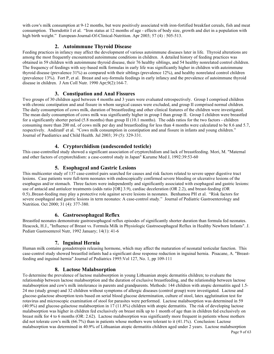with cow's milk consumption at 9-12 months, but were positively associated with iron-fortified breakfast cereals, fish and meat consumption. Thorsdottir I et al. "Iron status at 12 months of age - effects of body size, growth and diet in a population with high birth weight." European-Journal-Of-Clinical-Nutrition. Apr 2003; 57 (4): 505-513.

# **2. Autoimmune Thyroid Disease**

Feeding practices in infancy may affect the development of various autoimmune diseases later in life. Thyroid alterations are among the most frequently encountered autoimmune conditions in children. A detailed history of feeding practices was obtained in 59 children with autoimmune thyroid disease, their 76 healthy siblings, and 54 healthy nonrelated control children. The frequency of feedings with soy-based milk formulas in early life was significantly higher in children with autoimmune thyroid disease (prevalence 31%) as compared with their siblings (prevalence 12%), and healthy nonrelated control children (prevalence 13%). Fort P, et al. Breast and soy-formula feedings in early infancy and the prevalence of autoimmune thyroid disease in children. J Am Coll Nutr. 1990 Apr;9(2):164-7.

# **3. Constipation and Anal Fissures**

Two groups of 30 children aged between 4 months and 3 years were evaluated retrospectively. Group I comprised children with chronic constipation and anal fissure in whom surgical causes were excluded, and group II comprised normal children. The daily consumption of cows milk, duration of breastfeeding and other clinical features of the children were investigated. The mean daily consumption of cows milk was significantly higher in group I than group II. Group I children were breastfed for a significantly shorter period (5.8 months) than group II (10.1 months). The odds ratios for the two factors - children consuming more than 200 mL of cows milk per day and breastfeeding for less than 4 months were calculated to be 8.6 and 5.7, respectively. AndiranF et al. "Cows milk consumption in constipation and anal fissure in infants and young children." Journal of Paediatrics and Child Health. Jul 2003; 39 (5): 329-331.

# **4. Cryptorchidism (undescended testicle)**

This case-controlled study showed a significant association of cryptorchidism and lack of breastfeeding. Mori, M. "Maternal and other factors of cryptorchidism: a case-control study in Japan" Kurume Med J, 1992:39:53-60

# **5. Esophageal and Gastric Lesions**

This multicenter study of 137 case-control pairs searched for causes and risk factors related to severe upper digestive tract lesions. Case patients were full-term neonates with endoscopically confirmed severe bleeding or ulcerative lesions of the esophagus and/or stomach. Three factors were independently and significantly associated with esophageal and gastric lesions: use of antacid and antiulcer treatments (odds ratio [OR] 3.9), cardiac deceleration (OR 2.2), and breast-feeding (OR 0.5)..Breast-feeding may play a protective role against severe lesions in neonates. Benhamou PH et al. "Risk factors for severe esophageal and gastric lesions in term neonates: A case-control study." Journal of Pediatric Gastroenterology and Nutrition. Oct 2000; 31 (4): 377-380.

## **6. Gastroesophageal Reflex**

Breastfed neonates demonstrate gastroesophageal reflux episodes of significantly shorter duration than formula fed neonates. Heacock, H.J., "Influence of Breast vs. Formula Milk in Physiologic Gastroesophageal Reflux in Healthy Newborn Infants". J. Pediatr Gastroenterol Nutr, 1992 January; 14(1): 41-6

# **7. Inguinal Hernia**

Human milk contains gonadotropin releasing hormone, which may affect the maturation of neonatal testicular function. This case-control study showed breastfed infants had a significant dose response reduction in inguinal hernia. Pisacane, A. "Breastfeeding and inguinal hernia" Journal of Pediatrics 1995:Vol 127, No. 1, pp 109-111

# **8. Lactose Malabsorption**

To determine the prevalence of lactose malabsorption in young Lithuanian atopic dermatitis children; to evaluate the relationship between lactose malabsorption and the duration of exclusive breastfeeding, and the relationship between lactose malabsorption and cow's milk intolerance in parents and grandparents. Methods: 144 children with atopic dermatitis aged 1.5- 24 mo (study group) and 32 children without symptoms of allergic diseases (control group) were investigated. Lactose and glucose-galactose absorption tests based on serial blood glucose determination, culture of stool, latex agglutination test for rotavirus and microscopic examination of stool for parasites were performed. Lactose malabsorption was determined in 59 (40.9%) and glucose-galactose malabsorption in 17 (11.8%) children with atopic dermatitis. The risk of developing lactose malabsorption was higher in children fed exclusively on breast milk up to 1 month of age than in children fed exclusively on breast milk for 4 to 6 months (OR: 2.62). Lactose malabsorption was significantly more frequent in patients whose mothers did not tolerate cow's milk (66.7%) than in patients whose mothers were tolerant to it (41.1%). Conclusion: Lactose malabsorption was determined in 40.9% of Lithuanian atopic dermatitis children aged under 2 years. Lactose malabsorption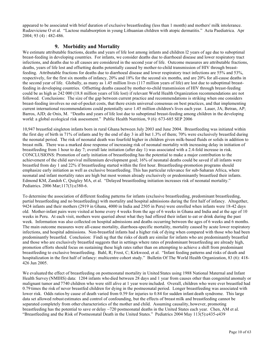appeared to be associated with brief duration of exclusive breastfeeding (less than 1 month) and mothers' milk intolerance. Rudzeviciene O et al. "Lactose malabsorption in young Lithuanian children with atopic dermatitis." Acta Paediatrica. Apr 2004; 93 (4) : 482-486.

#### **9. Morbidity and Mortality**

We estimate attributable fractions, deaths and years of life lost among infants and children l2 years of age due to suboptimal breast-feeding in developing countries. For infants, we consider deaths due to diarrhoeal disease and lower respiratory tract infections, and deaths due to all causes are considered in the second year of life. Outcome measures are attributable fractions, deaths, years of life lost and offsetting deaths potentially caused by mother-to-child transmission of HIV through breastfeeding. Attributable fractions for deaths due to diarrhoeal disease and lower respiratory tract infections are 55% and 53%, respectively, for the first six months of infancy, 20% and 18% for the second six months, and are 20% for all-cause deaths in the second year of life. Globally, as many as 1.45 million lives (117 million years of life) are lost due to suboptimal breastfeeding in developing countries. Offsetting deaths caused by mother-to-child transmission of HIV through breast-feeding could be as high as 242 000 (18.8 million years of life lost) if relevant World Health Organization recommendations are not followed. Conclusions: The size of the gap between current practice and recommendations is striking when one considers breast-feeding involves no out-of-pocket costs, that there exists universal consensus on best practices, and that implementing current international recommendations could potentially save 1.45 million children's lives each year. Lauer, JA; Betran, AP; Barros, AJD; de Onis, M. "Deaths and years of life lost due to suboptimal breast-feeding among children in the developing world: a global ecological risk assessment." Public Health Nutrition, 9 (6): 673-685 SEP 2006

10,947 breastfed singleton infants born in rural Ghana between July 2003 and June 2004. Breastfeeding was initiated within the first day of birth in 71% of infants and by the end of day 3 in all but 1.3% of them; 70% were exclusively breastfed during the neonatal period. The risk of neonatal death was fourfold higher in children given milk-based fluids or solids in addition to breast milk. There was a marked dose response of increasing risk of neonatal mortality with increasing delay in initiation of breastfeeding from 1 hour to day 7; overall late initiation (after day 1) was associated with a 2.4-fold increase in risk. CONCLUSIONS: Promotion of early initiation of breastfeeding has the potential to make a major contribution to the achievement of the child survival millennium development goal; 16% of neonatal deaths could be saved if all infants were breastfed from day 1 and 22% if breastfeeding started within the first hour. Breastfeeding-promotion programs should emphasize early initiation as well as exclusive breastfeeding. This has particular relevance for sub-Saharan Africa, where neonatal and infant mortality rates are high but most women already exclusively or predominantly breastfeed their infants. Edmond KM, Zandoh C, Quigley MA, et al. "Delayed breastfeeding initiation increases risk of neonatal mortality." Pediatrics. 2006 Mar;117(3):e380-6.

To determine the association of different feeding patterns for infants (exclusive breastfeeding, predominant breastfeeding, partial breastfeeding and no breastfeeding) with mortality and hospital admissions during the first half of infancy. Altogether, 9424 infants and their mothers (2919 in Ghana, 4000 in India and 2505 in Peru) were enrolled when infants were 18-42 days old. Mother-infant pairs were visited at home every 4 weeks from the age of 6 weeks in Ghana and India and at the age of 10 weeks in Peru. At each visit, mothers were queried about what they had offered their infant to eat or drink during the past week. Information was also collected on hospital admissions and deaths occurring between the ages of 6 weeks and 6 months. The main outcome measures were all-cause mortality, diarrhoea-specific mortality, mortality caused by acute lower respiratory infections, and hospital admissions. Non-breastfed infants had a higher risk of dying when compared with those who had been predominantly breastfed. Conclusion: Findi ng that the risks of death are similar for infants who are predominantly breastfed and those who are exclusively breastfed suggests that in settings where rates of predominant breastfeeding are already high, promotion efforts should focus on sustaining these high rates rather than on attempting to achieve a shift from predominant breastfeeding to exclusive breastfeeding. Bahl, R; Frost, C; Kirkwood, et al. "Infant feeding patterns and risks of death and hospitalization in the first half of infancy: multicentre cohort study." Bulletin Of The World Health Organization, 83 (6): 418-426 Jun 2005.

We evaluated the effect of breastfeeding on postneonatal mortality in United States using 1988 National Maternal and Infant Health Survey (NMIHS) data: 1204 infants who died between 28 days and 1 year from causes other than congenital anomaly or malignant tumor and 7740 children who were still alive at 1 year were included. Overall, children who were ever breastfed had 0.79 times the risk of never breastfed children for dying in the postneonatal period. Longer breastfeeding was associated with lower risk. Odds ratios by cause of death varied from 0.59 for injuries to 0.84 for sudden infant death syndrome. This large data set allowed robust estimates and control of confounding, but the effects of breast milk and breastfeeding cannot be separated completely from other characteristics of the mother and child. Assuming causality, however, promoting breastfeeding has the potential to save or delay ~720 postneonatal deaths in the United States each year. Chen, AM et al. "Breastfeeding and the Risk of Postneonatal Death in the United States." Pediatrics 2004 May 113(5):e435-e439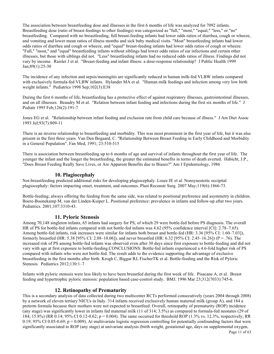The association between breastfeeding dose and illnesses in the first 6 months of life was analyzed for 7092 infants. Breastfeeding dose (ratio of breast-feedings to other feedings) was categorized as "full," "most," "equal," "less," or "no" breastfeeding. Compared with no breastfeeding, full breast-feeding infants had lower odds ratios of diarrhea, cough or wheeze, and vomiting and lower mean ratios of illness months and sick baby medical visits. "Most" breastfeeding infants had lower odds ratios of diarrhea and cough or wheeze, and "equal" breast-feeding infants had lower odds ratios of cough or wheeze. "Full," "most," and "equal" breastfeeding infants without siblings had lower odds ratios of ear infections and certain other illnesses, but those with siblings did not. "Less" breastfeeding infants had no reduced odds ratios of illness. Findings did not vary by income. Raisler J et al. "Breast-feeding and infant illness: a dose-response relationship? J Public Health 1999 Jan;89(1):25-30

The incidence of any infection and sepsis/meningitis are significantly reduced in human milk-fed VLBW infants compared with exclusively formula-fed VLBW infants. Hylander MA et al. "Human milk feedings and infection among very low birth weight infants." Pediatrics 1998 Sep;102(3):E38

During the first 6 months of life, breastfeeding has a protective effect of against respiratory illnesses, gastrointestinal illnesses, and on all illnesses. Beaudry M et al. "Relation between infant feeding and infections during the first six months of life." J Pediatr 1995 Feb;126(2):191-7

Jones EG et al. "Relationship between infant feeding and exclusion rate from child care because of illness." J Am Diet Assoc 1993 Jul;93(7):809-11

There is an inverse relationship to breastfeeding and morbidity. This was most prominent in the first year of life, but it was also present in the first three years. Van Den Bogaard, C. "Relationship Between Breast Feeding in Early Childhood and Morbidity in a General Population". Fan Med, 1991; 23:510-515

There is association between breastfeeding up to 6 months of age and survival of infants throughout the first year of life. The younger the infant and the longer the breastfeeding, the greater the estimated benefits in terms of death averted. Habicht, J.P., "Does Breast Feeding Really Save Lives, or Are Apparent Benefits due to Biases?" Am J Epidemiology, 1986

#### **10. Plagiocephaly**

Not-breastfeeding predicted additional risks for developing plagiocephaly. Losee JE et al. Nonsynostotic occipital plagiocephaly: factors impacting onset, treatment, and outcomes. Plast Reconstr Surg. 2007 May;119(6):1866-73.

Bottle-feeding; always offering the feeding from the same side, was related to positional preference and asymmetry in children. Boere-Boonekamp M, van der Linden-Kuiper L. Positional preference: prevalence in infants and follow-up after two years. Pediatrics. 2001;107:3310-43.

#### **11. Pyloric Stenosis**

Among 70,148 singleton infants, 65 infants had surgery for PS, of which 29 were bottle-fed before PS diagnosis. The overall HR of PS for bottle-fed infants compared with not bottle-fed infants was 4.62 (95% confidence interval [CI]: 2.78–7.65). Among bottle-fed infants, risk increases were similar for infants both breast and bottle-fed (HR: 3.36 [95% CI: 1.60–7.03]), formerly breastfed (HR: 5.38 [95% CI: 2.88–10.06]), and never breastfed (HR: 6.32 [95% CI: 2.45–16.26]) (P = .76). The increased risk of PS among bottle-fed infants was observed even after 30 days since first exposure to bottle-feeding and did not vary with age at first exposure to bottle-feeding.CONCLUSIONS: Bottle-fed infants experienced a 4.6-fold higher risk of PS compared with infants who were not bottle-fed. The result adds to the evidence supporting the advantage of exclusive breastfeeding in the first months after birth. Krogh C, Biggar RJ, FischerTK et al. Bottle-feeding and the Risk of Pyloric Stenosis. Pediatrics 2012;130:1–7

Infants with pyloric stenosis were less likely to have been breastfed during the first week of life. Pisacane A, et al. Breast feeding and hypertrophic pyloric stenosis: population based case-control study. BMJ. 1996 Mar 23;312(7033):745-6.

#### **12. Retinopathy of Prematurity**

This is a secondary analysis of data collected during two multicenter RCTs performed consecutively (years 2004 through 2008) by a network of eleven tertiary NICUs in Italy. 314 infants received exclusively human maternal milk (group A), and 184 a preterm formula because their mothers were not expected to breastfeed. Overall, retinopathy of prematurity (ROP) incidence (any stage) was significantly lower in infants fed maternal milk (11 of 314; 3.5%) as compared to formula-fed neonates (29 of 184; 15.8%) (RR 0.14; 95% CI 0.12-0.62; p = 0.004). The same occurred for threshold ROP (1.3% vs. 12.3%, respectively; RR 0.19; 95% CI 0.05-0.69;  $p = 0.009$ ). At multivariate logistic regression controlling for potentially confounding factors that were significantly associated to ROP (any stage) at univariate analysis (birth weight, gestational age, days on supplemental oxygen,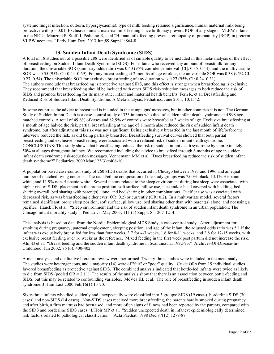systemic fungal infection, outborn, hyperglycaemia), type of milk feeding retained significance, human maternal milk being protective with  $p = 0.01$ . Exclusive human, maternal milk feeding since birth may prevent ROP of any stage in VLBW infants in the NICU. Manzoni P, Stolfi I, Pedicino R, et al "Human milk feeding prevents retinopathy of prematurity (ROP) in preterm VLBW neonates." Early Hum Dev. 2013 Jun;89 Suppl 1:S64-8.

#### **13. Sudden Infant Death Syndrome (SIDS)**

A total of 18 studies out of a possible 288 were identified as of suitable quality to be included in this meta-analysis of the effect of breastfeeding on Sudden Infant Death Syndrome (SIDS). For infants who received any amount of breastmilk for any duration, the univariable SOR (summary odds ratio) was 0.40 (95% confidence interval [CI]: 0.35–0.44), and the multivariable SOR was 0.55 (95% CI: 0.44–0.69). For any breastfeeding at 2 months of age or older, the univariable SOR was 0.38 (95% CI: 0.27–0.54). The univariable SOR for exclusive breastfeeding of any duration was 0.27 (95% CI: 0.24–0.31). The authors conclude that breastfeeding is protective against SIDS, and this effect is stronger when breastfeeding is exclusive. They recommend that breastfeeding should be included with other SIDS risk-reduction messages to both reduce the risk of SIDS and promote breastfeeding for its many other infant and maternal health benefits. Fern R. et al. Breastfeeding and Reduced Risk of Sudden Infant Death Syndrome: A Meta-analysis. Pediatrics. June 2011, 10:1542.

In some countries the advice to breastfeed is included in the campaigns' messages, but in other countries it is not. The German Study of Sudden Infant Death is a case-control study of 333 infants who died of sudden infant death syndrome and 998 agematched controls. A total of 49.6% of cases and 82.9% of controls were breastfed at 2 weeks of age. Exclusive breastfeeding at 1 month of age halved the risk, partial breastfeeding at the age of 1 month also reduced the risk of sudden infant death syndrome, but after adjustment this risk was not significant. Being exclusively breastfed in the last month of life/before the interview reduced the risk, as did being partially breastfed. Breastfeeding survival curves showed that both partial breastfeeding and exclusive breastfeeding were associated with a reduced risk of sudden infant death syndrome. CONCLUSIONS: This study shows that breastfeeding reduced the risk of sudden infant death syndrome by approximately 50% at all ages throughout infancy. We recommend including the advice to breastfeed through 6 months of age in sudden infant death syndrome risk-reduction messages. Vennemann MM et al. "Does breastfeeding reduce the risk of sudden infant death syndrome?" Pediatrics. 2009 Mar;123(3):e406-10.

A population-based case-control study of 260 SIDS deaths that occurred in Chicago between 1993 and 1996 and an equal number of matched living controls. The racial/ethnic composition of the study groups was 75.0% black; 13.1% Hispanic white; and 11.9% non-Hispanic white. Several factors related to the sleep environment during last sleep were associated with higher risk of SIDS: placement in the prone position, soft surface, pillow use, face and/or head covered with bedding, bed sharing overall, bed sharing with parent(s) alone, and bed sharing in other combinations. Pacifier use was associated with decreased risk, as was breastfeeding either ever (OR: 0.2) or currently (OR: 0.2). In a multivariate model, several factors remained significant: prone sleep position, soft surface, pillow use, bed sharing other than with parent(s) alone, and not using a pacifier. Hauck FR et al. "Sleep environment and the risk of sudden infant death syndrome in an urban population: The Chicago infant mortality study." Pediatrics. May 2003; 111 (5) Suppl. S: 1207-1214.

This analysis is based on data from the Nordic Epidemiological SIDS Study, a case-control study. After adjustment for smoking during pregnancy, paternal employment, sleeping position, and age of the infant, the adjusted odds ratio was 5.1 if the infant was exclusively breast fed for less than four weeks, 3.7 for 4-7 weeks, 1.6 for 8-11 weeks, and 2.8 for 12-15 weeks, with exclusive breast feeding over 16 weeks as the reference. Mixed feeding in the first week post partum did not increase the risk. Alm-B et al. "Breast feeding and the sudden infant death syndrome in Scandinavia, 1992-95." Archives-Of-Disease-In-Childhood. Jun 2002; 86 (6): 400-402.

A meta-analysis and qualitative literature review were performed. Twenty-three studies were included in the meta-analysis. The studies were heterogeneous, and a majority (14) were of "fair" or "poor" quality. Crude ORs from 19 individual studies favored breastfeeding as protective against SIDS. The combined analysis indicated that bottle-fed infants were twice as likely to die from SIDS (pooled  $OR = 2.11$ ). The results of the analysis show that there is an association between bottle-feeding and SIDS, but this may be related to confounding variables. McVea KL et al. The role of breastfeeding in sudden infant death syndrome. J Hum Lact 2000 Feb;16(1):13-20.

Sixty-three infants who died suddenly and unexpectedly were classified into 3 groups: SIDS (19 cases), borderline SIDS (30 cases) and non-SIDS (14 cases). Non-SIDS cases received more breastfeeding, the parents hardly smoked during pregnancy and after birth, a firm mattress had been used, and more often signs of illness had been reported by the parents, compared with the SIDS and borderline SIDS cases. L'Hoir MP et al. "Sudden unexpected death in infancy: epidemiologically determined risk factors related to pathological classification." Acta Paediatr 1998 Dec;87(12):1279-87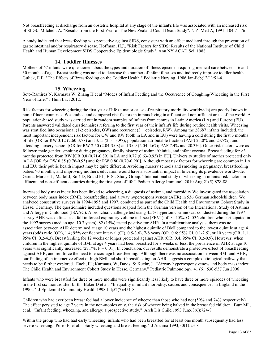Not breastfeeding at discharge from an obstetric hospital at any stage of the infant's life was associated with an increased risk of SIDS. Mitchell, A. "Results from the First Year of The New Zealand Count Death Study". N.Z. Med A, 1991; 104:71-76

A study indicated that breastfeeding was protective against SIDS, consistent with an effect mediated through the prevention of gastrointestinal and/or respiratory disease. Hoffman, H.J., "Risk Factors for SIDS: Results of the National Institute of Child Health and Human Development SIDS Cooperative Epidemiologic Study". Ann NY ACAD Sci, 1988.

#### **14. Toddler Illnesses**

Mothers of 67 infants were questioned about the types and duration of illness episodes requiring medical care between 16 and 30 months of age. Breastfeeding was noted to decrease the number of infant illnesses and indirectly improve toddler health. Gulick, E.E. "The Effects of Breastfeeding on the Toddler Health." Pediatric Nursing, 1986 Jan-Feb;12(1):51-4.

#### **15. Wheezing**

Soto-Ramirez N, Karmaus W, Zhang H et al "Modes of Infant Feeding and the Occurrence of Coughing/Wheezing in the First Year of Life." J Hum Lact 2012.

Risk factors for wheezing during the first year of life (a major cause of respiratory morbidity worldwide) are poorly known in non-affluent countries. We studied and compared risk factors in infants living in affluent and non-affluent areas of the world. A population-based study was carried out in random samples of infants from centres in Latin America (LA) and Europe (EU). Parents answered validated questionnaires referring to the first year of their infant's life during routine health visits. Wheezing was stratified into occasional (1-2 episodes, OW) and recurrent (3 + episodes, RW). Among the 28687 infants included, the most important independent risk factors for OW and RW (both in LA and in EU) were having a cold during the first 3 months of life [OR for RW 3.12 (2.60-3.78) and 3.15 (2.51-3.97); population attributable fraction (PAF) 25.0% and 23.7%]; and attending nursery school [OR for RW 2.50 (2.04-3.08) and 3.09 (2.04-4.67); PAF 7.4% and 20.3%]. Other risk factors were as follows: male gender, smoking during pregnancy, family history of asthma/rhinitis, and infant eczema. Breast feeding for >3 months protected from RW [OR 0.8 (0.71-0.89) in LA and 0.77 (0.63-0.93) in EU]. University studies of mother protected only in LA [OR for OW 0.85 (0.76-0.95) and for RW 0.80 (0.70-0.90)]. Although most risk factors for wheezing are common in LA and EU; their public health impact may be quite different. Avoiding nursery schools and smoking in pregnancy, breastfeeding babies >3 months, and improving mother's education would have a substantial impact in lowering its prevalence worldwide. Garcia-Marcos L, Mallol J, Solé D, Brand PL; EISL Study Group. "International study of wheezing in infants: risk factors in affluent and non-affluent countries during the first year of life." Pediatr Allergy Immunol. 2010 Aug;21(5):878-88.

Increased body mass index has been linked to wheezing, a diagnosis of asthma, and morbidity We investigated the association between body mass index (BMI), breastfeeding, and airway hyperresponsiveness (AHR) in 536 German schoolchildren. We analyzed consecutive surveys in 1994-1995 and 1997, conducted as part of the Child Health and Environment Cohort Study in Hesse, Germany. The questionnaire included questions adapted from the German version of the International Study of Asthma and Allergy in Childhood (ISAAC). A bronchial challenge test using 4.5% hypertonic saline was conducted during the 1997 survey AHR was defined as a fall in forced expiratory volume in 1 sec (FEV1) of  $>$ = 15%. Of 536 children who participated in the 1997 survey (median age, 10.3 years), 82 (15%) tested positive for AHR. In a multivariate analysis, there was no association between AHR determined at age 10 years and the highest quintile of BMI compared to the lowest quintile at age 4 years (odds ratio (OR), 1.4; 95% confidence interval (CI), 0.5-3.6), 7-8 years (OR, 0.6; 95% CI, 0.1-2.5), or 10 years (OR, 1.1; 95% CI, 0.2-4.3). Breastfeeding for 12 weeks or longer protected against AHR (OR, 0.4; 95% CI, 0.2-0.9). However, when children in the highest quintile of BMI at age 4 years had been breastfed for 8 weeks or less, the prevalence of AHR at age 10 years was significantly increased  $(27.7\%, P = 0.01)$ . In conclusion, our results demonstrate a protective effect of breastfeeding against AHR, and reinforce the need to encourage breastfeeding. Although there was no association between BMI and AHR, our finding of an interactive effect of high BMI and short breastfeeding on AHR suggests a complex etiological pathway that needs to be further explored. Eneli, IU; Karmaus, W; Davis, S; Kuehr, J. "Airway hyperresponsiveness and body mass index: The Child Health and Environment Cohort Study in Hesse, Germany." Pediatric Pulmonology, 41 (6): 530-537 Jun 2006

Infants who were breastfed for three or more months were significantly less likely to have three or more episodes of wheezing in the first six months after birth. Baker D et al. "Inequality in infant morbidity: causes and consequences in England in the 1990s." J Epidemiol Community Health 1998 Jul;52(7):451-8

Children who had ever been breast fed had a lower incidence of wheeze than those who had not (59% and 74% respectively). The effect persisted to age 7 years in the non-atopics only, the risk of wheeze being halved in the breast fed children. Burr ML, et al. "Infant feeding, wheezing, and allergy: a prospective study." Arch Dis Child 1993 Jun;68(6):724-8

Within the group who had had early wheezing, infants who had been breastfed for at least one month subsequently had less severe wheezing. Porro E, et al. "Early wheezing and breast feeding." J Asthma 1993;30(1):23-8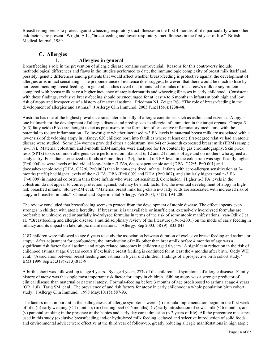Breastfeeding seems to protect against wheezing respiratory tract illnesses in the first 4 months of life, particularly when other risk factors are present. Wright, A.L., "breastfeeding and lower respiratory tract illnesses in the first year of life." British Medical Journal, 1989.

# **C. Allergies 1. Allergies in general**

Breastfeeding's role in the prevention of allergic disease remains controversial. Reasons for this controversy include methodological differences and flaws in the studies performed to date, the immunologic complexity of breast milk itself and, possibly, genetic differences among patients that would affect whether breast-feeding is protective against the development of allergies or is in fact sensitizing. The preponderance of evidence does suggest, however, that there would be much to lose by not recommending breast-feeding. In general, studies reveal that infants fed formulas of intact cow's milk or soy protein compared with breast milk have a higher incidence of atopic dermatitis and wheezing illnesses in early childhood. Consistent with these findings, exclusive breast-feeding should be encouraged for at least 4 to 6 months in infants at both high and low risk of atopy and irrespective of a history of maternal asthma. Friedman NJ, Zeiger RS. "The role of breast-feeding in the development of allergies and asthma." J Allergy Clin Immunol. 2005 Jun;115(6):1238-48.

Australia has one of the highest prevalence rates internationally of allergic conditions, such as asthma and eczema. Atopy is one hallmark for the development of allergic disease and predisposes to allergic inflammation in the target organs. Omega-3 (n-3) fatty acids (FAs) are thought to act as precursors to the formation of less active inflammatory mediators, with the potential to reduce inflammation. To investigate whether increased n-3 FA levels in maternal breast milk are associated with a lower risk of developing atopy in infancy, 620 children born into families where at least one first-degree relative had an atopic disease were studied. Some 224 women provided either a colostrum (n=194) or 3-month expressed breast milk (EBM) sample (n=118). Maternal colostrum and 3-month EBM samples were analysed for FA content by gas chromatography. Skin prick tests (SPTs) to six common allergens were performed on infants at 6, 12 and 24 months of age and on mothers who agreed at study entry. For infants sensitized to foods at 6 months (n=29), the total n-3 FA level in the colostrum was significantly higher  $(P=0.004)$  as were levels of individual long-chain n-3 FAs, docosoapentaenoic acid (DPA, C22:5, P=0.001) and docosahexaenoic acid (DHA, C22:6, P=0.002) than in non-sensitized infants. Infants with aero-allergen sensitization at 24 months (n=30) had higher levels of the n-3 FA, DPA (P=0.002) and DHA (P=0.007), and similarly higher total n-3 FA (P=0.009) in maternal colostrum than those infants who were not sensitized. Conclusion: Higher n-3 FA levels in the colostrum do not appear to confer protection against, but may be a risk factor for, the eventual development of atopy in highrisk breastfed infants. Stoney-RM et al. "Maternal breast milk long-chain n-3 fatty acids are associated with increased risk of atopy in breastfed infants." Clinical and Experimental Allergy. Feb 2004; 34(2): 194-200.

The review concluded that breastfeeding seems to protect from the development of atopic disease. The effect appears even stronger in children with atopic heredity. If breast milk is unavailable or insufficient, extensively hydrolysed formulas are preferable to unhydrolysed or partially hydrolysed formulas in terms of the risk of some atopic manifestations. van-Odijk J et al. "Breastfeeding and allergic disease: a multidisciplinary review of the literature (1966-2001) on the mode of early feeding in infancy and its impact on later atopic manifestations." Allergy. Sep 2003; 58 (9): 833-843

2187 children were followed to age 6 years to study the association between duration of exclusive breast feeding and asthma or atopy. After adjustment for confounders, the introduction of milk other than breastmilk before 4 months of age was a significant risk factor for all asthma and atopy related outcomes in children aged 6 years. A significant reduction in the risk of childhood asthma at age 6 years occurs if exclusive breast feeding is continued for at least the 4 months after birth. Oddy WH et al. "Association between breast feeding and asthma in 6 year old children: findings of a prospective birth cohort study." BMJ 1999 Sep 25;319(7213):815-9

A birth cohort was followed-up to age 4 years. By age 4 years, 27% of the children had symptoms of allergic disease. Family history of atopy was the single most important risk factor for atopy in children. Sibling atopy was a stronger predictor of clinical disease than maternal or paternal atopy. Formula-feeding before 3 months of age predisposed to asthma at age 4 years (OR: 1.8). Tariq SM, et al. The prevalence of and risk factors for atopy in early childhood: a whole population birth cohort study. J Allergy Clin Immunol. 1998 May;101(5):587-93.

The factors most important in the pathogenesis of allergic symptoms were: (i) formula implementation begun in the first week of life; (ii) early weaning (< 4 months); (iii) feeding beef (< 6 months); (iv) early introduction of cow's milk (< 6 months); and (v) parental smoking in the presence of the babies and early day care admission (< 2 years of life). All the preventive measures used in this study (exclusive breastfeeding and/or hydrolyzed milk feeding, delayed and selective introduction of solid foods, and environmental advice) were effective at the third year of follow-up, greatly reducing allergic manifestations in high atopic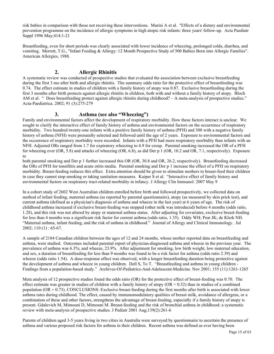risk babies in comparison with those not receiving these interventions. Marini A et al. "Effects of a dietary and environmental prevention programme on the incidence of allergic symptoms in high atopic risk infants: three years' follow-up. Acta Paediatr Suppl 1996 May;414:1-21

Breastfeeding, even for short periods was clearly associated with lower incidence of wheezing, prolonged colds, diarrhea, and vomiting. Merrett, T.G., "Infant Feeding & Allergy: 12 Month Prospective Study of 500 Babies Born into Allergic Families". American Allergies, 1988.

#### **2. Allergic Rhinitis**

A systematic review was conducted of prospective studies that evaluated the association between exclusive breastfeeding during the first 3 mo after birth and allergic rhinitis. The summary odds ratio for the protective effect of breastfeeding was 0.74. The effect estimate in studies of children with a family history of atopy was 0.87. Exclusive breastfeeding during the first 3 months after birth protects against allergic rhinitis in children, both with and without a family history of atopy. Bloch AM et al. " Does breastfeeding protect against allergic rhinitis during childhood? – A meta-analysis of prospective studies." Acta-Paediatrica. 2002; 91 (3):275-279

#### **3. Asthma (see also "Wheezing")**

Family and environmental factors affect the development of respiratory morbidity. How these factors interact is unclear. We sought to clarify the interactive effect of family history of asthma and environmental factors on the occurrence of respiratory morbidity. Two hundred twenty-one infants with a positive family history of asthma (PFH) and 308 with a negative family history of asthma (NFH) were prenatally selected and followed until the age of 2 years. Exposure to environmental factors and the occurrence of respiratory morbidity were recorded. Infants with a PFH had more respiratory morbidity than infants with an NFH. Adjusted ORs ranged from 1.7 for expiratory wheezing to 4.9 for croup. Parental smoking increased the OR of a PFH for wheezing ever (OR, 5.8) and attacks of wheezing (OR, 6.8), as did Der p 1 (OR, 10.2 and OR, 7.1, respectively). Exposure to

both parental smoking and Der p 1 further increased this OR (OR, 30.8 and OR, 26.2, respectively). Breastfeeding decreased the ORs of PFH for tonsillitis and acute otitis media. Parental smoking and Der p 1 increase the effect of a PFH on respiratory morbidity. Breast-feeding reduces this effect. Extra attention should be given to stimulate mothers to breast-feed their children in case they cannot stop smoking or taking sanitation measures. Kuiper S et al. "Interactive effect of family history and environmental factors on respiratory tract-related morbidity in infancy. J Allergy Clin Immunol. 2007 May 9

In a cohort study of 2602 West Australian children enrolled before birth and followed prospectively, we collected data on method of infant feeding, maternal asthma (as reported by parental questionnaire), atopy (as measured by skin prick test), and current asthma (defined as a physician's diagnosis of asthma and wheeze in the last year) at 6 years of age. The risk of childhood asthma increased if exclusive breast-feeding was stopped (other milk was introduced) before 4 months (odds ratio, 1.28), and this risk was not altered by atopy or maternal asthma status. After adjusting for covariates, exclusive breast-feeding for less than 4 months was a significant risk factor for current asthma (odds ratio, 1.35). Oddy WH; Peat JK; de Klerk NH. "Maternal asthma, infant feeding, and the risk of asthma in childhood." Journal of Allergy and Clinical Immunology. Jul  $2002$ ; 110 (1) : 65-67.

A sample of 2184 Canadian children between the ages of 12 and 24 months, whose mother reported data on breastfeeding and asthma, were studied. Outcomes included parental report of physician-diagnosed asthma and wheeze in the previous year. The prevalence of asthma was 6.3%; and wheeze, 23.9%. After adjustment for smoking, low birth weight, low maternal education, and sex, a duration of breastfeeding for less than 9 months was found to be a risk factor for asthma (odds ratio 2.39) and wheeze (odds ratio 1.54). A dose-response effect was observed, with a longer breastfeeding duration being protective against the development of asthma and wheeze in young children. Dell S, To T. "Breastfeeding and asthma in young children - Findings from a population-based study." Archives-Of-Pediatrics-And-Adolescent-Medicine. Nov 2001; 155 (11):1261-1265

Meta analysis of 12 prospective studies found the odds ratio (OR) for the protective effect of breast-feeding was 0.70. The effect estimate was greater in studies of children with a family history of atopy (OR  $= 0.52$ ) than in studies of a combined population (OR = 0.73). CONCLUSIONS: Exclusive breast-feeding during the first months after birth is associated with lower asthma rates during childhood. The effect, caused by immunomodulatory qualities of breast milk, avoidance of allergens, or a combination of these and other factors, strengthens the advantage of breast-feeding, especially if a family history of atopy is present. Gdalevich M, Mimouni D, Mimouni M. Breast-feeding and the risk of bronchial asthma in childhood: a systematic review with meta-analysis of prospective studies. J Pediatr 2001 Aug;139(2):261-6

Parents of children aged 3-5 years living in two cities in Australia were surveyed by questionnaire to ascertain the presence of asthma and various proposed risk factors for asthma in their children. Recent asthma was defined as ever having been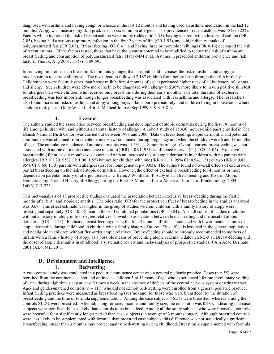diagnosed with asthma and having cough or wheeze in the last 12 months and having used an asthma medication in the last 12 months. Atopy was measured by skin prick tests to six common allergens. The prevalence of recent asthma was 18% to 22%. Factors which increased the risk of recent asthma were: atopy (odds ratio 2.35), having a parent with a history of asthma (OR 2.05), having had a serious respiratory infection in the first 2 years of life (OR 1.93), and a high dietary intake of polyunsaturated fats (OR 2.03). Breast feeding (OR 0.41) and having three or more older siblings (OR 0.16) decreased the risk of recent asthma. Of the factors tested, those that have the greatest potential to be modified to reduce the risk of asthma are breast feeding and consumption of polyunsaturated fats. Haby-MM et al. Asthma in preschool children: prevalence and risk factors. Thorax, Aug 2001; 56 (8) : 589-595

Introducing milk other than breast milk to infants younger than 4 months old increases the risk of asthma and atopy (a predisposition to certain allergies). The investigators followed 2,187 children from before birth through their 6th birthday. Children who were fed milk other than breast milk before 4 months of age experienced higher rates of all indicators of asthma and allergy. Such children were 25% more likely to be diagnosed with allergy and 30% more likely to have a positive skin test for allergies than were children who received only breast milk during their early months. The total duration of exclusive breastfeeding was less important, though longer breastfeeding was associated with less asthma and allergy. The researchers also found increased risks of asthma and atopy among boys, infants born prematurely, and children living in households where smoking took place. Oddy W et al. British Medical Journal Sep 1999;319:815-819.

#### **4. Eczema**

The authors studied the association between breastfeeding and development of atopic dermatitis during the first 18 months of life among children with and without a parental history of allergy. A cohort study of 15,430 mother-child pairs enrolled in The Danish National Birth Cohort was carried out between 1998 and 2000. Data on breastfeeding, atopic dermatitis, and potential confounders was obtained from telephone interviews conducted during pregnancy and when the children were 6 and 18 months of age. The cumulative incidence of atopic dermatitis was 11.5% at 18 months of age. Overall, current breastfeeding was not associated with atopic dermatitis (incidence rate ratio  $IRR$ ) = 0.91, 95% confidence interval (CI): 0.80, 1.04). Exclusive breastfeeding for at least 4 months was associated with an increased risk of atopic dermatitis in children with no parents with allergies (IRR = 1.29, 95% CI: 1.06, 1.55) but not for children with one (IRR = 1.11, 95% CI: 0.94, 1.31) or two (IRR = 0.88, 95% CI: 0.69, 1.13) parents with allergies (test for homogeneity,  $p = 0.03$ ). The authors found no overall effects of exclusive or partial breastfeeding on the risk of atopic dermatitis. However, the effect of exclusive breastfeeding for 4 months or more depended on parental history of allergic diseases. C Benn, J Wohlfahrt, P Aaby et al. Breastfeeding and Risk of Atopic Dermatitis, by Parental History of Allergy, during the First 18 Months of Life American Journal of Epidemiology 2004 160(3):217-223

This meta-analysis of 18 prospective studies evaluated the association between exclusive breast-feeding during the first 3 months after birth and atopic dermatitis. The odds ratio (OR) for the protective effect of breast-feeding in the studies analyzed was 0.68. This effect estimate was higher in the group of studies wherein children with a family history of atopy were investigated separately ( $OR = 0.58$ ) than in those of combined populations ( $OR = 0.84$ ). A small subset of studies of children without a history of atopy in first-degree relatives showed no association between breast-feeding and the onset of atopic dermatitis (OR = 1.43). Exclusive breast-feeding during the first 3 months of life is associated with lower incidence rates of atopic dermatitis during childhood in children with a family history of atopy. This effect is lessened in the general population and negligible in children without first-order atopic relatives. Breast-feeding should be strongly recommended to mothers of infants with a family history of atopy, as a possible means of preventing atopic eczema. Gdalevich M, et al. Breast-feeding and the onset of atopic dermatitis in childhood: a systematic review and meta-analysis of prospective studies. J Am Acad Dermatol 2001 Oct;45(4):520-7.

#### **D. Development and Intelligence 1. Bedwetting**

A case-control study was conducted in a pediatric continence center and a general pediatric practice. Cases  $(n = 55)$  were recruited from the continence center and defined as children 5 to 13 years of age who experienced lifetime involuntary voiding of urine during nighttime sleep at least 2 times a week in the absence of defects of the central nervous system or urinary tract. Age- and gender-matched controls ( $n = 117$ ) who did not exhibit bed-wetting were enrolled from a general pediatric practice. Infant feeding practices were measured as breastfeeding (yes/no) and, for those who were breastfeed, by the duration of breastfeeding and the time of formula supplementation. Among the case subjects, 45.5% were breastfed, whereas among the controls 81.2% were breastfed. After adjusting for race, income, and family size, the odds ratio was 0.283, indicating that case subjects were significantly less likely than controls to be breastfeed. Among all the study subjects who were breastfed, controls were breastfed for a significantly longer period than case subjects (an average of 3 months longer). Although breastfed controls were less likely to be supplemented with formula than breastfed case subjects, this difference was not statistically significant. Breastfeeding longer than 3 months may protect against bed-wetting during childhood. Breast milk supplemented with formula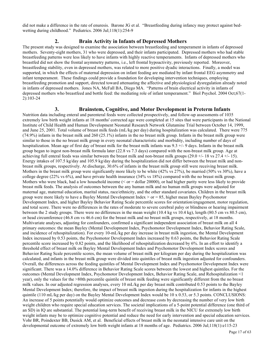did not make a difference in the rate of enuresis. Barone JG et al. "Breastfeeding during infancy may protect against bedwetting during childhood." Pediatrics. 2006 Jul;118(1):254-9

#### **2. Brain Activity in Infants of Depressed Mothers**

The present study was designed to examine the association between breastfeeding and temperament in infants of depressed mothers. Seventy-eight mothers, 31 who were depressed, and their infants participated. Depressed mothers who had stable breastfeeding patterns were less likely to have infants with highly reactive temperaments. Infants of depressed mothers who breastfed did not show the frontal asymmetry patterns, i.e., left frontal hypoactivity, previously reported. Moreover, breastfeeding stability, even in depressed mothers, was related to more positive dyadic interactions. Finally, a model was supported, in which the effects of maternal depression on infant feeding are mediated by infant frontal EEG asymmetry and infant temperament. These findings could provide a foundation for developing intervention techniques, employing breastfeeding promotion and support, directed toward attenuating the affective and physiological dysregulation already noted in infants of depressed mothers. Jones NA, McFall BA, Diego MA. "Patterns of brain electrical activity in infants of depressed mothers who breastfeed and bottle feed: the mediating role of infant temperament." Biol Psychol. 2004 Oct;67(1- 2):103-24

#### **3. Brainstem, Cognitive, and Motor Development in Preterm Infants**

Nutrition data including enteral and parenteral feeds were collected prospectively, and follow-up assessments of 1035 extremely low birth weight infants at 18 months' corrected age were completed at 15 sites that were participants in the National Institute of Child Health and Human Development Neonatal Research Network Glutamine Trial between October 14, 1999, and June 25, 2001. Total volume of breast milk feeds (mL/kg per day) during hospitalization was calculated. There were 775 (74.9%) infants in the breast milk and 260 (25.1%) infants in the no breast milk group. Infants in the breast milk group were similar to those in the no breast milk group in every neonatal characteristic and morbidity, including number of days of hospitalization. Mean age of first day of breast milk for the breast milk infants was 9.3 +/- 9 days. Infants in the breast milk group began to ingest non-breast milk formula later (22.8 vs 7.3 days) compared with the non-breast milk group. Age at achieving full enteral feeds was similar between the breast milk and non-breast milk groups  $(29.0 +1.18)$  vs  $(27.4 +1.15)$ . Energy intakes of 107.5 kg/day and 105.9 kg/day during the hospitalization did not differ between the breast milk and nonbreast milk groups, respectively. At discharge, 30.6% of infants in the breast milk group still were receiving breast milk. Mothers in the breast milk group were significantly more likely to be white (42% vs 27%), be married (50% vs 30%), have a college degree (22% vs 6%), and have private health insurance (34% vs 18%) compared with the no breast milk group. Mothers who were black, had a low household income  $( $or =$  dollar 20000), or had higher parity were less likely to provide$ breast milk feeds. The analysis of outcomes between the any human milk and no human milk groups were adjusted for maternal age, maternal education, marital status, race/ethnicity, and the other standard covariates. Children in the breast milk group were more likely to have a Bayley Mental Development Index  $>$  or  $= 85$ , higher mean Bayley Psychomotor Development Index, and higher Bayley Behavior Rating Scale percentile scores for orientation/engagement, motor regulation, and total score. There were no differences in the rates of moderate to severe cerebral palsy or blindness or hearing impairment between the 2 study groups. There were no differences in the mean weight  $(10.4 \text{ kg y s } 10.4 \text{ kg})$ , length  $(80.5 \text{ cm vs } 80.5 \text{ cm})$ , or head circumference (46.8 cm vs 46.6 cm) for the breast milk and no breast milk groups, respectively, at 18 months. Multivariate analyses, adjusting for confounders, confirmed a significant independent association of breast milk on all 4 primary outcomes: the mean Bayley (Mental Development Index, Psychomotor Development Index, Behavior Rating Scale, and incidence of rehospitalization). For every 10-mL/kg per day increase in breast milk ingestion, the Mental Development Index increased by 0.53 points, the Psychomotor Development Index increased by 0.63 points, the Behavior Rating Scale percentile score increased by 0.82 points, and the likelihood of rehospitalization decreased by 6%. In an effort to identify a threshold effect of breast milk on Bayley Mental Development Index and Psychomotor Development Index scores and Behavior Rating Scale percentile scores, the mean volume of breast milk per kilogram per day during the hospitalization was calculated, and infants in the breast milk group were divided into quintiles of breast milk ingestion adjusted for confounders. Overall, the differences across the feeding quintiles of Mental Development Index and Psychomotor Development Index were significant. There was a 14.0% difference in Behavior Rating Scale scores between the lowest and highest quintiles. For the outcomes (Mental Development Index, Psychomotor Development Index, Behavior Rating Scale, and Rehospitalization <1 year), only the values for the >80th percentile quintile of breast milk feeding were significantly different from the no breast milk values. In our adjusted regression analyses, every 10 mL/kg per day breast milk contributed 0.53 points to the Bayley Mental Development Index; therefore, the impact of breast milk ingestion during the hospitalization for infants in the highest quintile (110 mL/kg per day) on the Bayley Mental Development Index would be 10 x 0.53, or 5.3 points. CONCLUSIONS: An increase of 5 points potentially would optimize outcomes and decrease costs by decreasing the number of very low birth weight children who require special education services. The societal implications of a 5-point potential difference (one third of an SD) in IQ are substantial. The potential long-term benefit of receiving breast milk in the NICU for extremely low birth weight infants may be to optimize cognitive potential and reduce the need for early intervention and special education services. Vohr BR, Poindexter BB, Dusick AM, et al. Beneficial effects of breast milk in the neonatal intensive care unit on the developmental outcome of extremely low birth weight infants at 18 months of age. Pediatrics. 2006 Jul;118(1):e115-23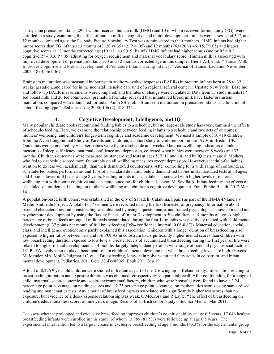Thirty-nine premature infants, 29 of whom received human milk (HMG) and 10 of whom received formula only (FG), were enrolled in a study examining the effect of human milk on cognitive and motor development. Infants were assessed at 3, 7, and 12 months corrected ages; the Peabody Picture Vocabulary Test was administered to their mothers. HMG infants had higher motor scores than FG infants at 3 months (48 $\pm$ 20 vs 35 $\pm$ 12, P = .05) and 12 months (63 $\pm$ 20 vs 46 $\pm$ 15, P<.05) and higher cognitive scores at 12 months corrected age (101 $\pm$ 11 vs 90 $\pm$ 9, P<.05). HMG infants had higher scores (motor R<sup>2</sup> = 0.2, cognitive  $R^2 = 0.3$ ; P<.05) adjusting for oxygen requirement and maternal vocabulary score. Human milk is associated with improved development of premature infants at 3 and 12 months corrected age in this sample. Bier J-AB, et al. "Human Milk Improves Cognitive and Motor Development of Premature Infants During Infancy." Journal of Human Lactation November 2002, 18 (4) 361-367

Brainstem maturation was measured by brainstem auditory-evoked responses (BAERs) in preterm infants born at 28 to 32 weeks' gestation, and cared for in the neonatal intensive care unit of a regional referral center in Upstate New York. Baseline and follow-up BAER measurements were compared, and the rates of change were calculated. Data from 37 study infants (17 fed breast milk and 20 fed commercial premature formula) revealed that infants fed breast milk have faster brainstem maturation, compared with infants fed formula. Amin SB et al. "Brainstem maturation in premature infants as a function of enteral feeding type." Pediatrics Aug 2000; 106 (2): 318-322.

#### **4. Cognitive Development, Intelligence, and IQ**

Many popular childcare books recommend feeding babies to a schedule, but no large-scale study has ever examined the effects of schedule-feeding. Here, we examine the relationship between feeding infants to a schedule and two sets of outcomes: mothers' wellbeing, and children's longer-term cognitive and academic development. We used a sample of 10 419 children from the Avon Longitudinal Study of Parents and Children, a cohort study of children born in the 1990s in Bristol, UK. Outcomes were compared by whether babies were fed to a schedule at 4 weeks. Maternal wellbeing indicators include measures of sleep sufficiency, maternal confidence and depression, collected when babies were between 8 weeks and 33 months. Children's outcomes were measured by standardized tests at ages 5, 7, 11 and 14, and by IQ tests at age 8. Mothers who fed to a schedule scored more favourably on all wellbeing measures except depression. However, schedule-fed babies went on to do less well academically than their demand-fed counterparts. After controlling for a wide range of confounders, schedule-fed babies performed around 17% of a standard deviation below demand-fed babies in standardized tests at all ages, and 4 points lower in IQ tests at age 8 years. Feeding infants to a schedule is associated with higher levels of maternal wellbeing, but with poorer cognitive and academic outcomes for children. Iacovou M, Sevilla A. Infant feeding: the effects of scheduled vs. on-demand feeding on mothers' wellbeing and children's cognitive development. Eur J Public Health. 2012 Mar 14

A population-based birth cohort was established in the city of Sabadell (Catalonia, Spain) as part of the INMA-INfancia y Medio Ambiente Project. A total of 657 women were recruited during the first trimester of pregnancy. Information about parental characteristics and breastfeeding was obtained by using a questionnaire, and trained psychologists assessed mental and psychomotor development by using the Bayley Scales of Infant Development in 504 children at 14 months of age. A high percentage of breastfeeds among all milk feeds accumulated during the first 14 months was positively related with child mental development (0.37 points per month of full breastfeeding [95% confidence interval: 0.06-0.67]). Maternal education, social class, and intelligence quotient only partly explained this association. Children with a longer duration of breastfeeding also exposed to higher ratios between n-3 and n-6 PUFAs in colostrum had significantly higher mental scores than children with low breastfeeding duration exposed to low levels. Greater levels of accumulated breastfeeding during the first year of life were related to higher mental development at 14 months, largely independently from a wide range of parental psychosocial factors. LC-PUFA levels seem to play a beneficial role in children's mental development when breastfeeding levels are high. Guxens M, Mendez MA, Moltó-Puigmartí C, et al. Breastfeeding, long-chain polyunsaturated fatty acids in colostrum, and infant mental development. Pediatrics. 2011 Oct;128(4):e880-9. Epub 2011 Sep 19.

A total of 8,226 9 year-old children were studied in Ireland as part of the 'Growing up in Ireland' study. Information relating to breastfeeding initiation and exposure duration was obtained retrospectively via parental recall. After confounding for a range of child, maternal, socio-economic and socio-environmental factors, children who were breastfed were found to have a 3.24 percentage point advantage on reading scores and a 2.23 percentage point advantage on mathematics scores using standardised reading and mathematics tests. Any amount of breastfeeding was associated with significantly higher test scores than no exposure, but evidence of a dose-response relationship was weak. C McCrory and R Layte. "The effect of breastfeeding on children's educational test scores at nine years of age: Results of an Irish cohort study." Soc Sci Med 21 Mar 2011.

To assess whether prolonged and exclusive breastfeeding improves children's cognitive ability at age 6.5 years, 17 046 healthy breastfeeding infants were enrolled in this study, of whom 13 889 (81.5%) were followed up at age 6.5 years. The experimental intervention led to a large increase in exclusive breastfeeding at age 3 months (43.3% for the experimental group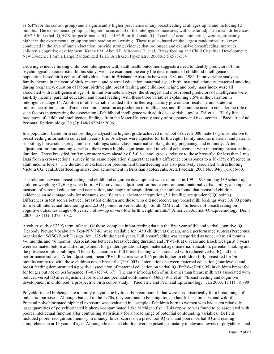vs 6.4% for the control group) and a significantly higher prevalence of any breastfeeding at all ages up to and including 12 months. The experimental group had higher means on all of the intelligence measures, with cluster-adjusted mean differences of  $+7.5$  for verbal IQ,  $+2.9$  for performance IQ, and  $+5.9$  for full-scale IQ. Teachers' academic ratings were significantly higher in the experimental group for both reading and writing. These results, based on the largest randomized trial ever conducted in the area of human lactation, provide strong evidence that prolonged and exclusive breastfeeding improves children's cognitive development. Kramer M, Aboud F, Mironova E, et al. Breastfeeding and Child Cognitive Development: New Evidence From a Large Randomized Trial. Arch Gen Psychiatry. 2008;65(5):578-584

Growing evidence linking childhood intelligence with adult health outcomes suggests a need to identify predictors of this psychological characteristic. In this study, we have examined the early life determinants of childhood intelligence in a population-based birth cohort of individuals born in Brisbane, Australia between 1981 and 1984. In univariable analyses, family income in the year of birth, maternal and paternal education, maternal age at birth, maternal ethnicity, maternal smoking during pregnancy, duration of labour, birthweight, breast feeding and childhood height, and body mass index were all associated with intelligence at age 14. In multivariable analyses, the strongest and most robust predictors of intelligence were fan-Lily income, parental education and breast feeding, with these three variables explaining 7.5% of the variation in intelligence at age 14. Addition of other variables added little further explanatory power. Our results demonstrate the importance of indicators of socio-economic position as predictors of intelligence, and illustrate the need to consider the role of such factors in generating the association of childhood intelligence with adult disease risk. Lawlor, DA et al. "Early life predictors of childhood intelligence: findings from the Mater-University study of pregnancy and its outcomes." Paediatric And Perinatal Epidemiology, 20 (2): 148-162 Mar 2006.

In a population-based birth cohort, they analysed the highest grade achieved in school of over 2,000 male 18-y-olds relative to breastfeeding information collected in early life. Analyses were adjusted for birthweight, family income, maternal and paternal schooling, household assets, number of siblings, social class, maternal smoking during pregnancy, and ethnicity. After adjustment for confounding variables, there was a highly significant trend in school achievement with increasing breastfeeding duration. Those breastfed for 9 mo or more were ahead by 0.5-0.8 school grades, relative to those breastfed for less than 1 mo. Data from a cross-sectional survey in the same population suggest that such a difference corresponds to a 10-15% difference in adult income levels. The duration of exclusive or predominant breastfeeding was also positively associated with schooling. Victora CG, et al.Breastfeeding and school achievement in Brazilian adolescents. Acta Paediatr. 2005 Nov;94(11):1656-60.

The relation between breastfeeding and childhood cognitive development was examined in 1991-1993 among 439 school-age children weighing <1,500 g when born. After covariate adjustment for home environment, maternal verbal ability, a composite measure of parental education and occupation, and length of hospitalization, the authors found that breastfed children evidenced an advantage only for measures specific to visual-motor integration (5.1 intelligence quotient (IQ) points). Differences in test scores between breastfed children and those who did not receive any breast milk feedings were 3.6 IQ points for overall intellectual functioning and 2.3 IQ points for verbal ability. Smith MM et al. "Influence of breastfeeding on cognitive outcomes at age 6-8 years: Follow-up of very low birth weight infants." American-Journal-Of-Epidemiology. Dec 1 2003; 158 (11): 1075-1082.

A cohort study of 2393 term infants. Of these, complete infant feeding data in the first year of life and verbal cognitive IQ (Peabody Picture Vocabulary Test-PPVT-R) were available for 1450 children at 6 years, and a performance subtest (Perceptual organisation WISC-Block Design) for 1375 children at 8 years. Full breastfeeding was categorised as none, >0 to <4 months, 4-6 months and >6 months. Associations between breast-feeding duration and PPVT-R at 6 years and Block Design at 8 years were estimated before and after adjustment for gender, gestational age, maternal age, maternal education, parental smoking and the presence of older siblings. The early cessation of full breast feeding was associated with reduced verbal IQ and the performance subtest. After adjustment, mean PPVT-R scores were 3.56 points higher in children fully breast fed for >6 months compared with those children never breast fed (P=0.003). Interactions between maternal education (four levels) and breast feeding demonstrated a positive association of maternal education on verbal IQ (F=2.64; P=0.005) in children breast fed for longer but not on performance  $(F=0.74; P=0.67)$ . The early introduction of milk other than breast milk was associated with reduced verbal IQ after adjustment for social and perinatal confounders. Oddy-WH et al. "Breast feeding and cognitive development in childhood: a prospective birth cohort study." Paediatric and Perinatal Epidemiology. Jan 2003; 17 (1) : 81-90

Polychlorinated biphenyls are a family of synthetic hydrocarbon compounds that were used historically for a broad range of industrial purposes. Although banned in the 1970s, they continue to be ubiquitous in landfills, sediments, and wildlife. Prenatal polychlorinated biphenyl exposure was evaluated in a sample of children born to women who had eaten relatively large quantities of polychlorinated biphenyl-contaminated Lake Michigan fish. This exposure was found to be associated with poorer intellectual function after controlling statistically for a broad range of potential confounding variables. Deficits included poorer recognition memory in infancy, lower scores on a preschool IQ test, and poorer verbal IQ and reading comprehension at 11 years of age. Although breast-fed children were exposed postnatally to elevated levels of polychlorinated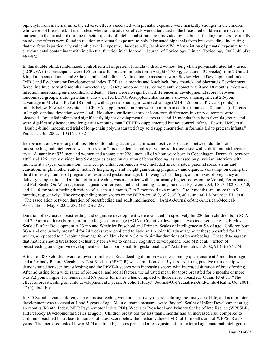biphenyls from maternal milk, the adverse effects associated with prenatal exposure were markedly stronger in the children who were not breast-fed. It is not clear whether the adverse effects were attenuated in the breast-fed children dire to certain nutrients in the breast milk or due to better quality of intellectual stimulation provided by the breast-feeding mothers. Virtually no adverse effects were found in relation to postnatal exposure to polychlorinated biphenyls from breast-feeding, indicating that the fetus is particularly vulnerable to this exposure. Jacobson-JL; Jacobson-SW. "Association of prenatal exposure to an environmental contaminant with intellectual function in childhood." Journal of Toxicology Clinical Toxicology. 2002; 40 (4) : 467-475

In this double-blind, randomized, controlled trial of preterm formula with and without long-chain polyunsaturated fatty acids (LCPUFA), the participants were 195 formula-fed preterm infants (birth weight <1750 g, gestation <37 weeks) from 2 United Kingdom neonatal units and 88 breast milk-fed infants. Main outcome measures were Bayley Mental Developmental Index (MDI) and Psychomotor Developmental Index (PDI) at 18 months and Knobloch, Passamanick and Sherrard's Developmental Screening Inventory at 9 months' corrected age. Safety outcome measures were anthropometry at 9 and 18 months, tolerance, infection, necrotizing enterocolitis, and death. There were no significant differences in developmental scores between randomized groups, although infants who were fed LCPUFA-supplemented formula showed a nonsignificant 2.6-point advantage in MDI and PDI at 18 months, with a greater (nonsignificant) advantage (MDI: 4.5 points; PDI: 5.8 points) in infants below 30 weeks' gestation. LCPUFA-supplemented infants were shorter than control infants at 18 months (difference in length standard deviation score: 0.44). No other significant short- or long-term differences in safety outcomes were observed. Breastfed infants had significantly higher developmental scores at 9 and 18 months than both formula groups and were significantly heavier and longer at 18 months than LCPUFA-supplemented but not control infants. Fewtrell MS; et al. "Double-blind, randomized trial of long-chain polyunsaturated fatty acid supplementation in formula fed to preterm infants." Pediatrics, Jul 2002; 110 (1): 73-82

Independent of a wide range of possible confounding factors, a significant positive association between duration of breastfeeding and intelligence was observed in 2 independent samples of young adults, assessed with 2 different intelligence tests. A sample of 973 men and women and a sample of 2280 men, all of whom were born in Copenhagen, Denmark, between 1959 and 1961, were divided into 5 categories based on duration of breastfeeding, as assessed by physician interview with mothers at a 1-year examination. Thirteen potential confounders were included as covariates: parental social status and education; single mother status; mother's height, age, and weight gain during pregnancy and cigarette consumption during the third trimester; number of pregnancies; estimated gestational age; birth weight; birth length; and indexes of pregnancy and delivery complications. Duration of breastfeeding was associated with significantly higher scores on the Verbal, Performance, and Full Scale IQs. With regression adjustment for potential confounding factors, the mean IQs were 99.4, 101.7, 102.3, 106.0, and 104.0 for breastfeeding durations of less than 1 month, 2 to 3 months, 4 to 6 months, 7 to 9 months, and more than 9 months, respectively. The corresponding mean scores on the BPP were 38.0, 39.2, 39.9, 40.1, and 40.1 Mortensen EL; et al. "The association between duration of breastfeeding and adult intelligence." JAMA-Journal-of-the-American-Medical-Association. May 8 2002; 287 (18):2365-2371

Duration of exclusive breastfeeding and cognitive development were evaluated prospectively for 220 term children born SGA and 299 term children born appropriate for gestational age (AGA). Cognitive development was assessed using the Bayley Scale of Infant Development at 13 mo and Wechsler Preschool and Primary Scales of Intelligence at 5 y of age. Children born SGA and exclusively breastfed for 24 weeks were predicted to have an 11-point IQ advantage over those breastfed for 12 weeks, as opposed to a 3-point advantage for children born AGA with similar durations of breastfeeding. These data suggest that mothers should breastfeed exclusively for 24 wk to enhance cognitive development. Rao MR et al. "Effect of breastfeeding on cognitive development of infants born small for gestational age." Acta-Paediatrica. 2002; 91 (3):267-274.

A total of 3880 children were followed from birth. Breastfeeding duration was measured by questionaire at 6 months of age and a Peabody Picture Vocabulary Test Revised (PPVT-R) was administered at 5 years. A strong positive relationship was demonstrated between breastfeeding and the PPVT-R scores with increasing scores with increased duration of breastfeeding. After adjusting for a wide range of biological and social factors, the adjusted mean for those breastfed for 6 months or more was 8.2 points higher for females and 5.8 points for males when compared to those never breastfed. Quinn-PJ et al. "The effect of breastfeeding on child development at 5 years: A cohort study." Journal-Of-Paediatrics-And-Child-Health. Oct 2001; 37 (5): 465-469.

In 345 Scandinavian children, data on breast feeding were prospectively recorded during the first year of life, and neuromotor development was assessed at 1 and 5 years of age. Main outcome measures were Bayley's Scales of Infant Development at age 13 months (Mental Index, MDI; Psychomotor Index, PDI), Wechsler Preschool and Primary Scales of Intelligence (WPPSI-R), and Peabody Developmental Scales at age 5. Children breast fed for less than 3months had an increased risk, compared to children breast fed for at least 6 months, of a test score below the median value of MDI at 13 months and of WPPSI-R at 5 years. The increased risk of lower MDI and total IQ scores persisted after adjustment for maternal age, maternal intelligence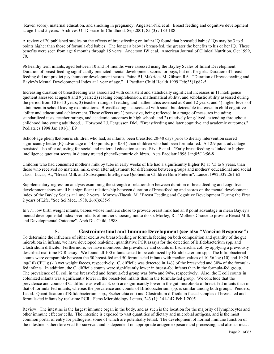(Raven score), maternal education, and smoking in pregnancy. Angelsen-NK et al. Breast feeding and cognitive development at age 1 and 5 years. Archives-Of-Disease-In-Childhood. Sep 2001; 85 (3) : 183-188

A review of 20 published studies on the effects of breastfeeding on infant IQ found that breastfed babies' IQs may be 3 to 5 points higher than those of formula-fed babies. The longer a baby is breast-fed, the greater the benefits to his or her IQ. These benefits were seen from age 6 months through 15 years. Anderson JW et al. American Journal of Clinical Nutrition, Oct 1999, 70.

96 healthy term infants, aged between 10 and 14 months were assessed using the Bayley Scales of Infant Development. Duration of breast-feeding significantly predicted mental development scores for boys, but not for girls. Duration of breastfeeding did not predict psychomotor development scores. Paine BJ, Makrides M, Gibson RA. "Duration of breast-feeding and Bayley's Mental Developmental Index at 1 year of age." J Paediatr Child Health 1999 Feb;35(1):82-5.

Increasing duration of breastfeeding was associated with consistent and statistically significant increases in 1) intelligence quotient assessed at ages 8 and 9 years; 2) reading comprehension, mathematical ability, and scholastic ability assessed during the period from 10 to 13 years; 3) teacher ratings of reading and mathematics assessed at 8 and 12 years; and 4) higher levels of attainment in school leaving examinations. Breastfeeding is associated with small but detectable increases in child cognitive ability and educational achievement. These effects are 1) pervasive, being reflected in a range of measures including standardized tests, teacher ratings, and academic outcomes in high school; and 2) relatively long-lived, extending throughout childhood into young adulthood. . Horwood LJ, Fergusson DM. "Breastfeeding and later cognitive and academic outcomes." Pediatrics 1998 Jan;101(1):E9

School-age phenylketonuric children who had, as infants, been breastfed 20-40 days prior to dietary intervention scored significantly better (IQ advantage of 14.0 points,  $p = 0.01$ ) than children who had been formula fed. A 12.9 point advantage persisted also after adjusting for social and maternal education status. Riva E et al. "Early breastfeeding is linked to higher intelligence quotient scores in dietary treated phenylketonuric children. Acta Paediatr 1996 Jan;85(1):56-8

Children who had consumed mother's milk by tube in early weeks of life had a significantly higher IQ at 7.5 to 8 years, than those who received no maternal milk, even after adjustment for differences between groups and mothers' educational and social class. Lucas, A., "Breast Milk and Subsequent Intelligence Quotient in Children Born Preterm". Lancet 1992;339:261-62

Supplementary regression analysis examining the strength of relationship between duration of breastfeeding and cognitive development show small but significant relationship between duration of breastfeeding and scores on the mental development index of the Bayley Scales at 1 and 2 years. Morrow-Tlucak, M. "Breast Feeding and Cognitive Development During the First 2 years of Life. "Soc Sci Med, 1988, 26(6):635-9.

In 771 low birth weight infants, babies whose mothers chose to provide breast milk had an 8 point advantage in mean Bayley's mental developmental index over infants of mother choosing not to do so. Morley, R., "Mothers Choice to provide Breast Milk and Developmental Outcome". Arch Dis Child, 1988

#### **5. Gastrointestinal and Immune Development (see also "Vaccine Response")**

To determine the influence of either exclusive breast-feeding or formula feeding on both composition and quantity of the gut microbiota in infants, we have developed real-time, quantitative PCR assays for the detection of Bifidobacterium spp. and Clostridium difficile. Furthermore, we have monitored the prevalence and counts of Escherichia coli by applying a previously described real-time PCR assay. We found all 100 infants tested to be colonized by Bifidobacterium spp. The bifidobacterial counts were comparable between the 50 breast-fed and 50 formula-fed infants with median values of 10.56 log (10) and 10.24 log(10) CFU g (-1) wet weight faeces, respectively. C. difficile was detected in 14% of the breast-fed and 30% of the formulafed infants. In addition, the C. difficile counts were significantly lower in breast-fed infants than in the formula-fed group. The prevalence of E. coli in the breast-fed and formula-fed group was 80% and 94%, respectively. Also, the E coli counts in colonized infants was significantly lower in the breast-fed infants than in the formula-fed group. We conclude that the prevalence and counts of C. difficile as well as E. coli are significantly lower in the gut microbiota of breast-fed infants than in that of formula-fed infants, whereas the prevalence and counts of Bifidobacterium spp. is similar among both groups. Penders, J et al. Quantification of Bifidobacterium spp., Escherichia coli and Clostridium difficile in faecal samples of breast-fed and formula-fed infants by real-time PCR. Fems Microbiology Letters, 243 (1): 141-147 Feb 1 2005

Review: The intestine is the largest immune organ in the body, and as such is the location for the majority of lymphocytes and other immune effector cells. The intestine is exposed to vast quantities of dietary and microbial antigens, and is the most common portal of entry for pathogens, some of which are potentially lethal. The development of normal immune function of the intestine is therefore vital for survival, and is dependent on appropriate antigen exposure and processing, and also an intact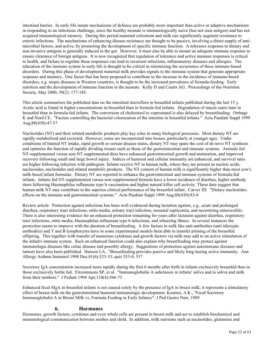intestinal barrier. In early life innate mechanisms of defence are probably more important than active or adaptive mechanisms in responding to an infectious challenge, since the healthy neonate is immunologically naive (has not seen antigen) and has not acquired immunological memory. During this period maternal colostrum and milk can significantly augment resistance to enteric infections. The mechanisms of enhancing disease resistance are thought to be passive, involving a direct supply of antimicrobial factors, and active, by promoting the development of specific immune function. A tolerance response to dietary and non-invasive antigens is generally induced in the gut. However, it must also be able to mount an adequate immune response to ensure clearance of foreign antigens. It is now recognized that regulation of tolerance and active immune responses is critical to health, and failure to regulate these responses can lead to recurrent infections, inflammatory diseases and allergies. The education of the immune system in early life is thought to be critical in minimizing the occurrence of these immune-based disorders. During this phase of development maternal milk provides signals to the immune system that generate appropriate response and memory. One factor that has been proposed to contribute to the increase in the incidence of immune-based disorders, e.g. atopic diseases in Western countries, is thought to be the increased prevalence of formula-feeding. Early nutrition and the development of immune function in the neonate. Kelly D and Coutts AG. Proceedings of the-Nutrition Society, May 2000; 59(2): 177-185.

This article summarizes the published data on the intestinal microflora in breastfed infants published during the last 15 y. Acetic acid is found in higher concentrations in breastfed than in formula-fed infants. Degradation of mucin starts later in breastfed than in formula-fed infants. The conversion of cholesterol to coprostanol is also delayed by breastfeeding. Orrhage K and Nord CE. "Factors controlling the bacterial colonization of the intestine in breastfed infants." Acta Paediatr Suppl 1999 Aug;88(430):47-57

Nucleotides (NT) and their related metabolic products play key roles in many biological processes. Most dietary NT are rapidly metabolized and excreted. However, some are incorporated into tissues, particularly at younger ages. Under conditions of limited NT intake, rapid growth or certain disease states, dietary NT may spare the cost of de novo NT synthesis and optimize the function of rapidly dividing tissues such as those of the gastrointestinal and immune systems. Animals fed NT-supplemented versus non-NT supplemented diets have enhanced gastrointestinal growth and maturation, and improved recovery following small and large bowel injury. Indices of humoral and cellular immunity are enhanced, and survival rates are higher following infection with pathogens. Infants receive NT in human milk, where they are present as nucleic acids, nucleosides, nucleotides and related metabolic products. The NT content of human milk is significantly higher than most cow's milk-based infant formulae. Dietary NT are reported to enhance the gastrointestinal and immune systems of formula-fed infants. Infants fed NT-supplemented versus non-supplemented formula have a lower incidence of diarrhea, higher antibody titers following Haemophilus influenzae type b vaccination and higher natural killer cell activity. These data suggest that human milk NT may contribute to the superior clinical performance of the breastfed infant. Carver JD. "Dietary nucleotides: effects on the immune and gastrointestinal systems." Acta Paediatr Suppl 1999 Aug;88(430):83-8

Review article: Protection against infections has been well evidenced during lactation against, e.g., acute and prolonged diarrhea, respiratory tract infections, otitis media, urinary tract infection, neonatal septicemia, and necrotizing enterocolitis. There is also interesting evidence for an enhanced protection remaining for years after lactation against diarrhea, respiratory tract infections, otitis media, Haemophilus influenzae type b infections, and wheezing illness. In several instances the protection seems to improve with the duration of breastfeeding. A few factors in milk like anti-antibodies (anti-idiotypic antibodies) and T and B lymphocytes have in some experimental models been able to transfer priming of the breastfed offspring. This together with transfer of numerous cytokines and growth factors via milk may add to an active stimulation of the infant's immune system. Such an enhanced function could also explain why breastfeeding may protect against immunologic diseases like celiac disease and possibly allergy. Suggestions of protection against autoimmune diseases and tumors have also been published. Hanson LA. "Breastfeeding provides passive and likely long-lasting active immunity. Ann Allergy Asthma Immunol 1998 Dec;81(6):523-33; quiz 533-4, 537

Secretory IgA concentration increased more rapidly during the first 6 months after birth in infants exclusively breastfed than in those exclusively bottle fed. Fitzsimmons SP, et al. "Immunoglobulin A subclasses in infants' saliva and in saliva and milk from their mothers." J Pediatr 1994 Apr;124(4):566-73

Enhanced fecal SIgA in breastfed infants is not caused solely by the presence of IgA in breast milk; it represents a stimulatory effect of breast milk on the gastrointestinal humoral immunologic development. Koutras, A.K., "Fecal Secretory Immunoglobulin A in Breast Milk vs. Formula Feeding in Early Infancy". J Ped Gastro Nutr, 1989.

## **6. Hormones**

Hormones, growth factors, cytokines and even whole cells are present in breast milk and act to establish biochemical and immunological communication between mother and child. In addition, milk nutrients such as nucleotides, glutamine and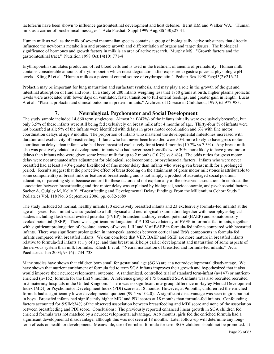lactoferrin have been shown to influence gastrointestinal development and host defense. Bernt KM and Walker WA. "Human milk as a carrier of biochemical messages." Acta Paediatr Suppl 1999 Aug;88(430):27-41.

Human milk as well as the milk of several mammalian species contains a group of biologically active substances that directly influence the newborn's metabolism and promote growth and differentiation of organs and target tissues. The biological significance of hormones and growth factors in milk is an area of active research. Murphy MS. "Growth factors and the gastrointestinal tract." Nutrition 1998 Oct;14(10):771-4

Erythropoietin stimulates production of red blood cells and is used in the treatment of anemia of prematurity. Human milk contains considerable amounts of erythropoietin which resist degradation after exposure to gastric juices at physiologic pH levels. Kling PJ et al. "Human milk as a potential enteral source of erythropoietin." Pediatr Res 1998 Feb;43(2):216-21

Prolactin may be important for lung maturation and surfactant synthesis, and may play a role in the growth of the gut and intestinal absorption of fluid and ions. In a study of 280 infants weighing less that 1850 grams at birth, higher plasma prolactin levels were associated with fewer days on ventilator, faster transition to full enteral feedings, and greater gain in length. Lucas A et al. "Plasma prolactin and clinical outcome in preterm infants." Archives of Disease in Childhood, 1990, 65:977-983.

#### **7. Neurological, Psychomotor and Social Development**

The study sample included 14,660 term singletons. Almost half (47%) of the infants initially were exclusively breastfed, but only 3.5% of these infants were still being fed exclusively on breast milk after 4 months of age. Thirty-four % of infants were not breastfed at all; 9% of the infants were identified with delays in gross motor coordination and 6% with fine motor coordination delays at age 9 months. The proportion of infants who mastered the developmental milestones increased with duration and exclusivity of breastfeeding. Infants who had never been breastfed were 50% more likely to have gross motor coordination delays than infants who had been breastfed exclusively for at least 4 months (10.7% vs 7.3%). Any breast milk also was positively related to development: infants who had never been breastfed were 30% more likely to have gross motor delays than infants who were given some breast milk for up to 2 months (10.7% vs 8.4%). The odds ratios for gross motor delay were not attenuated after adjustment for biological, socioeconomic, or psychosocial factors. Infants who were never breastfed had at least a 40% greater likelihood of fine motor delay than infants who were given breast milk for a prolonged period. Results suggest that the protective effect of breastfeeding on the attainment of gross motor milestones is attributable to some component(s) of breast milk or feature of breastfeeding and is not simply a product of advantaged social position, education, or parenting style, because control for these factors did not explain any of the observed association. In contrast, the association between breastfeeding and fine motor delay was explained by biological, socioeconomic, and psychosocial factors. Sacker A, Quigley M, Kelly Y. **"**Breastfeeding and Developmental Delay: Findings From the Millennium Cohort Study." Pediatrics Vol. 118 No. 3 September 2006, pp. e682-e689

The study included 53 normal, healthy infants (30 exclusively breastfed infants and 23 exclusively formula-fed infants) at the age of 1 yeae. Each infant was subjected to a full physical and neurological examination together with neurophysiological studies including flash visual evoked potential (FVEP), brainstem auditory evoked potential (BAEP) and somatosensory evoked potential (SSEP). There was significant prolongation of P-100 wave latency of FVEP in formula-fed infants, together with significant prolongation of absolute latency of waves I, III and V of BAEP in formula-fed infants compared with breastfed infants. There was significant prolongation in inter-peak latencies between cortical and Erb's components in formula-fed infants compared with breastfed infants. We can conclude that VEP, BAEP and SSEP are more mature in breastfed infants relative to formula-fed infants at 1 y of age, and thus breast milk helps earlier development and maturation of some aspects of the nervous system than milk formulas. Khedr E et al. "Neural maturation of breastfed and formula-fed infants." Acta Paediatrica. Jun 2004; 93 (6) : 734-738

Many studies have shown that children born small for gestational age (SGA) are at a neurodevelopmental disadvantage. We have shown that nutrient enrichment of formula fed to term SGA infants improves their growth and hypothesized that it also would improve their neurodevelopmental outcome. A randomized, controlled trial of standard term-infant (n=147) or nutrientenriched (n=152) formula for the first 9 months. A reference group of 175 breastfed SGA infants was also recruited recruited in 5 maternity hospitals in the United Kingdom. There was no significant intergroup difference in Bayley Mental Development Index (MDI) or Psychomotor Development Index (PDI) scores at 18 months. However, at 9months, children fed the enriched formula had a significantly lower developmental quotient (99.5 vs 102.0). A significant disadvantage was seen in girls but not in boys. Breastfed infants had significantly higher MDI and PDI scores at 18 months than formula-fed infants. Confounding factors accounted for ∼34% of the observed association between breastfeeding and MDI score and none of the association between breastfeeding and PDI score. Conclusions: The previously reported enhanced linear growth in SGA children fed enriched formula was not matched by a neurodevelopmental advantage. At 9 months, girls fed the enriched formula had a significant developmental disadvantage, although this was not seen at 18 months. Later follow-up will determine any longterm effects on health or development. Meanwhile, use of enriched formula for term SGA children should not be promoted. It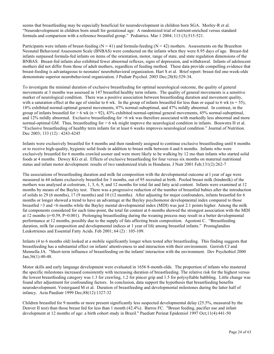seems that breastfeeding may be especially beneficial for neurodevelopment in children born SGA. Morley-R et al. "Neurodevelopment in children born small for gestational age: A randomized trial of nutrient-enriched versus standard formula and comparison with a reference breastfed group." Pediatrics. Mar 1 2004; 113 (3):515-521.

Participants were infants of breast-feeding ( $N = 41$ ) and formula-feeding ( $N = 42$ ) mothers. Assessments on the Brazelton Neonatal Behavioral Assessment Scale (BNBAS) were conducted on the infants when they were 8.95 days of age. Breast-fed infants surpassed formula-fed infants on items of the orientation, motor, range of state, and state regulation dimensions of the BNBAS. Breast-fed infants also exhibited fewer abnormal reflexes, signs of depression, and withdrawal. Infants of adolescent mothers did not differ from those of adult mothers, regardless of feeding method. These data provide compelling evidence that breast-feeding is advantageous to neonates' neurobehavioral organization. Hart S et al. Brief report: breast-fed one-week-olds demonstrate superior neurobehavioral organization. J Pediatr Psychol. 2003 Dec;28(8):529-34.

To investigate the minimal duration of exclusive breastfeeding for optimal neurological outcome, the quality of general movements at 3 months was assessed in 147 breastfed healthy term infants. The quality of general movements is a sensitive marker of neurological condition. There was a positive association between breastfeeding duration and movement quality, with a saturation effect at the age of similar to 6 wk. In the group of infants breastfed for less than or equal to 6 wk ( $n = 55$ ), 18% exhibited normal-optimal general movements, 47% normal-suboptimal, and 47% mildly abnormal. In contrast, in the group of infants breastfed for  $> 6$  wk (n = 92), 43% exhibited normal-optimal general movements, 45% normal-suboptimal, and 12% mildly abnormal. Exclusive breastfeeding for >6 wk was therefore associated with markedly less abnormal and more normal-optimal GM. Thus, breastfeeding for  $> 6$  wk might improve the neurological condition in infants. Bouwstra H et al. "Exclusive breastfeeding of healthy term infants for at least 6 weeks improves neurological condition." Journal of Nutrition. Dec 2003; 133 (12) : 4243-4245

Infants were exclusively breastfed for 4 months and then randomly assigned to continue exclusive breastfeeding until 6 months or to receive high-quality, hygienic solid foods in addition to breast milk between 4 and 6 months. Infants who were exclusively breastfed for 6 months crawled sooner and were more likely to be walking by 12 mo than infants who started solid foods at 4 months. Dewey KG et al. Effects of exclusive breastfeeding for four versus six months on maternal nutritional status and infant motor development: results of two randomized trials in Honduras. J Nutr 2001 Feb;131(2):262-7

The associations of breastfeeding duration and milk fat composition with the developmental outcome at l year of age were measured in 44 infants exclusively breastfed for 3 months, out of 95 recruited at birth. Pooled breast milk (hindmilk) of the mothers was analysed at colostrum, 1, 3, 6, 9, and 12 months for total fat and fatty acid content. Infants were examined at 12 months by means of the Bayley test. There was a progressive reduction of the number of breastfed babies after the introduction of solids to 29 (6 months), 17 (9 months) and 10 (12 months). After adjusting for major confounders, infants breastfed for 6 months or longer showed a trend to have an advantage at the Bayley psychomotor developmental index compared to those breastfed >3 and <6 months while the Bayley mental developmental index (MDI) was just 2.1 points higher. Among the milk fat components considered for each time-point, the total fat content at 6 months showed the strongest association with the MDI at 12 months (r=0.59, P=0.001). Prolonging breastfeeding during the weaning process may result in a better developmental performance at 12 months, possibly due to the supply of fats affecting brain composition. Agostoni C. "Breastfeeding duration, milk fat composition and developmental indices at 1 year of life among breastfed infants." Prostaglandins Leukotrienes and Essential Fatty Acids. Feb 2001; 64 (2) : 105-109.

Infants (4 to 6 months old) looked at a mobile significantly longer when tested after breastfeeding. This finding suggests that breastfeeding has a substantial effect on infants' attentiveness to and interaction with their environment. Gerrish CJ and Mennella JA. "Short-term influence of breastfeeding on the infants' interaction with the environment. Dev Psychobiol 2000 Jan;36(1):40-48.

Motor skills and early language development were evaluated in 1656 8-month-olds. The proportion of infants who mastered the specific milestones increased consistently with increasing duration of breastfeeding. The relative risk for the highest versus the lowest breastfeeding category was 1.3 for crawling, 1.2 for pincer grip and 1.5 for polysyllable babbling. Little change was found after adjustment for confounding factors. In conclusion, data support the hypothesis that breastfeeding benefits neurodevelopment. Vestergaard M et al. Duration of breastfeeding and developmental milestones during the latter half of infancy. Acta Paediatr 1999 Dec;88(12):1327-32

Children breastfed for 9 months or more present significantly less suspected developmental delay (25.5%, measured by the Denver II test) than those breast fed for less than 1 month (42.4%). Barros FC. "Breast feeding, pacifier use and infant development at 12 months of age: a birth cohort study in Brazil." Paediatr Perinat Epidemiol 1997 Oct;11(4):441-50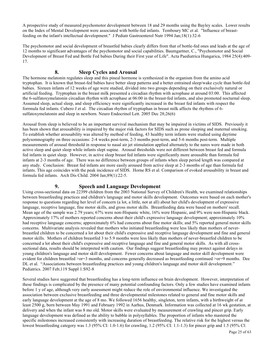A prospective study of measured psychomotor development between 18 and 29 months using the Bayley scales. Lower results on the Index of Mental Development were associated with bottle-fed infants. Temboury MC et al. "Influence of breastfeeding on the infant's intellectual development." J Pediatr Gastroenterol Nutr 1994 Jan;18(1):32-6

The psychomotor and social development of breastfed babies clearly differs from that of bottle-fed ones and leads at the age of 12 months to significant advantages of the psychomotor and social capabilities. Baumgartner, C., "Psychomotor and Social Development of Breast Fed and Bottle Fed babies During their First year of Life". Acta Paediatrica Hungarica, 1984 25(4):409- 17.

# **8. Sleep Cycles and Arousal**

The hormone melatonin regulates sleep and this pineal hormone is synthesized in the organism from the amino acid tryptophan. It is known that breast-fed babies have better sleep patterns and a better entrained sleep/wake cycle than bottle-fed babies. Sixteen infants of 12 weeks of age were studied, divided into two groups depending on their exclusively natural or artificial feeding. Tryptophan in the breast milk presented a circadian rhythm with acrophase at around 03:00. This affected the 6-sulfatoxymelatonin circadian rhythm with acrophase at 06:00 in the breast-fed infants, and also promoted nocturnal sleep. Assumed sleep, actual sleep, and sleep efficiency were significantly increased in the breast fed infants with respect the forrmula fed infants. Cubero J et al. The circadian rhythm of tryptophan in breast milk affects the rhythms of 6 sulfatoxymelatonin and sleep in newborn. Neuro Endocrinol Lett. 2005 Dec 28;26(6)

Arousal from sleep is believed to be an important survival mechanism that may be impaired in victims of SIDS. Previously it has been shown that arousability is impaired by the major risk factors for SIDS such as prone sleeping and maternal smoking. To establish whether arousability was altered by method of feeding, 43 healthy term infants were studied using daytime polysomnography on three occasions: 2-4 weeks post-term, 2-3 months post-term, and 5-6 months post-term. Multiple measurements of arousal threshold in response to nasal air jet stimulation applied alternately to the nares were made in both active sleep and quiet sleep while infants slept supine. Arousal thresholds were not different between breast fed and formula fed infants in quiet sleep. However, in active sleep breast fed infants were significantly more arousable than formula fed infants at 2-3 months of age. There was no difference between groups of infants when sleep period length was compared at any study. Conclusion: Breast fed infants are more easily aroused from active sleep at 2-3 months of age than formula fed infants. This age coincides with the peak incidence of SIDS. Horne RS et al. Comparison of evoked arousability in breast and formula fed infants. Arch Dis Child. 2004 Jan;89(1):22-5.

## **9. Speech and Language Development**

Using cross-sectional data on 22399 children from the 2003 National Survey of Children's Health, we examined relationships between breastfeeding practices and children's language and motor skills development. Outcomes were based on each mother's response to questions regarding her level of concern (a lot, a little, not at all) about her child's development of expressive language, receptive language, fine motor skills, and gross motor skills. Breastfeeding data were based on mothers' recall. Mean age of the sample was 2.79 years; 67% were non-Hispanic white, 16% were Hispanic, and 9% were non-Hispanic black. Approximately 17% of mothers reported concerns about their child's expressive language development; approximately 10% had receptive language concerns; approximately 6% had concerns about fine motor skills; and 5% reported general motor skills concerns. Multivariate analysis revealed that mothers who initiated breastfeeding were less likely than mothers of neverbreastfed children to be concerned a lot about their child's expressive and receptive language development and fine and general motor skills. Mothers of children breastfed 3 to 5.9 months were less likely than mothers of never-breastfed children to be concerned a lot about their child's expressive and receptive language and fine and general motor skills. As with all crosssectional data, results should be interpreted with caution. Our findings suggest breastfeeding may protect against delays in young children's language and motor skill development. Fewer concerns about language and motor skill development were evident for children breastfed >or=3 months, and concerns generally decreased as breastfeeding continued >or=9 months. Dee DL et al. "Associations between breastfeeding practices and young children's language and motor skill development." Pediatrics. 2007 Feb;119 Suppl 1:S92-8

Several studies have suggested that breastfeeding has a long-term influence on brain development. However, interpretation of these findings is complicated by the presence of many potential confounding factors. Only a few studies have examined infants before 1 y of age, although very early assessment might reduce the role of environmental influence. We investigated the association between exclusive breastfeeding and three developmental milestones related to general and fine motor skills and early language development at the age of 8 mo. We followed 1656 healthy, singleton, term infants, with a birthweight of at least 2500 g, born between May 1991 and February 1992 in Aarhus, Denmark. Information was collected at 16 wk gestation, at delivery and when the infant was 8 mo old. Motor skills were evaluated by measurement of crawling and pincer grip. Early language development was defined as the ability to babble in polysyllables. The proportion of infants who mastered the specific milestones increased consistently with increasing duration of breastfeeding. The relative risk for the highest versus the lowest breastfeeding category was 1.3 (95% CI: 1.0-1.6) for crawling, 1.2 (95% CI: 1.1-1.3) for pincer grip and 1.5 (95% Cl: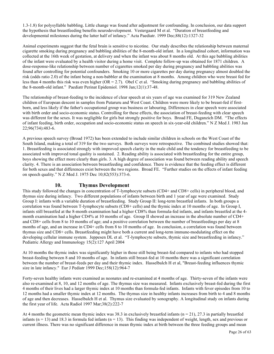1.3-1.8) for polysyllable babbling. Little change was found after adjustment for confounding. In conclusion, our data support the hypothesis that breastfeeding benefits neurodevelopment. Vestergaard M et al. "Duration of breastfeeding and developmental milestones during the latter half of infancy." Acta Paediatr. 1999 Dec;88(12):1327-32

Animal experiments suggest that the fetal brain is sensitive to nicotine. Our study describes the relationship between maternal cigarette smoking during pregnancy and babbling abilities of the 8-month-old infant. In a longitudinal cohort, information was collected at the 16th week of gestation, at delivery and when the infant was about 8 months old. At this age babbling abilities of the infant were evaluated by a health visitor during a home visit. Complete follow-up was obtained for 1871 children. A dose-response-like relationship between number of cigarettes smoked per day during pregnancy and babbling abilities was found after controlling for potential confounders. Smoking 10 or more cigarettes per day during pregnancy almost doubled the risk (odds ratio 2.0) of the infant being a non-babbler at the examination at 8 months. Among children who were breast fed for less than 4 months this risk was even higher ( $OR = 2.7$ ). Obel C et al. "Smoking during pregnancy and babbling abilities of the 8-month-old infant." Paediatr Perinat Epidemiol. 1998 Jan;12(1):37-48.

The relationship of breast-feeding to the incidence of clear speech at six years of age was examined for 319 New Zealand children of European descent in samples from Putaruru and West Coast. Children were more likely to be breast-fed if firstborn, and less likely if the father's occupational group was business or labouring. Differences in clear speech were associated with birth order and socio-economic status. Controlling for these effects, the association of breast-feeding with clear speech was different for the sexes. It was negligible for girls but strongly positive for boys. Broad FE, Duganzich DM. "The effects of infant feeding, birth order, occupation and socio-economic status on speech in six-year-old children." N Z Med J. 1983 Jun 22;96(734):483-6.

A previous speech survey (Broad 1972) has been extended to include similar children in schools on the West Coast of the South Island, making a total of 319 for the two surveys. Both surveys were retrospective. The combined studies showed that: 1. Breastfeeding is associated strongly with improved speech clarity in the male child and the tendency for breastfeeding to be associated with improved tonal quality is sustained. 2. Reading ability is associated with breastfeeding for the entire group, boys showing the effect more clearly than girls. 3. A high degree of association was found between reading ability and speech clarity. 4. There is an association between breastfeeding and confidence. There is evidence that the feeding effect is different for both sexes and that differences exist between the two regions. Broad FE. "Further studies on the effects of infant feeding on speech quality." N Z Med J. 1975 Dec 10;82(553):373-6.

#### **10. Thymus Development**

This study followed the changes in concentration of T-lymphocyte subsets (CD4+ and CD8+ cells) in peripheral blood, and thymus size during infancy. Two different populations of infants between birth and 1 year of age were examined. Study Group I: infants with a variable duration of breastfeeding. Study Group II: long-term breastfed infants. In both groups a correlation was found between T-lymphocyte subsets (CD8+ cells) and the thymic index at 10 months of age. In Group I, infants still breastfed at the 8-month examination had a higher CD8% than formula-fed infants, and infants breastfed at the 4 month examination had a higher CD4% at 10 months of age. Group II showed an increase in the absolute number of CD4+ and CD8+ cells from 8 to 10 months of age; and a positive correlation between the number of breastfeedings per day at 8 months of age, and an increase in CD4+ cells from 8 to 10 months of age. In conclusion, a correlation was found between thymus size and CD8+ cells. Breastfeeding might have both a current and long-term immune-modulating effect on the developing cellular immune system. Jeppesen DL et al. "T-lymphocyte subsets, thymic size and breastfeeding in infancy." Pediatric Allergy and Immunology 15(2):127 April 2004

At 10 months the thymic index was significantly higher in those still being breast-fed compared to infants who had stopped breast-feeding between 8 and 10 months of age. In infants still breast-fed at 10 months there was a significant correlation between the number of breast-feeds per day and their thymic index. Hasselbalch H et al, "Breast-feeding influences thymic size in late infancy." Eur J Pediatr 1999 Dec;158(12):964-7

Forty-seven healthy infants were examined as neonates and re-examined at 4 months of age. Thirty-seven of the infants were also re-examined at 8, 10, and 12 months of age. The thymus size was measured. Infants exclusively breast-fed during the first 4 months of their lives had a larger thymic index at 10 months than formula-fed infants. Infants with fever episodes from 10 to 12 months had a smaller thymic index at 12 months. The thymus size in healthy infants increases from birth to 4 and 8 months of age and then decreases. Hasselbalch H et al. Thymus size evaluated by sonography. A longitudinal study on infants during the first year of life. Acta Radiol 1997 Mar;38(2):222-7

At 4 months the geometric mean thymic index was 38.3 in exclusively breastfed infants ( $n = 21$ ), 27.3 in partially breastfed infants ( $n = 13$ ) and 18.3 in formula fed infants ( $n = 13$ ). This finding was independent of weight, length, sex and previous or current illness. There was no significant difference in mean thymic index at birth between the three feeding groups and mean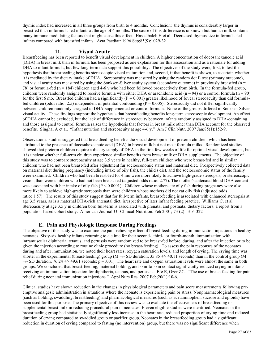thymic index had increased in all three groups from birth to 4 months. Conclusion: the thymus is considerably larger in breastfed than in formula-fed infants at the age of 4 months. The cause of this difference is unknown but human milk contains many immune modulating factors that might cause this effect. Hasselbalch H et al. Decreased thymus size in formula-fed infants compared with breastfed infants. Acta Paediatr 1996 Sep;85(9):1029-32

#### **11. Visual Acuity**

Breastfeeding has been reported to benefit visual development in children. A higher concentration of docosahexaneoic acid (DHA) in breast milk than in formula has been proposed as one explanation for this association and as a rationale for adding DHA to infant formula, but few long-term data support this possibility. The objectives of the study were, first, to test the hypothesis that breastfeeding benefits stereoscopic visual maturation and, second, if that benefit is shown, to ascertain whether it is mediated by the dietary intake of DHA. Stereoacuity was measured by using the random dot E test (primary outcome), and visual acuity was measured by using the Sonksen-Silver acuity system (secondary outcome) in previously breastfed ( $n =$ 78) or formula-fed (n = 184) children aged 4-6 y who had been followed prospectively from birth. In the formula-fed group, children were randomly assigned to receive formula with either DHA or arachidonic acid (n = 94) or a control formula (n = 90) for the first 6 mo. Breastfed children had a significantly  $(P = 0.001)$  greater likelihood of foveal stereoacuity than did formulafed children (odds ratio: 2.5) independent of potential confounding  $(P = 0.005)$ . Stereoacuity did not differ significantly between children randomly assigned to DHA-supplemented or control formula. None of the groups differed in Sonksen-Silver visual acuity. These findings support the hypothesis that breastfeeding benefits long-term stereoscopic development. An effect of DHA cannot be excluded, but the lack of difference in stereoacuity between infants randomly assigned to DHA-containing and those assigned to control formula raises the hypothesis that factors in breast milk other than DHA account for the observed benefits. Singhal A et al. "Infant nutrition and stereoacuity at age 4-6 y." Am J Clin Nutr. 2007 Jan;85(1):152-9.

Observational studies suggested that breastfeeding benefits the visual development of preterm children, which has been attributed to the presence of docosahexaenoic acid (DHA) in breast milk but not most formula milks. Randomized studies showed that preterm children require a dietary supply of DHA in the first few weeks of life fur optimal visual development, but it is unclear whether full-term children experience similar benefits from breast milk or DHA supplements. The objective of this study was to compare stereoacuity at age 3.5 years in healthy, full-term children who were breast-fed and in similar children who had not been breast-fed after adjustment fur socioeconomic status and maternal diet. Prospectively collected data on maternal diet during pregnancy (including intake of oily fish), the child's diet, and the socioeconomic status of the family were examined. Children who had been breast-fed for 4 mo were more likely to achieve high-grade stereopsis, or stereoscopic vision, than were children who had not been breast-fed (adjusted odds ratio: 2.77). The mother's antenatal blood DHA content was associated with her intake of oily fish ( $P < 0.0001$ ). Children whose mothers ate oily fish during pregnancy were also more likely to achieve high-grade stereopsis than were children whose mothers did not eat oily fish (adjusted odds ratio: 1.57). The results of this study suggest that for full-term infants, breast-feeding is associated with enhanced stereopsis at age 3.5 years, as is a maternal DHA-rich antenatal diet, irrespective of later infant feeding practice. Williams C, et al. Stereoacuity at age 3.5 y in children born full-term is associated with prenatal and postnatal dietary factors: a report from a population-based cohort study. American-Journal-Of-Clinical-Nutrition. Feb 2001; 73 (2) : 316-322

## **E. Pain and Physiologic Response During Feedings**

The objective of this study was to examine the pain-relieving effect of breast-feeding during immunization injections in healthy neonates. Sixty-six healthy infants returning to a clinic for their second-, third-, or fourth-month immunization with intramuscular diphtheria, tetanus, and pertussis were randomized to be breast-fed before, during, and after the injection or to be given the injection according to routine clinic procedure (no breast-feeding). To assess the pain responses of the neonates during and after immunization, we noted their heart rates, oxygen saturation levels, and length of crying. The crying time was shorter in the experimental (breast-feeding) group  $(M + /- SD)$  duration,  $35.85 + /-40.11$  seconds) than in the control group (M  $+/-$  SD duration, 76.24  $+/-$  49.61 seconds; p = .001). The heart rate and oxygen saturation levels were almost the same in both groups. We concluded that breast-feeding, maternal holding, and skin-to-skin contact significantly reduced crying in infants receiving an immunization injection for diphtheria, tetanus, and pertussis. Efe E, Ozer ZC. "The use of breast-feeding for pain relief during neonatal immunization injections." Appl Nurs Res. 2007 Feb;20(1):10-6.

Clinical studies have shown reduction in the changes in physiological parameters and pain score measurements following preemptive analgesic administration in situations where the neonate is experiencing pain or stress. Nonpharmacological measures (such as holding, swaddling, breastfeeding) and pharmacological measures (such as acetaminophen, sucrose and opioids) have been used for this purpose. The primary objective of this review was to evaluate the effectiveness of breastfeeding or supplemental breast milk in reducing procedural pain in neonates. Eleven eligible studies were identified. Neonates in the breastfeeding group had statistically significantly less increase in the heart rate, reduced proportion of crying time and reduced duration of crying compared to swaddled group or pacifier group. Neonates in the breastfeeding group had a significant reduction in duration of crying compared to fasting (no intervention) group, but there was no significant difference when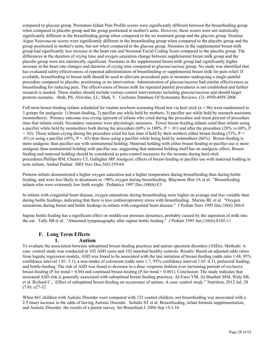compared to glucose group. Premature Infant Pain Profile scores were significantly different between the breastfeeding group when compared to placebo group and the group positioned in mother's arms. However, these scores were not statistically significantly different in the breastfeeding group when compared to the no treatment group and the glucose group. Douleur Aigue Nouveau-ne scores were significantly different in the breastfeeding group when compared to the placebo group and the group positioned in mother's arms, but not when compared to the glucose group. Neonates in the supplemental breast milk group had significantly less increase in the heart rate and Neonatal Facial Coding Score compared to the placebo group. The differences in the duration of crying time and oxygen saturation change between supplemental breast milk group and the placebo group were not statistically significant. Neonates in the supplemental breast milk group had significantly higher increase in the heart rate changes and duration of crying time compared to glucose/sucrose group. No study was identified that has evaluated safety/effectiveness of repeated administration of breastfeeding or supplemental breast milk for pain relief. If available, breastfeeding or breast milk should be used to alleviate procedural pain in neonates undergoing a single painful procedure compared to placebo, positioning or no intervention. Administration of glucose/sucrose had similar effectiveness as breastfeeding for reducing pain. The effectiveness of breast milk for repeated painful procedures is not established and further research is needed. These studies should include various control interventions including glucose/sucrose and should target preterm neonates. Shah, PS; Aliwalas, LL; Shah, V. Cochrane Database Of Systematic Reviews, (3): 4950-4950 2006

Full-term breast-feeding infants scheduled for routine newborn screening blood test via heel stick ( $n = 96$ ) were randomized to 3 groups for analgesia: 1) breast-feeding, 2) pacifier use while held by mothers, 3) pacifier use while held by research assistants (nonmothers). Primary outcome was crying (percent of infants who cried during the procedure and mean percent of procedure time that infants cried). Secondary outcomes were physiologic measures. Fewer breast-feeding infants cried than infants using a pacifier while held by nonmothers both during the procedure (69% vs  $100\%$ , P < .01) and after the procedure (28% vs 60%, P  $=$  .03). Those infants crying during the procedure cried for less time if held by their mothers either breast-feeding (33%, P  $\le$ .01) or using a pacifier (45%,  $P = .03$ ) than those using a pacifier while being held by nonmothers (66%). Breast-feeding is more analgesic than pacifier use with nonmaternal holding. Maternal holding with either breast-feeding or pacifier use is more analgesic than nonmaternal holding with pacifier use, suggesting that maternal holding itself has an analgesic effect. Breastfeeding and maternal holding should be considered as pain-control measures for the neonate during heel-stick procedures.Phillips RM, Chantry CJ, Gallagher MP.Analgesic effects of breast-feeding or pacifier use with maternal holding in term infants. Ambul Pediatr. 2005 Nov-Dec;5(6):359-64

Preterm infants demonstrated a higher oxygen saturation and a higher temperature during breastfeeding than during bottle feeding, and were less likely to desaturate to <90% oxygen during breastfeeding. Blaymore Bier JA et al. "Breastfeeding infants who were extremely low birth weight. Pediatrics 1997 Dec;100(6):E3

In infants with congenital heart disease, oxygen saturations during breastfeeding were higher on average and less variable than during bottle feedings, indicating that there is less cardiorespiratory stress with breastfeeding. Marino BL et al. "Oxygen" saturations during breast and bottle feedings in infants with congenital heart disease." J Pediatr Nurs 1995 Dec;10(6):360-4

Supine bottle feeding has a significant effect on middle-ear pressure dynamics, probably caused by the aspiration of milk into the ear. Tully SB et al. "Abnormal tympanography after supine bottle feeding." J Pediatr 1995 Jun;126(6):S105-11

#### **F. Long Term Effects 1. Autism**

To evaluate the association between suboptimal breast-feeding practices and autism spectrum disorders (ASDs). Methods: A case–control study was conducted in 102 ASD cases and 102 matched healthy controls. Results: Based on adjusted odds ratios from logistic regression models, ASD was found to be associated with the late initiation of breast-feeding (odds ratio 1.48, 95% confidence interval 1.01–3.1), a non-intake of colostrum (odds ratio 1.7, 95% confidence interval 1.03–4.3), prelacteal feeding, and bottle-feeding. The risk of ASD was found to decrease in a dose–response fashion over increasing periods of exclusive breast-feeding (P for trend  $= 0.04$ ) and continued breast-feeding (P for trend  $= 0.001$ ). Conclusion: The study indicates that increased ASD risk is generally associated with suboptimal breast-feeding practices. Al-Farsi YM, Al-Sharbati MM, Waly MI, et al. Richard C.; Effect of suboptimal breast-feeding on occurrence of autism: A case–control study." Nutrition, 2012 Jul; 28 (7/8): e27-32

When 861 children with Autistic Disorder were compared with 123 control children, not breastfeeding was associated with a 2.5 times increase in the odds of having Autistic Disorder. Schultz ST et al. Breastfeeding, infant formula supplementation, and Autistic Disorder: the results of a parent survey. Int Breastfeed J. 2006 Sep 15;1:16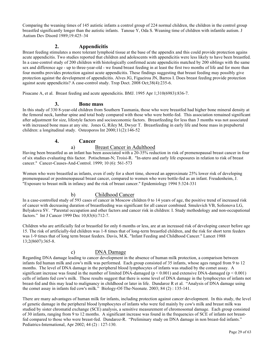Comparing the weaning times of 145 autistic infants a control group of 224 normal children, the children in the control group breastfed significantly longer than the autistic infants. Tanoue Y, Oda S. Weaning time of children with infantile autism. J Autism Dev Disord 1989;19:425–34

## **2. Appendicitis**

Breast feeding stimulates a more tolerant lymphoid tissue at the base of the appendix and this could provide protection agains acute appendicitis. Two studies reported that children and adolescents with appendicitis were less likely to have been breastfed. In a case-control study of 200 children with histologically confirmed acute appendicitis matched by 200 siblings with the same sex and difference age - up to three-year-old - we found breast feeding in at least the first two months of life and for more than four months provides protection against acute appendicitis. These findings suggesting that breast feeding may possibly give protection against the development of appendicitis. Alves JG, Figueiroa JN, Barros I. Does breast feeding provide protection against acute appendicitis? A case-control study. Trop Doct. 2008 Oct;38(4):235-6.

Pisacane A, et al. Breast feeding and acute appendicitis. BMJ. 1995 Apr 1;310(6983):836-7.

#### **3. Bone mass**

In this study of 330 8-year-old children from Southern Tasmania, those who were breastfed had higher bone mineral density at the femoral neck, lumbar spine and total body compared with those who were bottle-fed. This association remained significant after adjustment for size, lifestyle factors and socioeconomic factors. Breastfeeding for less than 3 months was not associated with increased bone mass at any site. Jones G, Riley M, Dwyer T. Breastfeeding in early life and bone mass in prepubertal children: a longitudinal study. Osteoporos Int 2000;11(2):146-52

#### **4. Cancer**

#### a) Breast Cancer in Adulthood

Having been breastfed as an infant has been associated with a 20-35% reduction in risk of premenopausal breast cancer in four of six studies evaluating this factor. Potischman-N; Troisi-R. "In-utero and early life exposures in relation to risk of breast cancer." Cancer-Causes-And-Control. 1999; 10 (6): 561-573

Women who were breastfed as infants, even if only for a short time, showed an approximate 25% lower risk of developing premenopausal or postmenopausal breast cancer, compared to women who were bottle-fed as an infant. Freudenheim, J. "Exposure to breast milk in infancy and the risk of breast cancer." Epidemiology 1994 5:324-331

#### b) Childhood Cancer

In a case-controlled study of 593 cases of cancer in Moscow children 0 to 14 years of age, the positive trend of increased risk of cancer with decreasing duration of breastfeeding was significant for all cancer combined. Smulevich VB, Solionova LG, Belyakova SV. "Parental occupation and other factors and cancer risk in children: I. Study methodology and non-occupational factors." Int J Cancer 1999 Dec 10;83(6):712-7.

Children who are artificially fed or breastfed for only 6 months or less, are at an increased risk of developing cancer before age 15. The risk of artificially-fed children was 1-8 times that of long-term breastfed children, and the risk for short term feeders was 1-9 times that of long term breast feeders. Davis, M.K. "Infant Feeding and Childhood Cancer." Lancet 1988 13;2(8607):365-8.

#### c) DNA Damage

Regarding DNA damage leading to cancer development in the absence of human milk protection, a comparison between infants fed human milk and cow's milk was performed. Each group consisted of 35 infants, whose ages ranged from 9 to 12 months. The level of DNA damage in the peripheral blood lymphocytes of infants was studied by the comet assay. A significant increase was found in the number of limited DNA-damaged ( $p < 0.001$ ) and extensive DNA-damaged ( $p < 0.001$ ) cells of infants fed cow's milk. These results suggest that there is some level of DNA damage in the lymphocytes of infants not breast-fed and this may lead to malignancy in childhood or later in life. Dundaroz R et al. "Analysis of DNA damage using the comet assay in infants fed cow's milk." Biology-Of-The-Neonate. 2003; 84 (2) : 135-141.

There are many advantages of human milk for infants, including protection against cancer development. In this study, the level of genetic damage in the peripheral blood lymphocytes of infants who were fed mainly by cow's milk and breast milk was studied by sister chromatid exchange (SCE) analysis, a sensitive measurement of chromosomal damage. Each group consisted of 30 infants, ranging from 9 to 12 months. A significant increase was found in the frequencies of SCE of infants not breastfed compared to those who were breast-fed. Dundaroz-R. "Preliminary study on DNA damage in non breast-fed infants." Pediatrics-International, Apr 2002; 44 (2) : 127-130.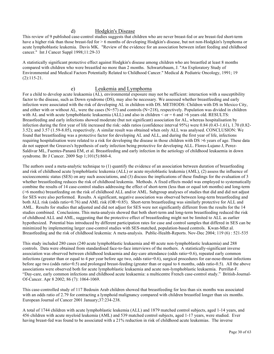#### d) Hodgkin's Disease

This review of 9 published case-control studies suggests that children who are never breast-fed or are breast-fed short-term have a higher risk than those breast-fed for > 6 months of developing Hodgkin's disease, but not non-Hodgkin's lymphoma or acute lymphoblastic leukemia. Davis MK. "Review of the evidence for an association between infant feeding and childhood cancer." Int J Cancer Suppl 1998;11:29-33

A statistically significant protective effect against Hodgkin's disease among children who are breastfed at least 8 months compared with children who were breastfed no more than 2 months. Schwartzbaum, J. "An Exploratory Study of Environmental and Medical Factors Potentially Related to Childhood Cancer." Medical & Pediatric Oncology, 1991; 19 (2):115-21.

#### e) Leukemia and Lymphoma

For a child to develop acute leukaemia (AL), environmental exposure may not be sufficient: interaction with a susceptibility factor to the disease, such as Down syndrome (DS), may also be necessary. We assessed whether breastfeeding and early infection were associated with the risk of developing AL in children with DS. METHODS: Children with DS in Mexico City, and either with or without AL, were the cases  $(N=57)$  and controls  $(N=218)$ , respectively. Population was divided in children with AL and with acute lymphoblastic leukaemia (ALL) and also in children  $\le$  or  $=$  6 and  $\ge$  6 years old. RESULTS: Breastfeeding and early infections showed moderate (but not significant) association for AL, whereas hospitalisation by infection during the first year of life increased the risk: odds ratios (confidence interval 95%) were 0.84 (0.43-1.61), 1.70 (0.82- 3.52); and 3.57 (1.59-8.05), respectively. A similar result was obtained when only ALL was analysed. CONCLUSION: We found that breastfeeding was a protective factor for developing AL and ALL, and during the first year of life, infections requiring hospitalisation were related to a risk for developing the disease in those children with DS >6 years of age. These data do not support the Greaves's hypothesis of early infection being protective for developing ALL. Flores-Lujano J, Perez-Saldivar ML, Fuentes-Pananá EM, et al. Breastfeeding and early infection in the aetiology of childhood leukaemia in down syndrome. Br J Cancer. 2009 Sep 1;101(5):860-4.

The authors used a meta-analytic technique to (1) quantify the evidence of an association between duration of breastfeeding and risk of childhood acute lymphoblastic leukemia (ALL) or acute myeloblastic leukemia (AML), (2) assess the influence of socioeconomic status (SES) on any such associations, and (3) discuss the implications of these findings for the evaluation of 3 whether breastfeeding reduces the risk of childhood leukemia. Methods. A fixed effects model was employed to systematically combine the results of 14 case-control studies addressing the effect of short-term (less than or equal to6 months) and long-term (>6 months) breastfeeding on the risk of childhood ALL and/or AML. Subgroup analyses of studies that did and did not adjust for SES were also performed. Results. A significant, negative association was observed between long-term breastfeeding and both ALL risk (odds ratio=0.76) and AML risk (OR=0.85). Short-term breastfeeding was similarly protective for ALL and AML. Results for studies that adjusted and did not adjust for SES were not significantly different from the results for the 14 studies combined. Conclusions. This meta-analysis showed that both short-term and long-term breastfeeding reduced the risk of childhood ALL and AML, suggesting that the protective effect of breastfeeding might not be limited to ALL as earlier hypothesized. Potential bias introduced by different participation rates for case and control samples that differed in SES can be minimized by implementing larger case-control studies with SES-matched, population-based controls. Kwan-Mlet al. Breastfeeding and the risk of childhood leukemia: A meta-analysis. Public-Health-Reports. Nov-Dec 2004; 119 (6) : 521-535

This study included 280 cases (240 acute lymphoblastic leukaemia and 40 acute non-lymphoblastic leukaemia) and 288 controls. Data were obtained from standardised face-to-face interviews of the mothers. A statistically-significant inverse association was observed between childhood leukaemia and day-care attendance (odds ratio=0.6), repeated early common infections (greater than or equal to 4 per year before age two, odds ratio=0.6), surgical procedures for ear-nose-throat infections before age two (odds ratio=0.5) and prolonged breast-feeding (greater than or equal to 6 months, odds ratio-0.5). All the above associations were observed both for acute lymphoblastic leukaemia and acute non-lymphoblastic leukaemia. Perrillat-F. "Day-care, early common infections and childhood acute leukaemia: a multicentre French case-control study." British-Journal-Of-Cancer. Apr 8 2002; 86 (7): 1064-1069.

This case-controlled study of 117 Bedouin Arab children showed that breastfeeding for less than six months was associated with an odds ratio of 2.79 for contracting a lymphoid malignancy compared with children breastfed longer than six months. European Journal of Cancer 2001 January;37:234-238.

A total of 1744 children with acute lymphoblastic leukemia (ALL) and 1879 matched control subjects, aged 1-14 years, and 456 children with acute myeloid leukemia (AML) and 539 matched control subjects, aged 1-17 years, were studied. Ever having breast-fed was found to be associated with a 21% reduction in risk of childhood acute leukemias. The inverse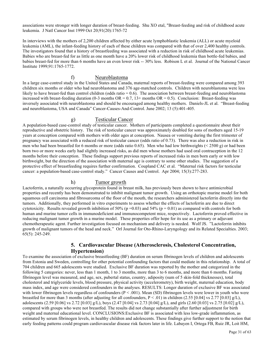associations were stronger with longer duration of breast-feeding. Shu XO etal, "Breast-feeding and risk of childhood acute leukemia. J Natl Cancer Inst 1999 Oct 20;91(20):1765-72

In interviews with the mothers of 2,200 children affected by either acute lymphoblastic leukemia (ALL) or acute myeloid leukemia (AML), the infant-feeding history of each of these children was compared with that of over 2,400 healthy controls. The investigators found that a history of breastfeeding was associated with a reduction in risk of childhood acute leukemias. Babies who are breast-fed for as little as one month have a 20% lower risk of childhood leukemia than bottle-fed babies, and babies breast-fed for more than 6 months have an even lower risk -- 30% less. Robison L et al. Journal of the National Cancer Institute 1999;91:1765-1772.

#### f) Neuroblastoma

In a large case-control study in the United States and Canada, maternal reports of breast-feeding were compared among 393 children six months or older who had neuroblastoma and 376 age-matched controls. Children with neuroblastoma were less likely to have breast-fed than control children (odds ratio  $= 0.6$ ). The association between breast-feeding and neuroblastoma increased with breast-feeding duration (0-3 months  $OR = 0.7$ , 13+ months  $OR = 0.5$ ). Conclusion: Breast-feeding was inversely associated with neuroblastoma and should be encouraged among healthy mothers. Daniels-JL et al. "Breast-feeding and neuroblastoma, USA and Canada" Cancer-Causes-And-Control. June 2002; 13 (5):401-405.

#### g) Testicular Cancer

A population-based case-control study of testicular cancer. Mothers of participants completed a questionnaire about their reproductive and obstetric history. The risk of testicular cancer was approximately doubled for sons of mothers aged 15-19 years at conception compared with mothers with older ages at conception. Nausea or vomiting during the first trimester of pregnancy was associated with a reduced risk of testicular cancer (odds ratio of 0.73). There was also a reduction in risk in men who had been breastfed for 6 months or more (odds ratio 0.65). Men who had low birthweights ( $\leq$  2500 g) or had been born two or more weeks early had slightly increased risks, as did men whose mothers had used oral contraception in the 12 months before their conception. These findings support previous reports of increased risks in men born early or with low birthweight, but the direction of the association with maternal age is contrary to some other studies. The suggestion of a protective effect of breastfeeding requires further confirmation. Coupland CAC et al. "Maternal risk factors for testicular cancer: a population-based case-control study." Cancer Causes and Control. Apr 2004; 15(3):277-283.

#### h) Tumor growth

Lactoferrin, a naturally occurring glycoprotein found in breast milk, has previously been shown to have antimicrobial properties and recently has been demonstrated to inhibit malignant tumor growth. Using an orthotopic murine model for both squamous cell carcinoma and fibrosarcoma of the floor of the mouth, the researchers administered lactoferrin directly into the tumors. Additionally, they performed in vitro experiments to assess whether the effects of lactoferrin are due to direct cytotoxicity. Results revealed growth inhibition of 50% ( $p = 0.03$ ) and 54% ( $p = 0.01$ ) as compared with controls for both human and murine tumor cells in immunodeficient and immunocompetent mice, respectively. Lactoferrin proved effective in reducing malignant tumor growth in a murine model. These properties offer hope for its use as a primary or adjuvant chemotherapeutic agent. Further investigation focused on mechanism and delivery is needed. Wolf JS. "Lactoferrin inhibits growth of malignant tumors of the head and neck." Orl Journal for Oto-Rhino-Laryngology and its Related Specialties. 2003; 65(5): 245-249.

#### **5. Cardiovascular Disease (Atherosclerosis, Cholesterol Concentration, Hypertension)**

To examine the association of exclusive breastfeeding (BF) duration on serum fibrinogen levels of children and adolescents from Estonia and Sweden, controlling for other potential confounding factors that could mediate in this relationship. A total of 704 children and 665 adolescents were studied. Exclusive BF duration was reported by the mother and categorized in the following 5 categories: never, less than 1 month, 1 to 3 months, more than 3 to 6 months, and more than 6 months. Fasting fibrinogen level was measured, and age, sex, pubertal status, country, adiposity (sum of 5 skin-fold thicknesses), total cholesterol and triglyceride levels, blood pressure, physical activity (accelerometry), birth weight, maternal education, body mass index, and age were considered confounders in the analyses. RESULTS: Longer duration of exclusive BF was associated with lower fibrinogen levels regardless of confounders ( $P < .001$ ). Mean (SD) fibrinogen levels were lower in youth who were breastfed for more than 3 months (after adjusting for all confounders,  $P < 0.01$ ) in children (2.55 [0.04] vs 2.77 [0.03] g/L), adolescents (2.59 [0.06] vs 2.72 [0.03] g/L), boys (2.47 [0.04] vs 2.73 [0.04] g/L), and girls (2.60 [0.03] vs 2.75 [0.02] g/L), compared with groups who were not breastfed. The results did not change substantially after further adjustment for birth weight and maternal educational level. CONCLUSIONS:Exclusive BF is associated with less low-grade inflammation, as estimated by serum fibrinogen levels, in healthy children and adolescents. These findings give further support to the notion that early feeding patterns could program cardiovascular disease risk factors later in life. Labayen I, Ortega FB, Ruiz JR, Loit HM,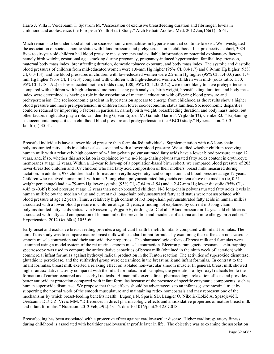Harro J, Villa I, Veidebaum T, Sjöström M. "Association of exclusive breastfeeding duration and fibrinogen levels in childhood and adolescence: the European Youth Heart Study." Arch Pediatr Adolesc Med. 2012 Jan;166(1):56-61.

Much remains to be understood about the socioeconomic inequalities in hypertension that continue to exist. We investigated the association of socioeconomic status with blood pressure and prehypertension in childhood. In a prospective cohort, 3024 five- to six-year-old children had blood pressure measurements and available information on potential explanatory factors, namely birth weight, gestational age, smoking during pregnancy, pregnancy-induced hypertension, familial hypertension, maternal body mass index, breastfeeding duration, domestic tobacco exposure, and body mass index. The systolic and diastolic blood pressures of children from mid-educated women were 1.0-mm Hg higher (95% CI, 0.4-1.7) and 0.9-mm Hg higher (95% CI, 0.3-1.4), and the blood pressures of children with low-educated women were 2.2-mm Hg higher (95% CI, 1.4-3.0) and 1.7 mm Hg higher (95% CI, 1.1-2.4) compared with children with high-educated women. Children with mid- (odds ratio, 1.50; 95% CI, 1.18-1.92) or low-educated mothers (odds ratio, 1.80; 95% CI, 1.35-2.42) were more likely to have prehypertension compared with children with high-educated mothers. Using path analyses, birth weight, breastfeeding duration, and body mass index were determined as having a role in the association of maternal education with offspring blood pressure and prehypertension. The socioeconomic gradient in hypertension appears to emerge from childhood as the results show a higher blood pressure and more prehypertension in children from lower socioeconomic status families. Socioeconomic disparities could be reduced by improving 3 factors in particular, namely birth weight, breastfeeding duration, and body mass index, but other factors might also play a role. van den Berg G, van Eijsden M, Galindo-Garre F, Vrijkotte TG, Gemke RJ. "Explaining socioeconomic inequalities in childhood blood pressure and prehypertension: the ABCD study." Hypertension. 2013 Jan;61(1):35-41.

Breastfed individuals have a lower blood pressure than formula-fed individuals. Supplementation with n-3 long-chain polyunsaturated fatty acids in adults is also associated with a lower blood pressure. We studied whether children receiving human milk with a relatively high content of n-3 long-chain polyunsaturated fatty acids have a lower blood pressure at age 12 years, and, if so, whether this association is explained by the n-3 long-chain polyunsaturated fatty acids content in erythrocyte membranes at age 12 years. Within a 12-year follow-up of a population-based birth cohort, we compared blood pressure of 205 never-breastfed children and 109 children who had fatty acid composition of their mothers' breast milk measured during lactation. In addition, 973 children had information on erythrocyte fatty acid composition and blood pressure at age 12 years. Children who received human milk with an n-3 long-chain polyunsaturated fatty acids content above the median (ie, 0.51 weight percentage) had a 4.79-mm Hg lower systolic (95% CI, -7.64 to -1.94) and a 2.47-mm Hg lower diastolic (95% CI, -4.45 to -0.49) blood pressure at age 12 years than never-breastfed children. N-3 long-chain polyunsaturated fatty acids levels in human milk below the median value and current n-3 long-chain polyunsaturated fatty acid status were not associated with blood pressure at age 12 years. Thus, a relatively high content of n-3 long-chain polyunsaturated fatty acids in human milk is associated with a lower blood pressure in children at age 12 years, a finding not explained by current n-3 long-chain polyunsaturated fatty acids status. van Rossem L, Wijga AH, de Jongste JC et al. "Blood pressure in 12-year-old children is associated with fatty acid composition of human milk: the prevention and incidence of asthma and mite allergy birth cohort." Hypertension. 2012 Oct;60(4):1055-60.

Early-onset and exclusive breast-feeding provides a significant health benefit to infants compared with infant formulas. The aim of this study was to compare mature breast milk with standard infant formulas by examining their effects on non-vascular smooth muscle contraction and their antioxidative properties. The pharmacologic effects of breast milk and formulas were examined using a model system of the rat uterine smooth muscle contraction. Electron paramagnetic resonance spin-trapping spectroscopy was used to compare the antioxidative capacities of breast milk (obtained in the ninth week of lactation) with commercial infant formulas against hydroxyl radical production in the Fenton reaction. The activities of superoxide dismutase, glutathione peroxidase, and the sulfhydryl group were determined in the breast milk and infant formulas. In contrast to the infant formulas, breast milk exerted a relaxing effect on isolated non-vascular smooth muscle. In general, breast milk showed higher antioxidative activity compared with the infant formulas. In all samples, the generation of hydroxyl radicals led to the formation of carbon-centered and ascorbyl radicals. Human milk exerts direct pharmacologic relaxation effects and provides better antioxidant protection compared with infant formulas because of the presence of specific enzymatic components, such as human superoxide dismutase. We propose that these effects should be advantageous to an infant's gastrointestinal tract by supporting the normal work of the smooth musculature and maintaining redox homeostasis and may represent one of the mechanisms by which breast-feeding benefits health. Lugonja N, Spasić SD, Laugier O, Nikolić-Kokić A, Spasojević I, Oreščanin-Dušić Z, Vrvić MM. "Differences in direct pharmacologic effects and antioxidative properties of mature breast milk and infant formulas." Nutrition. 2013 Feb;29(2):431-5. doi: 10.1016/j.nut.2012.07.018.

Breastfeeding has been associated with a protective effect against cardiovascular disease. Higher cardiorespiratory fitness during childhood is associated with healthier cardiovascular profile later in life. The objective was to examine the association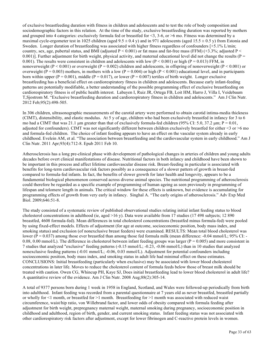of exclusive breastfeeding duration with fitness in children and adolescents and to test the role of body composition and sociodemographic factors in this relation. At the time of the study, exclusive breastfeeding duration was reported by mothers and grouped into 4 categories: exclusively formula fed or breastfed for  $\leq 3$ , 3-6, or  $\geq 6$  mo. Fitness was determined by a maximal cycle-ergometer test in 1025 children (aged  $9.5 \pm 0.4$  y) and in 971 adolescents (aged 15.5  $\pm$  0.5 y) from Estonia and Sweden. Longer duration of breastfeeding was associated with higher fitness regardless of confounders [+5.1% L/min; country, sex, age, pubertal status, and BMI (adjusted  $P < 0.001$ ) or fat mass and fat-free mass (FFM) (+3.3%; adjusted  $P <$ 0.001)]. Further adjustment for birth weight, physical activity, and maternal educational level did not change the results ( $P =$ 0.001). The results were consistent in children and adolescents with low ( $P \le 0.001$ ) or high ( $P = 0.013$ ) FFM, in nonoverweight (P < 0.001) or overweight (P = 0.002) children and adolescents, in offspring of nonoverweight (P < 0.001) or overweight ( $P = 0.003$ ) mothers, in mothers with a low ( $P = 0.004$ ) or high ( $P < 0.001$ ) educational level, and in participants born within upper ( $P = 0.001$ ), middle ( $P = 0.017$ ), or lower ( $P = 0.007$ ) tertiles of birth weight. Longer exclusive breastfeeding has a beneficial effect on cardiorespiratory fitness in children and adolescents. Because early infant-feeding patterns are potentially modifiable, a better understanding of the possible programming effect of exclusive breastfeeding on cardiorespiratory fitness is of public health interest. Labayen I, Ruiz JR, Ortega FB, Loit HM, Harro J, Villa I, Veidebaum T,Sjostrom M. "Exclusive breastfeeding duration and cardiorespiratory fitness in children and adolescents." Am J Clin Nutr. 2012 Feb;95(2):498-505.

In 306 children, ultrasonographic measurements of the carotid artery were performed to obtain carotid intima-media thickness (CIMT), distensibility, and elastic modulus. At 5 y of age, children who had been exclusively breastfed in infancy for 3 to 6 mo had a CIMT that was 21.1  $\mu$ m greater than that of exclusively formula-fed children (95% CI: 5.0, 37.2  $\mu$ m; P = 0.01, adjusted for confounders). CIMT was not significantly different between children exclusively breastfed for either <3 or >6 mo and formula-fed children. The choice of infant feeding appears to have an effect on the vascular system already in early childhood. Evelein AM, et al. "The association between breastfeeding and the cardiovascular system in early childhood." Am J Clin Nutr. 2011 Apr;93(4):712-8. Epub 2011 Feb 10.

Atherosclerosis has a long pre-clinical phase with development of pathological changes in arteries of children and young adults decades before overt clinical manifestations of disease. Nutritional factors in both infancy and childhood have been shown to be important in this process and affect lifetime cardiovascular disease risk. Breast-feeding in particular is associated with benefits for long-term cardiovascular risk factors possibly as a consequence of a slower pattern of growth in breast-fed compared to formula-fed infants. In fact, the benefits of slower growth for later health and longevity, appears to be a fundamental biological phenomenon conserved across diverse animal species. The nutritional programming of atherosclerosis could therefore be regarded as a specific example of programming of human ageing as seen previously in programming of lifespan and telomere length in animals. The critical window for these effects is unknown, but evidence is accumulating for programming effects of growth from very early in infancy. Singhal A. "The early origins of atherosclerosis." Adv Exp Med Biol. 2009;646:51-8.

The study consisted of a systematic review of published observational studies relating initial infant feeding status to blood cholesterol concentrations in adulthood (ie, aged >16 y). Data were available from 17 studies (17 498 subjects; 12 890 breastfed, 4608 formula-fed). Mean differences in total cholesterol concentrations (breastfed minus formula-fed) were pooled by using fixed-effect models. Effects of adjustment (for age at outcome, socioeconomic position, body mass index, and smoking status) and exclusion (of nonexclusive breast feeders) were examined. RESULTS: Mean total blood cholesterol was lower (P = 0.037) among those ever breastfed than among those fed formula milk (mean difference: -0.04 mmol/L; 95% CI: -0.08, 0.00 mmol/L). The difference in cholesterol between infant feeding groups was larger ( $P = 0.005$ ) and more consistent in 7 studies that analyzed "exclusive" feeding patterns (-0.15 mmol/L; -0.23, -0.06 mmol/L) than in 10 studies that analyzed nonexclusive feeding patterns (-0.01 mmol/L; -0.06, 0.03 mmol/L). Adjustment for potential confounders including socioeconomic position, body mass index, and smoking status in adult life had minimal effect on these estimates. CONCLUSIONS: Initial breastfeeding (particularly when exclusive) may be associated with lower blood cholesterol concentrations in later life. Moves to reduce the cholesterol content of formula feeds below those of breast milk should be treated with caution. Owen CG, Whincup PH, Kaye SJ, Does initial breastfeeding lead to lower blood cholesterol in adult life? A quantitative review of the evidence. Am J Clin Nutr. 2008 Aug;88(2):305-14.

A total of 9377 persons born during 1 week in 1958 in England, Scotland, and Wales were followed-up periodically from birth into adulthood. Infant feeding was recorded from a parental questionnaire at 7 years old as never breastfed, breastfed partially or wholly for <1 month, or breastfed for >1 month. Breastfeeding for >1 month was associated with reduced waist circumference, waist/hip ratio, von Willebrand factor, and lower odds of obesity compared with formula feeding after adjustment for birth weight, prepregnancy maternal weight, maternal smoking during pregnancy, socioeconomic position in childhood and adulthood, region of birth, gender, and current smoking status. Infant feeding status was not associated with other cardiorespiratory risk factors after adjustment, except for lower fibrinogen and C-reactive protein levels in women.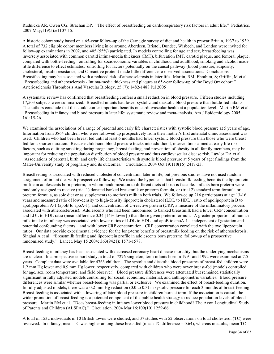Rudnicka AR, Owen CG, Strachan DP. "The effect of breastfeeding on cardiorespiratory risk factors in adult life." Pediatrics. 2007 May;119(5):e1107-15.

A historic cohort study based on a 65-year follow-up of the Carnegie survey of diet and health in prewar Britain, 1937 to 1939. A total of 732 eligible cohort members living in or around Aberdeen, Bristol, Dundee, Wisbech, and London were invited for follow-up examinations in 2002, and 405 (55%) participated. In models controlling for age and sex, breastfeeding was inversely associated with common carotid intima-media thickness (IMT), bifurcation IMT, carotid plaque, and femoral plaque, compared with bottle-feeding. ontrolling for socioeconomic variables in childhood and adulthood, smoking and alcohol made little difference to effect estimates. ontrolling for factors potentially on the causal pathway (blood pressure, adiposity, cholesterol, insulin resistance, and C-reactive protein) made little difference to observed associations. Conclusions-Breastfeeding may be associated with a reduced risk of atherosclerosis in later life. Martin, RM; Ebrahim, S; Griffin, M et al. "Breastfeeding and atherosclerosis - Intima-media thickness and plaques at 65-year follow-up of the Boyd Orr cohort." Arteriosclerosis Thrombosis And Vascular Biology, 25 (7): 1482-1488 Jul 2005

A systematic review has confirmed that breastfeeding confers a small reduction in blood pressure. Fifteen studies including 17,503 subjects were summarized. Breastfed infants had lower systolic and diastolic blood pressure than bottle-fed infants. The authors conclude that this could confer important benefits on cardiovascular health at a population level. Martin RM et al. "Breastfeeding in infancy and blood pressure in later life: systematic review and meta-analysis. Am J Epidemiology 2005, 161:15-26.

We examined the associations of a range of parental and early life characteristics with systolic blood pressure at 5 years of age. Information from 3864 children who were followed up prospectively from their mother's first antenatal clinic assessment was used. Children who had been breast fed until at least 6 months had lower systolic blood pressure than those who were breast fed for a shorter duration. Because childhood blood pressure tracks into adulthood, interventions aimed at early life risk factors, such as quitting smoking during pregnancy, breast feeding, and prevention of obesity in all family members, may be important for reducing the population distribution of blood pressure and thus cardiovascular disease risk. Lawlor DA et al. "Associations of parental, birth, and early life characteristics with systolic blood pressure at 5 years of age: findings from the Mater-University study of pregnancy and its outcomes." Circulation. 2004 Oct 19;110(16):2417-23.

Breastfeeding is associated with reduced cholesterol concentration later in life, but previous studies have not used random assignment of infant diet with prospective follow-up. We tested the hypothesis that breastmilk feeding benefits the lipoprotein profile in adolescents born preterm, in whom randomization to different diets at birth is feasible. Infants born preterm were randomly assigned to receive (trial 1) donated banked breastmilk or preterm formula, or (trial 2) standard term formula or preterm formula, as sole diet or as supplements to mother's milk in both trials. We followed up 216 participants at age 13-16 years and measured ratio of low-density to high-density lipoprotein cholesterol (LDL to HDL), ratio of apolipoprotein B to apolipoprotein A-1 (apoB to apoA-1), and concentration of C-reactive protein (CRP; a measure of the inflammatory process associated with atherosclerosis). Adolescents who had been randomised to banked breastmilk had a lower CRP concentration and LDL to HDL ratio (mean difference 0.34 [14% lower] ) than those given preterm formula. A greater proportion of human milk intake in infancy was associated with lower ratios of LDL to HDL and apoB to apoA-1—independent of gestation and potential confounding factors—and with lower CRP concentration. CRP concentration correlated with the two lipoprotein ratios. Our data provide experimental evidence for the long-term benefits of breastmilk feeding on the risk of atherosclerosis. Singhal A et al. "Breastmilk feeding and lipoprotein profile in adolescents born preterm: follow-up of a prospective randomised study." Lancet. May 15 2004; 363(9421): 1571-1578.

Breast-feeding in infancy has been associated with decreased coronary heart disease mortality, but the underlying mechanisms are unclear. In a prospective cohort study, a total of 7276 singleton, term infants born in 1991 and 1992 were examined at 7.5 years. Complete data were available for 4763 children. The systolic and diastolic blood pressures of breast-fed children were 1.2 mm Hg lower and 0.9 mm Hg lower, respectively, compared with children who were never breast-fed (models controlled for age, sex, room temperature, and field observer). Blood pressure differences were attenuated but remained statistically significant in fully adjusted models controlling for social, economic, maternal, and anthropometric variables. Blood pressure differences were similar whether breast-feeding was partial or exclusive. We examined the effect of breast-feeding duration. In fully adjusted models, there was a 0.2-mm Hg reduction (0.0 to 0.3) in systolic pressure for each 3 months of breast-feeding. Breast-feeding is associated with a lowering of later blood pressure in children born at term. If the association is causal, the wider promotion of breast-feeding is a potential component of the public health strategy to reduce population levels of blood pressure. Martin RM et al. "Does breast-feeding in infancy lower blood pressure in childhood? The Avon Longitudinal Study of Parents and Children (ALSPAC)." Circulation. 2004 Mar 16;109(10):1259-66

A total of 1532 individuals in 10 British towns were studied, and 37 studies with 52 observations on total cholesterol (TC) were reviewed. In infancy, mean TC was higher among those breastfed (mean TC difference  $= 0.64$ ), whereas in adults, mean TC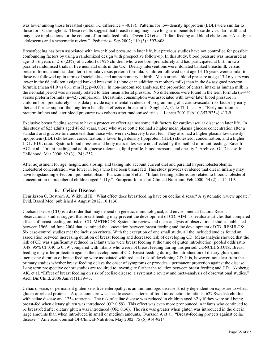was lower among those breastfed (mean TC difference = -0.18). Patterns for low-density lipoprotein (LDL) were similar to those for TC throughout. These results suggest that breastfeeding may have long-term benefits for cardiovascular health and may have implications for the content of formula feed milks. Owen-CG et al. "Infant feeding and blood cholesterol: A study in adolescents and a systematic review." Pediatrics-. Sep 2002; 110 (3) : 597-608.

Breastfeeding has been associated with lower blood pressure in later life, but previous studies have not controlled for possible confounding factors by using a randomized design with prospective follow-up. In this study, blood pressure was measured at age 13-16 years in 216 (23%) of a cohort of 926 children who were born prematurely and had participated at birth in two parallel randomised trials in five neonatal units in the UK. Dietary interventions were: donated banked breastmilk versus preterm formula and standard term formula versus preterm formula. Children followed up at age 13-16 years were similar to those not followed up in terms of social class and anthropometry at birth. Mean arterial blood pressure at age 13-16 years was lower in the 66 children assigned banked breastmilk (alone or in addition to mother's milk) than in the 64 assigned preterm formula (mean 81.9 vs 86.1 mm Hg;  $p=0.001$ ). In non-randomised analyses, the proportion of enteral intake as human milk in the neonatal period was inversely related to later mean arterial pressure. No differences were found in the term formula (n=44) versus preterm formula (n=42) comparison. Breastmilk consumption was associated with lower later blood pressure in children born prematurely. This data provide experimental evidence of programming of a cardiovascular risk factor by early diet and further support the long-term beneficial effects of breastmilk. Singhal A, Cole TJ, Lucas A. "Early nutrition in preterm infants and later blood pressure: two cohorts after randomised trials." Lancet 2001 Feb 10;357(9254):413-9

Exclusive breast feeding seems to have a protective effect against some risk factors for cardiovascular disease in later life. In this study of 625 adults aged 48-53 years, those who were bottle fed had a higher mean plasma glucose concentration after a standard oral glucose tolerance test than those who were exclusively breast fed. They also had a higher plasma low density lipoprotein (LDL) cholesterol concentration, a lower high density lipoprotein (HDL) cholesterol concentration, and a higher LDL/ HDL ratio. Systolic blood pressure and body mass index were not affected by the method of infant feeding. Ravelli-ACJ et al. "Infant feeding and adult glucose tolerance, lipid profile, blood pressure, and obesity." Archives-Of-Disease-In-Childhood. Mar 2000; 82 (3) : 248-252.

After adjustment for age, height, and sibship, and taking into account current diet and parental hypercholesterolemia, cholesterol concentration was lower in boys who had been breast fed This study provides evidence that diet in infancy may have longstanding effect on lipid metabolism. Plancoulaine-S et al. "Infant-feeding patterns are related to blood cholesterol concentration in prepubertal children aged 5-11y." European Journal of Clinical Nutrition. Feb 2000; 54 (2) : 114-119.

#### **6. Celiac Disease**

Henriksson C, Bostrom A, Wiklund IE. "What effect does breastfeeding have on coeliac disease? A systematic review update." Evid. Based Med. published 4 August 2012, 10.1136

Coeliac disease (CD) is a disorder that may depend on genetic, immunological, and environmental factors. Recent observational studies suggest that breast feeding may prevent the development of CD. AIM: To evaluate articles that compared effects of breast feeding on risk of CD. METHODS: Systematic review and meta-analysis of observational studies published between 1966 and June 2004 that examined the association between breast feeding and the development of CD. RESULTS: Six case-control studies met the inclusion criteria. With the exception of one small study, all the included studies found an association between increasing duration of breast feeding and decreased risk of developing CD. Meta-analysis showed that the risk of CD was significantly reduced in infants who were breast feeding at the time of gluten introduction (pooled odds ratio 0.48, 95% CI 0.40 to 0.59) compared with infants who were not breast feeding during this period. CONCLUSIONS: Breast feeding may offer protection against the development of CD. Breast feeding during the introduction of dietary gluten, and increasing duration of breast feeding were associated with reduced risk of developing CD. It is, however, not clear from the primary studies whether breast feeding delays the onset of symptoms or provides a permanent protection against the disease. Long term prospective cohort studies are required to investigate further the relation between breast feeding and CD. Akobeng AK, et al. "Effect of breast feeding on risk of coeliac disease: a systematic review and meta-analysis of observational studies." Arch Dis Child. 2006 Jan;91(1):39-43.

Celiac disease, or permanent gluten-sensitive enteropathy, is an immunologic disease strictly dependent on exposure to wheat gluten or related proteins. A questionnaire was used to assess patterns of food introduction to infants, 627 Swedish children with celiac disease and 1254 referents. The risk of celiac disease was reduced in children aged  $\leq$  y if they were still being breast-fed when dietary gluten was introduced (OR 0.59). This effect was even more pronounced in infants who continued to be breast-fed after dietary gluten was introduced (OR: 0.36). The risk was greater when gluten was introduced in the diet in large amounts than when introduced in small or medium amounts. Ivarsson A et al. "Breast-feeding protects against celiac disease." American-Journal-Of-Clinical-Nutrition. May 2002; 75 (5):914-921/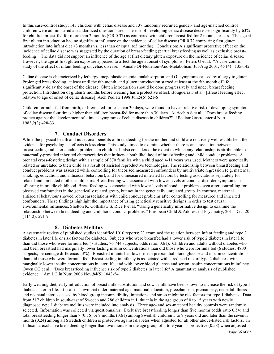In this case-control study, 143 children with celiac disease and 137 randomly recruited gender- and age-matched control children were administered a standardized questionnaire. The risk of developing celiac disease decreased significantly by 63% for children breast-fed for more than 2 months (OR 0.37) as compared with children breast-fed for 2 months or less. The age at first gluten introduction had no significant influence on the incidence of celiac disease (OR 0.72 comparing first gluten introduction into infant diet >3 months vs. less than or equal to3 months). Conclusion: A significant protective effect on the incidence of celiac disease was suggested by the duration of breast-feeding (partial breastfeeding as well as exclusive breastfeeding). The data did not support an influence of the age at first dietary gluten exposure on the incidence of celiac disease. However, the age at first gluten exposure appeared to affect the age at onset of symptoms. Peters U et al. "A case-control study of the effect of infant feeding on celiac disease." Annals-Of-Nutrition-And-Metabolism. Jul-Aug 2001; 45 (4) : 135-142.

Celiac disease is characterized by lethargy, megoblastic anemia, malabsorption, and GI symptoms caused by allergy to gluten. Prolonged breastfeeding, at least until the 6th month, and gluten introduction started at least at the 5th month of life, significantly delay the onset of the disease. Gluten introduction should be done progressively and under breast feeding protection. Introduction of gluten 2 months before weaning has a protective effect. Bouguerra F et al. [Breast feeding effect relative to age of onset of celiac disease]. Arch Pediatr 1998 Jun;5(6):621-6

Children formula-fed from birth, or breast-fed for less than 30 days, were found to have a relative risk of developing symptoms of celiac disease four times higher than children breast-fed for more than 30 days. Auricchio S et al. "Does breast feeding protect against the development of clinical symptoms of celiac disease in children?" J Pediatr Gastroenterol Nutr 1983;2(3):428-33.

#### **7. Conduct Disorders**

While the physical health and nutritional benefits of breastfeeding for the mother and child are relatively well established, the evidence for psychological effects is less clear. This study aimed to examine whether there is an association between breastfeeding and later conduct problems in children. It also considered the extent to which any relationship is attributable to maternally-provided inherited characteristics that influence both likelihood of breastfeeding and child conduct problems. A prenatal cross-fostering design with a sample of 870 families with a child aged 4-11 years was used. Mothers were genetically related or unrelated to their child as a result of assisted reproductive technologies. The relationship between breastfeeding and conduct problems was assessed while controlling for theorised measured confounders by multivariate regression (e.g. maternal smoking, education, and antisocial behaviour), and for unmeasured inherited factors by testing associations separately for related and unrelated mother-child pairs. Breastfeeding was associated with lower levels of conduct disorder symptoms in offspring in middle childhood. Breastfeeding was associated with lower levels of conduct problems even after controlling for observed confounders in the genetically related group, but not in the genetically unrelated group. In contrast, maternal antisocial behaviour showed robust associations with child conduct problems after controlling for measured and inherited confounders. These findings highlight the importance of using genetically sensitive designs in order to test causal environmental influences. Shelton K, Collishaw S, Rice F et al. "Using a genetically informative design to examine the relationship between breastfeeding and childhood conduct problems." European Child & Adolescent Psychiatry, 2011 Dec; 20 (11/12): 571-9.

#### **8. Diabetes Mellitus**

A systematic review of published studies identified 1010 reports; 23 examined the relation between infant feeding and type 2 diabetes in later life or risk factors for diabetes. Subjects who were breastfed had a lower risk of type 2 diabetes in later life than did those who were formula fed (7 studies; 76 744 subjects; odds ratio: 0.61). Children and adults without diabetes who had been breastfed had marginally lower fasting insulin concentrations than did those who were formula fed (6 studies; 4800 subjects; percentage difference: -3%). Breastfed infants had lower mean preprandial blood glucose and insulin concentrations than did those who were formula fed. Breastfeeding in infancy is associated with a reduced risk of type 2 diabetes, with marginally lower insulin concentrations in later life, and with lower blood glucose and serum insulin concentrations in infancy. Owen CG et al. "Does breastfeeding influence risk of type 2 diabetes in later life? A quantitative analysis of published evidence." Am J Clin Nutr. 2006 Nov;84(5):1043-54.

Early weaning diet, early introduction of breast milk substitution and cow's milk have been shown to increase the risk of type 1 diabetes later in life. It is also shown that older maternal age, maternal education, preeclampsia, prematurity, neonatal illness and neonatal icterus caused by blood group incompatibility, infections and stress might be risk factors for type 1 diabetes. Data from 517 children in south-east of Sweden and 286 children in Lithuania in the age group of 0 to 15 years with newly diagnosed type 1 diabetes mellitus were included into analysis. Three age- and sex-matched healthy controls were randomly selected. Information was collected via questionnaires. Exclusive breastfeeding longer than five months (odds ratio 0.54) and total breastfeeding longer than 7 (0.56) or 9 months (0.61) among Swedish children 5 to 9 years old and later than the seventh month (0.24) among all Swedish children is protective against diabetes when adjusted for all other above-listed risk factors. In Lithuania, exclusive breastfeeding longer than two months in the age group of 5 to 9 years is protective (0.58) when adjusted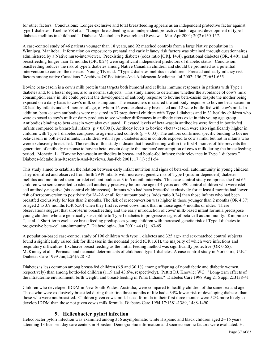for other factors. Conclusions; Longer exclusive and total breastfeeding appears as an independent protective factor against type 1 diabetes. Kuehne-VS et al. "Longer breastfeeding is an independent protective factor against development of type 1 diabetes mellitus in childhood." Diabetes Metabolism Research and Reviews. Mar-Apr 2004; 20(2):150-157.

A case-control study of 46 patients younger than 18 years, and 92 matched controls from a large Native population in Winnipeg, Manitoba. Information on exposure to prenatal and early infancy risk factors was obtained through questionnaires administered by a Native nurse-interviewer. Preexisting diabetes (odds ratio [OR], 14.4), gestational diabetes (OR, 4.40), and breastfeeding longer than 12 months (OR, 0.24) were significant independent predictors of diabetic status. Conclusion: reastfeeding reduces the risk of type 2 diabetes among Native Canadian children and should be promoted as a potential intervention to control the disease. Young-TK et al. "Type 2 diabetes mellitus in children - Prenatal and early infancy risk factors among native Canadians." Archives-Of-Pediatrics-And-Adolescent-Medicine. Jul 2002; 156 (7):651-655

Bovine beta-casein is a cow's milk protein that targets both humoral and cellular immune responses in patients with Type 1 diabetes and, to a lesser degree, also in normal subjects. This study aimed to determine whether the avoidance of cow's milk consumption early in life could prevent the development of antibody response to bovine beta-casein despite the mother being exposed on a daily basis to cow's milk consumption. The researchers measured the antibody response to bovine beta -casein in 28 healthy infants under 4 months of age, of whom 16 were exclusively breast-fed and 12 were bottle-fed with cow's milk. In addition, beta -casein antibodies were measured in 37 prepubertal children with Type 1 diabetes and in 31 healthy children who were exposed to cow's milk or dairy products to see whether differences in antibody titers exist in this young age group. Antibodies binding to beta -casein were also evaluated. Elevated levels of beta -casein antibodies were found in bottle-fed infants compared to breast-fed infants ( $p < 0.0001$ ). Antibody levels to bovine  $\leq$ beta $\geq$ -casein were also significantly higher in children with Type 1 diabetes compared to age-matched controls ( $p = 0.03$ ). The authors confirmed specific binding to bovine beta-casein in bottle-fed infants, in children with Type 1 diabetes and in controls exposed to cow's milk, but not in infants who were exclusively breast-fed. The results of this study indicate that breastfeeding within the first 4 months of life prevents the generation of antibody response to bovine beta -casein despite the mothers' consumption of cow's milk during the breastfeeding period. Monetini L. "Bovine beta-casein antibodies in breast- and bottle-fed infants: their relevance in Type 1 diabetes." Diabetes-Metabolism-Research-And-Reviews. Jan-Feb 2001; 17 (1) : 51-54

This study aimed to establish the relation between early infant nutrition and signs of beta-cell autoimmunity in young children. They identified and observed from birth 2949 infants with increased genetic risk of Type I (insulin-dependent) diabetes mellitus and monitored them for islet cell antibodies at 3 to 6 month intervals. This case-control study comprises the first 65 children who seroconverted to islet cell antibody positivity before the age of 4 years and 390 control children who were islet cell antibody-negative (six control children/case). Infants who had been breastfed exclusively for at least 4 months had lower risk of seroconversion to positivity for IA-2A or all four autoantibodies [odds ratio 0.24] than those infants who had been breastfed exclusively for less than 2 months. The risk of seroconversion was higher in those younger than 2 months (OR 4.37) or aged 2 to 3.9 months (OR 5.50) when they first received cows' milk than in those aged 4 months or older. These observations suggest that short-term breastfeeding and the early introduction of cows' milk-based infant formula predispose young children who are genetically susceptible to Type I diabetes to progressive signs of beta-cell autoimmunity. Kimpimaki-T, et al. "Short-term exclusive breastfeeding predisposes young children with increased genetic risk of Type I diabetes to progressive beta-cell autoimmunity." Diabetologia-. Jan 2001; 44 (1) : 63-69

A population-based case-control study of 196 children with type 1 diabetes and 325 age- and sex-matched control subjects found a significantly raised risk for illnesses in the neonatal period (OR 1.61), the majority of which were infections and respiratory difficulties. Exclusive breast feeding as the initial feeding method was significantly protective (OR 0.65). McKinney et al. "Perinatal and neonatal determinants of childhood type 1 diabetes. A case-control study in Yorkshire, U.K." Diabetes Care 1999 Jun;22(6):928-32

Diabetes is less common among breast-fed children (6.9 and 30.1% among offspring of nondiabetic and diabetic women, respectively) than among bottle-fed children (11.9 and 43.6%, respectively). Pettitt DJ, Knowler WC. "Long-term effects of the intrauterine environment, birth weight, and breast-feeding in Pima Indians." Diabetes Care 1998 Aug;21 Suppl 2:B138-41

Children who developed IDDM in New South Wales, Australia, were compared to healthy children of the same sex and age. Those who were exclusively breastfed during their first three months of life had a 34% lower risk of developing diabetes than those who were not breastfed. Children given cow's-milk-based formula in their first three months were 52% more likely to develop IDDM than those not given cow's milk formula. Diabetes Care 1994;17:1381-1389, 1488-1490.

## **9. Helicobacter pylori infection**

Helicobacter pylori infection was examined among 356 asymptomatic white Hispanic and black children aged 2--16 years attending 13 licensed day care centers in Houston. Demographic information and socioeconomic factors were evaluated. H.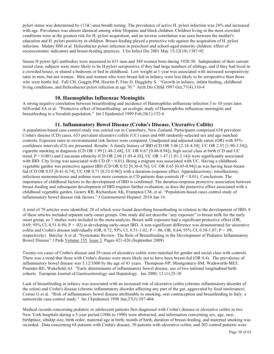pylori status was determined by (13)C-urea breath testing. The prevalence of active H. pylori infection was 24% and increased with age. Prevalence was almost identical among white Hispanic and black children. Children living in the most crowded conditions were at the greatest risk for H. pylori acquisition, and an inverse correlation was seen between the mother's education and H. pylori positivity in children. Breast-feeding played a protective role against the acquisition of H. pylori infection. Malaty HM et al. Helicobacter pylori infection in preschool and school-aged minority children: effect of socioeconomic indicators and breast-feeding practices. Clin Infect Dis 2001 May 15;32(10):1387-92

Serum H pylori IgG antibodies were measured in 631 men and 389 women born during 1920-30. Independent of their current social class, subjects were more likely to be H pylori seropositive if they had large numbers of siblings, and if they had lived in a crowded house, or shared a bedroom or bed in childhood. Low weight at 1 year was associated with increased seropositivity rates in men, but not women. Men and women who were breast fed in infancy were less likely to be seropositive than those who were bottle fed. Fall CH, Goggin PM, Hawtin P, Fine D, Duggleby S. "Growth in infancy, infant feeding, childhood living conditions, and Helicobacter pylori infection at age 70." Arch Dis Child 1997 Oct;77(4):310-4

#### **10. Haemophilus Influenzae Meningitis**

A strong negative correlation between breastfeeding and incidence of Haemophilus influenzae infection 5 to 10 years later. Silfverdal SA et al. "Protective effect of breastfeeding: an ecologic study of Haemophilus influenzae meningitis and breastfeeding in a Swedish population." Int J Epidemiol 1999 Feb;28(1):152-6

#### **11. Inflammatory Bowel Disease (Crohn's Disease, Ulcerative Colitis)**

A population-based case-control study was carried out in Canterbury, New Zealand. Participants comprised 638 prevalent Crohn's disease (CD) cases, 653 prevalent ulcerative colitis (UC) cases and 600 randomly-selected sex and age matched controls. Exposure rates to environmental risk factors were compared. Unadjusted and adjusted odds ratios (OR) with 95% confidence intervals (CI) are presented. Results: A family history of IBD (CD OR 3.06 [2.18-4.30], UC OR 2.52 [1.90-3.54]), cigarette smoking at diagnosis (CD OR 1.99 [1.48-2.68], UC OR 0.67 [0.48-0.94]), high social class at birth (CD and UC trend,  $P \le 0.001$ ) and Caucasian ethnicity (CD OR 2.04 [1.05-4.38], UC OR 1.47 [1.01-2.14]) were significantly associated with IBD. City living was associated with CD ( $P < 0.01$ ). Being a migrant was associated with UC. Having a childhood vegetable garden was protective against IBD (CD OR 0.52 [0.36-0.76], UC OR 0.65 [0.45-0.94]) as was having been breastfed (CD OR 0.55 [0.41-0.74], UC OR 0.71 [0.52-0.96]) with a duration-response effect. Appendicectomy, tonsillectomy, infectious monomucleosis and asthma were more common in CD patients than controls (P < 0.01). Conclusions: The importance of childhood factors in the development of IBD is confirmed. The duration-response protective association between breast-feeding and subsequent development of IBD requires further evaluation, as does the protective effect associated with a childhood vegetable garden. Gearry RB, Richardson AK, Frampton CM, et al. "Population-based cases control study of inflammatory bowel disease risk factors." J Gastroenterol Hepatol. 2010 Jan 14.

A total of 79 articles were identified, 20 of which were found describing breastfeeding in relation to the development of IBD; 8 of these articles included separate early-onset groups. One study did not describe "any exposure" to breast milk for the early onset group, so 7 studies were included in the meta-analysis. Breast milk exposure had a significant protective effect (OR, 0.69; 95% CI, 0.51-0.94;  $P = .02$ ) in developing early-onset IBD. A non-significant difference was demonstrated for ulcerative colitis and Crohn's disease individually (OR, 0.72; 95% CI, 0.51-1.02; P = .06; OR, 0.64; 95% CI, 0.38-1.07; P = .09, respectively). Barclay A et al. "Systematic Review: The Role of Breastfeeding in the Development of Pediatric Inflammatory Bowel Disease" J Peds Volume 155, Issue 3, Pages 421-426 (September 2009)

Twenty-six cases of Crohn's disease and 29 cases of ulcerative colitis were matched for gender and social class with controls. There was a trend that those with Crohn's disease were more likely not to have been breast-fed (OR 0.4). The prevalence of inflammatory bowel disease was 5.12/1000 by the age of 43 years. Thompson-NP; Montgomery-SM; Wadsworth-MEJ; Pounder-RE; Wakefield-AJ. "Early determinants of inflammatory bowel disease: use of two national longitudinal birth cohorts. European Journal of Gastroenterology and Hepatology. Jan 2000; 12 (1):25-30

Lack of breastfeeding in infancy was associated with an increased risk of ulcerative colitis (chronic inflammatory disorder of the colon) and Crohn's disease (chronic inflammatory disorder affecting any part of the gut, aggravated by food intolerance). Corrao G et al. "Risk of inflammatory bowel disease attributable to smoking, oral contraception and breastfeeding in Italy: a nationwide case-control study." Int J Epidemiol 1998 Jun;27(3):397-404.

Medical records concerning pediatric or adolescent patients first diagnosed with Crohn's disease or ulcerative colitis in two New York hospitals during a 5-year period (1986 to 1990) were abstracted, and information concerning sex, age, race, birthplace, sibship size, birth order, maternal age at birth, month of birth, duration of breast-feeding, and maternal smoking was recorded. Data concerning 68 patients with Crohn's disease, 39 patients with ulcerative colitis, and 202 control patients were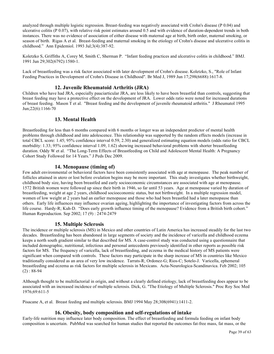analyzed through multiple logistic regression. Breast-feeding was negatively associated with Crohn's disease (P 0.04) and ulcerative colitis (P 0.07), with relative risk point estimates around 0.5 and with evidence of duration-dependent trends in both instances. There was no evidence of association of either disease with maternal age at birth, birth order, maternal smoking, or season of birth. Rigas A et al. Breast-feeding and maternal smoking in the etiology of Crohn's disease and ulcerative colitis in childhood." Ann Epidemiol. 1993 Jul;3(4):387-92.

Koletzko S, Griffiths A, Corey M, Smith C, Sherman P. "Infant feeding practices and ulcerative colitis in childhood." BMJ. 1991 Jun 29;302(6792):1580-1.

Lack of breastfeeding was a risk factor associated with later development of Crohn's disease. Koletzko, S., "Role of Infant Feeding Practices in Development of Crohn's Disease in Childhood". Br Med J, 1989 Jun 17;298(6688):1617-8.

#### **12. Juvenile Rheumatoid Arthritis (JRA)**

Children who have had JRA, especially pauciarticular JRA, are less likely to have been breastfed than controls, suggesting that breast feeding may have a protective effect on the development of JRA. Lower odds ratio were noted for increased durations of breast feeding. Mason T et al. "Breast feeding and the development of juvenile rheumatoid arthritis." J Rheumatol 1995 Jun;22(6):1166-70

#### **13. Mental Health**

Breastfeeding for less than 6 months compared with 6 months or longer was an independent predictor of mental health problems through childhood and into adolescence. This relationship was supported by the random effects models (increase in total CBCL score: 1.45; 95% confidence interval 0.59, 2.30) and generalized estimating equation models (odds ratio for CBCL morbidity: 1.33; 95% confidence interval 1.09, 1.62) showing increased behavioral problems with shorter breastfeeding duration. Oddy W et al. "The Long-Term Effects of Breastfeeding on Child and Adolescent Mental Health: A Pregnancy Cohort Study Followed for 14 Years." J Peds Dec 2009.

#### **14. Menopause (timing of)**

Few adult environmental or behavioral factors have been consistently associated with age at menopause. The peak number of follicles attained in utero or lost before ovulation begins may be more important. This study investigates whether birthweight, childhood body size, having been breastfed and early socioeconomic circumstances are associated with age at menopause. 1572 British women were followed up since their birth in 1946, so far until 53 years. Age at menopause varied by duration of breastfeeding, weight at age 2 years, childhood socioeconomic status, but not birthweight. In a multiple regression model, women of low weight at 2 years had an earlier menopause and those who had been breastfed had a later menopause than others. Early life influences may influence ovarian ageing, highlighting the importance of investigating factors from across the life course. Hardy-R; Kuh-D. "Does early growth influence timing of the menopause? Evidence from a British birth cohort." Human Reproduction. Sep 2002; 17 (9) : 2474-2479

#### **15. Multiple Sclerosis**

The incidence or multiple sclerosis (MS) in Mexico and other countries of Latin America has increased steadily for the last two decades. Breastfeeding has been abandoned in large segments of society and the incidence of varicella and childhood eczema keeps a north south gradient similar to that described for MS. A case-control study was conducted using a questionnaire that included demographic, nutritional, infectious and personal antecedents previously identified in other reports as possible risk factors for MS. The frequency of varicella, lack of breastfeeding, and eczema in the medical history of MS patients were significant when compared with controls. These factors may participate in the sharp increase of MS in countries like Mexico traditionally considered as an area of very low incidence. Tarrats-R; Ordonez-G; Rios-C; Sotelo-J. Varicella, ephemeral breastfeeding and eczema as risk factors for multiple sclerosis in Mexicans. Acta-Neurologica-Scandinavica. Feb 2002; 105  $(2): 88-94$ 

Although thought to be multifactorial in origin, and without a clearly defined etiology, lack of breastfeeding does appear to be associated with an increased incidence of multiple sclerosis. Dick, G. "The Etiology of Multiple Sclerosis." Proc Roy Soc Med 1976;69:611-5

Pisacane A, et al. Breast feeding and multiple sclerosis. BMJ 1994 May 28;308(6941):1411-2.

#### **16. Obesity, body composition and self-regulations of intake**

Early-life nutrition may influence later body composition. The effect of breastfeeding and formula feeding on infant body composition is uncertain. PubMed was searched for human studies that reported the outcomes fat-free mass, fat mass, or the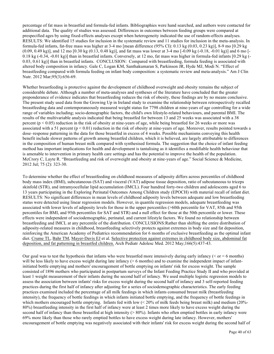percentage of fat mass in breastfed and formula-fed infants. Bibliographies were hand searched, and authors were contacted for additional data. The quality of studies was assessed. Differences in outcomes between feeding groups were compared at prespecified ages by using fixed-effects analyses except when heterogeneity indicated the use of random-effects analyses. RESULTS: We identified 15 studies for inclusion in the systematic review and 11 studies for inclusion in the meta-analysis. In formula-fed infants, fat-free mass was higher at 3-4 mo [mean difference (95% CI): 0.13 kg (0.03, 0.23 kg)], 8-9 mo [0.29 kg  $(0.09, 0.49 \text{ kg})$ ], and 12 mo  $[0.30 \text{ kg } (0.13, 0.48 \text{ kg})]$ , and fat mass was lower at 3-4 mo  $[-0.09 \text{ kg } (-0.18, -0.01 \text{ kg})]$  and 6 mo  $[-0.09 \text{ kg } (-0.18, -0.01 \text{ kg})]$ 0.18 kg (-0.34, -0.01 kg)] than in breastfed infants. Conversely, at 12 mo, fat mass was higher in formula-fed infants [0.29 kg (- 0.03, 0.61 kg)] than in breastfed infants. CONCLUSION: Compared with breastfeeding, formula feeding is associated with altered body composition in infancy. Gale C, Logan KM, Santhakumaran S, Parkinson JR, Hyde MJ, Modi N. "Effect of breastfeeding compared with formula feeding on infant body composition: a systematic review and meta-analysis." Am J Clin Nutr. 2012 Mar;95(3):656-69.

Whether breastfeeding is protective against the development of childhood overweight and obesity remains the subject of considerable debate. Although a number of meta-analyses and syntheses of the literature have concluded that the greater preponderance of evidence indicates that breastfeeding reduces the risk of obesity, these findings are by no means conclusive. The present study used data from the Growing Up in Ireland study to examine the relationship between retrospectively recalled breastfeeding data and contemporaneously measured weight status for 7798 children at nine-years of age controlling for a wide range of variables including; socio-demographic factors, the child's own lifestyle-related behaviours, and parental BMI. The results of the multivariable analysis indicated that being breastfed for between 13 and 25 weeks was associated with a 38 percent  $(p < 0.05)$  reduction in the risk of obesity at nine-years of age, while being breastfed for 26 weeks or more was associated with a 51 percent  $(p < 0.01)$  reduction in the risk of obesity at nine-years of age. Moreover, results pointed towards a dose–response patterning in the data for those breastfed in excess of 4 weeks. Possible mechanisms conveying this health benefit include slower patterns of growth among breastfed children, which it is believed, are largely attributable to differences in the composition of human breast milk compared with synthesised formula. The suggestion that the choice of infant feeding method has important implications for health and development is tantalising as it identifies a modifiable health behaviour that is amenable to intervention in primary health care settings and has the potential to improve the health of the population. McCrory C, Layte R. "Breastfeeding and risk of overweight and obesity at nine-years of age." Social Science & Medicine, 2012 Jul; 75 (2): 323-30.

To determine whether the effect of breastfeeding on childhood measures of adiposity differs across percentiles of childhood body mass index (BMI), subcutaneous (SAT) and visceral (VAT) adipose tissue deposition, ratio of subcutaneous to triceps skinfold (STR), and intramyocellular lipid accumulation (IMCL). Four hundred forty-two children and adolescents aged 6 to 13 years participating in the Exploring Perinatal Outcomes Among Children study (EPOCH) with material recall of infant diet. RESULTS: No significant differences in mean levels of childhood adiposity levels between adequate and low breastfeeding status were detected using linear regression models. However, in quantile regression models, adequate breastfeeding was associated with lower levels of adiposity levels for those in the upper percentiles (>60th percentile for VAT, 85th and 95th percentiles for BMI, and 95th percentiles for SAT and STR) and a null effect for those at the 50th percentile or lower. These effects were independent of sociodemographic, perinatal, and current lifestyle factors. We found no relationship between breastfeeding and IMCL at any percentile of the distribution. CONCLUSIONS:Rather than shifting the entire distribution of adiposity-related measures in childhood, breastfeeding selectively protects against extremes in body size and fat deposition, reinforcing the American Academy of Pediatrics recommendation for 6 months of exclusive breastfeeding as the optimal infant diet. Crume TL, Bahr TM, Mayer-Davis EJ et al. Selective protection against extremes in childhood body size, abdominal fat deposition, and fat patterning in breastfed children. Arch Pediatr Adolesc Med. 2012 May;166(5):437-43.

Our goal was to test the hypothesis that infants who were breastfed more intensively during early infancy ( $\leq$  or  $=$  6 months) will be less likely to have excess weight during late infancy  $(0.6 \text{ months})$  and to examine the independent impact of infantinitiated bottle emptying and mothers' encouragement of bottle emptying on infants' risk for excess weight. The sample consisted of 1896 mothers who participated in postpartum surveys of the Infant Feeding Practice Study II and who provided at least 1 weight measurement of their infants during the second half of infancy. We used multiple logistic regression models to assess the association between infants' risks for excess weight during the second half of infancy and 3 self-reported feeding practices during the first half of infancy after adjusting for a series of sociodemographic characteristics. The early feeding practices examined included the percentage of all milk feedings in which infants consumed breast milk (breastfeeding intensity), the frequency of bottle feedings in which infants initiated bottle emptying, and the frequency of bottle feedings in which mothers encouraged bottle emptying. Infants fed with low (< 20% of milk feeds being breast milk) and medium (20%-80%) breastfeeding intensity in the first half of infancy were at least 2 times more likely to have excess weight during the second half of infancy than those breastfed at high intensity  $(80\%)$ . Infants who often emptied bottles in early infancy were 69% more likely than those who rarely emptied bottles to have excess weight during late infancy. However, mothers' encouragement of bottle emptying was negatively associated with their infants' risk for excess weight during the second half of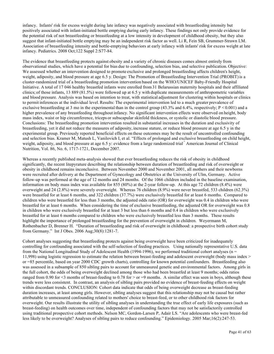infancy. Infants' risk for excess weight during late infancy was negatively associated with breastfeeding intensity but positively associated with infant-initiated bottle emptying during early infancy. These findings not only provide evidence for the potential risk of not breastfeeding or breastfeeding at a low intensity in development of childhood obesity, but they also suggest that infant-initiated bottle emptying may be an independent risk factor as well. Li R, Fein SB, Grummer-Strawn LM. Association of breastfeeding intensity and bottle-emptying behaviors at early infancy with infants' risk for excess weight at late infancy. Pediatrics. 2008 Oct;122 Suppl 2:S77-84.

The evidence that breastfeeding protects against obesity and a variety of chronic diseases comes almost entirely from observational studies, which have a potential for bias due to confounding, selection bias, and selective publication. Objective: We assessed whether an intervention designed to promote exclusive and prolonged breastfeeding affects children's height, weight, adiposity, and blood pressure at age 6.5 y. Design: The Promotion of Breastfeeding Intervention Trial (PROBIT) is a cluster-randomized trial of a breastfeeding promotion intervention based on the WHO/UNICEF Baby-Friendly Hospital Initiative. A total of 17 046 healthy breastfed infants were enrolled from 31 Belarussian maternity hospitals and their affiliated clinics; of those infants, 13 889 (81.5%) were followed up at 6.5 y with duplicate measurements of anthropometric variables and blood pressure. Analysis was based on intention to treat, with statistical adjustment for clustering within hospitals or clinics to permit inferences at the individual level.Results: The experimental intervention led to a much greater prevalence of exclusive breastfeeding at 3 mo in the experimental than in the control group  $(43.3\%$  and  $6.4\%$ , respectively;  $P < 0.001$ ) and a higher prevalence of any breastfeeding throughout infancy. No significant intervention effects were observed on height, body mass index, waist or hip circumference, triceps or subscapular skinfold thickness, or systolic or diastolic blood pressure. Conclusions: The breastfeeding promotion intervention resulted in substantial increases in the duration and exclusivity of breastfeeding, yet it did not reduce the measures of adiposity, increase stature, or reduce blood pressure at age 6.5 y in the experimental group. Previously reported beneficial effects on these outcomes may be the result of uncontrolled confounding and selection bias. Kramer M, Matush L, Vanilovich I, et al. "Effects of prolonged and exclusive breastfeeding on child height, weight, adiposity, and blood pressure at age 6.5 y: evidence from a large randomized trial<sup>"</sup> American Journal of Clinical Nutrition, Vol. 86, No. 6, 1717-1721, December 2007.

Whereas a recently published meta-analysis showed that ever breastfeeding reduces the risk of obesity in childhood significantly, the recent litepyrature describing the relationship between duration of breastfeeding and risk of overweight or obesity in childhood remains inconclusive. Between November 2000 and November 2001, all mothers and their newborns were recruited after delivery at the Department of Gynecology and Obstetrics at the University of Ulm, Germany. Active follow-up was performed at the age of 12 months and 24 months. Of the 1066 children included in the baseline examination, information on body mass index was available for 855 (80%) at the 2-year follow-up. At this age 72 children (8.4%) were overweight and 24 (2.8%) were severely overweight. Whereas 76 children (8.9%) were never breastfed, 533 children (62.3%) were breastfed for at least 6 months, and 322 children (37.7%) were exclusively breastfed for at least 6 months. Compared to children who were breastfed for less than 3 months, the adjusted odds ratio (OR) for overweight was 0.4 in children who were breastfed for at least 6 months. When considering the time of exclusive breastfeeding, the adjusted OR for overweight was 0.8 in children who were exclusively breastfed for at least 3 but less than 6 months and 0.4 in children who were exclusively breastfed for at least 6 months compared to children who were exclusively breastfed less than 3 months. These results highlight the importance of prolonged breastfeeding for the prevention of overweight in children. Weyermann M, Rothenbacher D, Brenner H. "Duration of breastfeeding and risk of overweight in childhood: a prospective birth cohort study from Germany." Int J Obes. 2006 Aug;30(8):1281-7.

Cohort analyses suggesting that breastfeeding protects against being overweight have been criticized for inadequately controlling for confounding associated with the self-selection of feeding practices. Using nationally representative U.S. data from the National Longitudinal Study of Adolescent Health (1994-1996), we performed traditional cohort analyses (n = 11,998) using logistic regression to estimate the relation between breast-feeding and adolescent overweight (body mass index > or =85 percentile, based on year 2000 CDC growth charts), controlling for known potential confounders. Breastfeeding also was assessed in a subsample of 850 sibling pairs to account for unmeasured genetic and environmental factors. Among girls in the full cohort, the odds of being overweight declined among those who had been breastfed at least 9 months; odds ratios ranged from 0.90 for  $\leq$ 3 months of breast-feeding to 0.78 for  $>$  or  $=$ 9 months. A similar effect was seen in boys, although these trends were less consistent. In contrast, an analysis of sibling pairs provided no evidence of breast-feeding effects on weight within discordant trends. CONCLUSION: Cohort data indicate that odds of being overweight decrease as breast-feeding duration increases, at least among girls. However, sibling analyses suggest that this relationship may not be causal but rather attributable to unmeasured confounding related to mothers' choice to breast-feed, or to other childhood risk factors for overweight. Our results illustrate the utility of sibling analyses in understanding the true effect of early life exposures (such as breast-feeding) on health outcomes over time, independent of confounding factors that may not be satisfactorily controlled using traditional prospective cohort methods. Nelson MC, Gordon-Larsen P, Adair LS. "Are adolescents who were breast-fed less likely to be overweight? Analyses of sibling pairs to reduce confounding." Epidemiology. 2005 Mar;16(2):247-53.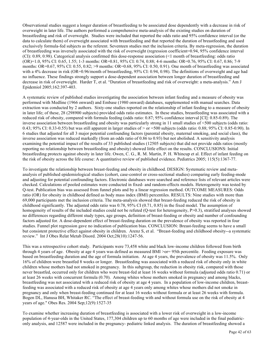Observational studies suggest a longer duration of breastfeeding to be associated dose dependently with a decrease in risk of overweight in later life. The authors performed a comprehensive meta-analysis of the existing studies on duration of breastfeeding and risk of overweight. Studies were included that reported the odds ratio and 95% confidence interval (or the data to calculate them) of overweight associated with breastfeeding and that reported the duration of breastfeeding and used exclusively formula-fed subjects as the referent. Seventeen studies met the inclusion criteria. By meta-regression, the duration of breastfeeding was inversely associated with the risk of overweight (regression coefficient=0.94, 95% confidence interval (CI): 0.89, 0.98). Categorical analysis confirmed this dose-response association (<1 month of breastfeeding: odds ratio (OR)=1.0, 95% CI: 0.65, 1.55; 1-3 months: OR=0.81, 95% CI: 0.74, 0.88; 4-6 months: OR=0.76, 95% CI: 0.67, 0.86; 7-9 months: OR=0.67, 95% CI: 0.55, 0.82; >9 months: OR=0.68, 95% CI: 0.50, 0.91). One month of breastfeeding was associated with a 4% decrease in risk (OR=0.96/month of breastfeeding, 95% CI: 0.94, 0.98). The definitions of overweight and age had no influence. These findings strongly support a dose-dependent association between longer duration of breastfeeding and decrease in risk of overweight. Harder T, et al. "Duration of breastfeeding and risk of overweight: a meta-analysis." Am J Epidemiol 2005;162:397-403.

A systematic review of published studies investigating the association between infant feeding and a measure of obesity was performed with Medline (1966 onward) and Embase (1980 onward) databases, supplemented with manual searches. Data extraction was conducted by 2 authors. Sixty-one studies reported on the relationship of infant feeding to a measure of obesity in later life; of these, 28 (298900 subjects) provided odds ratio estimates. In these studies, breastfeeding was associated with a reduced risk of obesity, compared with formula feeding (odds ratio: 0.87; 95% confidence interval [CI]: 0.85-0.89). The inverse association between breastfeeding and obesity was particularly strong in 11 small studies of <500 subjects (odds ratio: 0.43; 95% CI: 0.33-0.55) but was still apparent in larger studies of  $>$  or =500 subjects (odds ratio: 0.88; 95% CI: 0.85-0.90). In 6 studies that adjusted for all 3 major potential confounding factors (parental obesity, maternal smoking, and social class), the inverse association was reduced markedly (from an odds ratio of 0.86 to 0.93) but not abolished. A sensitivity analysis examining the potential impact of the results of 33 published studies (12505 subjects) that did not provide odds ratios (mostly reporting no relationship between breastfeeding and obesity) showed little effect on the results. CONCLUSIONS: Initial breastfeeding protects against obesity in later life. Owen, C. G., R. M. Martin, P. H. Whincup et al. Effect of infant feeding on the risk of obesity across the life course: A quantitative review of published evidence. Pediatrics 2005; 115(5):1367-77.

To investigate the relationship between breast-feeding and obesity in childhood. DESIGN: Systematic review and metaanalysis of published epidemiological studies (cohort, case-control or cross-sectional studies) comparing early feeding-mode and adjusting for potential confounding factors. Electronic databases were searched and reference lists of relevant articles were checked. Calculations of pooled estimates were conducted in fixed- and random-effects models. Heterogeneity was tested by Q-test. Publication bias was assessed from funnel plots and by a linear regression method. OUTCOME MEASURES: Odds ratio (OR) for obesity in childhood defined as body mass index (BMI) percentiles. RESULTS: Nine studies with more than 69,000 participants met the inclusion criteria. The meta-analysis showed that breast-feeding reduced the risk of obesity in childhood significantly. The adjusted odds ratio was 0.78, 95% CI (0.71, 0.85) in the fixed model. The assumption of homogeneity of results of the included studies could not be refuted (Q-test for heterogeneity, P>0.3), stratified analyses showed no differences regarding different study types, age groups, definition of breast-feeding or obesity and number of confounding factors adjusted for. A dose-dependent effect of breast-feeding duration on the prevalence of obesity was reported in four studies. Funnel plot regression gave no indication of publication bias. CONCLUSION: Breast-feeding seems to have a small but consistent protective effect against obesity in children. Arenz S, et al. "Breast-feeding and childhood obesity--a systematic review." Int J Obes Relat Metab Disord. 2004 Oct;28(10):1247-56.

This was a retrospective cohort study. Participants were 73,458 white and black low-income children followed from birth through 4 years of age. Obesity at age 4 years was defined as measured BMI >or= 95th percentile. Feeding exposure was based on breastfeeding duration and the age of formula initiation. At age 4 years, the prevalence of obesity was 11.5%. Only 16% of children were breastfed 8 weeks or longer. Breastfeeding was associated with a reduced risk of obesity only in white children whose mothers had not smoked in pregnancy. In this subgroup, the reduction in obesity risk, compared with those never breastfed, occurred only for children who were breast-fed at least 16 weeks without formula (adjusted odds ratio 0.71) or at least 26 weeks with concurrent formula (0.70). Among whites whose mothers smoked in pregnancy and among blacks, breastfeeding was not associated with a reduced risk of obesity at age 4 years. In a population of low-income children, breastfeeding was associated with a reduced risk of obesity at age 4 years only among whites whose mothers did not smoke in pregnancy and only when breast-feeding continued for at least 16 weeks without formula or at least 26 weeks with formula. Bogen DL, Hanusa BH, Whitaker RC. "The effect of breast-feeding with and without formula use on the risk of obesity at 4 years of age." Obes Res. 2004 Sep;12(9):1527-35

To examine whether increasing duration of breastfeeding is associated with a lower risk of overweight in a low-income population of 4-year-olds in the United States, 177,304 children up to 60 months of age were included in the final pediatriconly analysis, and 12587 were included in the pregnancy- pediatric linked analysis. The duration of breastfeeding showed a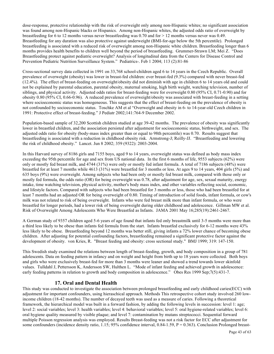dose-response, protective relationship with the risk of overweight only among non-Hispanic whites; no significant association was found among non-Hispanic blacks or Hispanics. Among non-Hispanic whites, the adjusted odds ratio of overweight by breastfeeding for 6 to 12 months versus never breastfeeding was 0.70 and for > 12 months versus never was 0.49. Breastfeeding for any duration was also protective against underweight (BMI-for-age below the 5th percentile). Prolonged breastfeeding is associated with a reduced risk of overweight among non-Hispanic white children. Breastfeeding longer than 6 months provides health benefits to children well beyond the period of breastfeeding. Grummer-Strawn LM; Mei Z. "Does Breastfeeding protect against pediatric overweight? Analysis of longitudinal data from the Centers for Disease Control and Prevention Pediatric Nutrition Surveillance System." Pediatrics-. Feb 1 2004; 113 (2):81-86

Cross-sectional survey data collected in 1991 on 33,768 school-children aged 6 to 14 years in the Czech Republic. Overall prevalence of overweight (obesity) was lower in breast-fed children: ever breast-fed (9.3%) compared with never breast-fed (12.4%). The effect of breast-feeding on overweight/obesity did not diminish with age in children 6 to 14 years old and could not be explained by parental education, parental obesity, maternal smoking, high birth weight, watching television, number of siblings, and physical activity. Adjusted odds ratios for breast-feeding were for overweight 0.80 (95% CI, 0.71-0.90) and for obesity 0.80 (95% CI, 0.66-0.96). A reduced prevalence of overweight/obesity was associated with breast-feeding in a setting where socioeconomic status was homogeneous. This suggests that the effect of breast-feeding on the prevalence of obesity is not confounded by socioeconomic status. Toschke AM et al "Overweight and obesity in 6- to 14-year-old Czech children in 1991: Protective effect of breast-feeding." J Pediatr 2002;141:764-9 December 2002.

Population-based sample of 32,200 Scottish children studied at age 39-42 months. The prevalence of obesity was significantly lower in breastfed children, and the association persisted after adjustment for socioeconomic status, birthweight, and sex. The adjusted odds ratio for obesity (body-mass index greater than or equal to 98th percentile) was 0.70. Results suggest that breastfeeding is associated with a reduction in childhood obesity risk. Armstrong-J; Reilly-JJ. "Breastfeeding and lowering the risk of childhood obesity." Lancet. Jun 8 2002; 359 (9322): 2003-2004.

In this Harvard survey of 8186 girls and 7155 boys, aged 9 to 14 years, overweight status was defined as body mass index exceeding the 95th percentile for age and sex from US national data. In the first 6 months of life, 9553 subjects (62%) were only or mostly fed breast milk, and 4744 (31%) were only or mostly fed infant formula. A total of 7186 subjects (48%) were breastfed for at least 7 months while 4613 (31%) were breastfed for 3 months or less. At ages 9 to 14 years, 404 girls (5%) and 635 boys (9%) were overweight. Among subjects who had been only or mostly fed breast milk, compared with those only or mostly fed formula, the odds ratio (OR) for being overweight was 0.78, after adjustment for age, sex, sexual maturity, energy intake, time watching television, physical activity, mother's body mass index, and other variables reflecting social, economic, and lifestyle factors. Compared with subjects who had been breastfed for 3 months or less, those who had been breastfed for at least 7 months had an adjusted OR for being overweight of 0.80. Timing of introduction of solid foods, infant formula, or cow's milk was not related to risk of being overweight. Infants who were fed breast milk more than infant formula, or who were breastfed for longer periods, had a lower risk of being overweight during older childhood and adolescence. Gillman MW et al. Risk of Overweight Among Adolescents Who Were Breastfed as Infants. JAMA 2001 May 16;285(19):2461-2467.

A German study of 9357 children aged 5-6 years of age found that infants fed only breastmilk until 3-5 months were more than a third less likely to be obese than infants fed formula from the start. Infants breastfed exclusively for 6-12 months were 43% less likely to be obese. Breastfeeding beyond 12 months was better still, giving infants a 72% lower chance of becoming obese children. After adjusting for potential confounding factors, breastfeeding remained a significant protective factor against the development of obesity. von Kries, R. "Breast feeding and obesity: cross sectional study." BMJ 1999; 319: 147-150.

This Swedish study examined the relations between length of breast-feeding, growth, and body composition in a group of 781 adolescents. Data on feeding pattern in infancy and on weight and height from birth up to 18 years were collected. Both boys and girls who were exclusively breast-fed for more than 3 months were leaner and showed a trend towards lower skinfold values. Tulldahl J, Pettersson K, Andersson SW, Hulthen L. "Mode of infant feeding and achieved growth in adolescence: early feeding patterns in relation to growth and body composition in adolescence." Obes Res 1999 Sep;7(5):431-7.

#### **17. Oral and Dental Health**

This study was conducted to investigate the association between prolonged breastfeeding and early childhood caries(ECC) with adjustment for important confounders, using hieraschical approach. Methods This retrospective cohort study involved 260 lowincome children (18-42 months). The number of decayed teeth was used as a measure of caries. Following a theoretical framework, the hierarchical model was built in a forward fashion, by adding the following levels in succession: level 1: age; level 2: social variables; level 3: health variables; level 4: behavioral variables; level 5: oral hygiene-related variables; level 6: oral hygiene quality measured by visible plaque; and level 7: contamination by mutans streptococci. Sequential forward multiple Poisson regression analysis was employed. Results Breast-feeding was not a risk factor for ECC after adjustment for some confounders (incidence density ratio, 1.15; 95% confidence interval, 0.84-1.59,  $P = 0.363$ ). Conclusion Prolonged breast-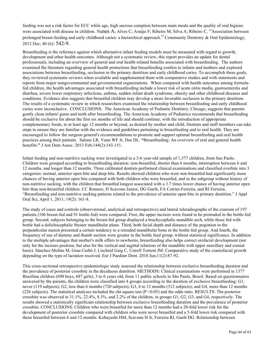feeding was not a risk factor for ECC while age, high sucrose comption between main meals and the quality of oral higiene were associated with disease in children. Nunes A; Alves C; Araújo F; Ribeiro M; Silva A; Ribeiro C. "Association between prolonged breast-feeding and early childhood caries: a hierarchical approach." Community Dentistry & Oral Epidemiology, 2012 Dec; 40 (6): 542-9.

Breastfeeding is the reference against which alternative infant feeding models must be measured with regard to growth, development and other health outcomes. Although not a systematic review, this report provides an update for dental professionals, including an overview of general and oral health-related benefits associated with breastfeeding. The authors examined the literature regarding general health protections that breastfeeding confers to infants and mothers and explored associations between breastfeeding, occlusion in the primary dentition and early childhood caries. To accomplish these goals, they reviewed systematic reviews when available and supplemented them with comparative studies and with statements and reports from major nongovernmental and governmental organizations. When compared with health outcomes among formulafed children, the health advantages associated with breastfeeding include a lower risk of acute otitis media, gastroenteritis and diarrhea, severe lower respiratory infections, asthma, sudden infant death syndrome, obesity and other childhood diseases and conditions. Evidence also suggests that breastfed children may develop a more favorable occlusion in the primary dentition. The results of a systematic review in which researchers examined the relationship between breastfeeding and early childhood caries were inconclusive. CONCLUSIONS: The American Academy of Pediatric Dentistry, Chicago, suggests that parents gently clean infants' gums and teeth after breastfeeding. The American Academy of Pediatrics recommends that breastfeeding should be exclusive for about the first six months of life and should continue, with the introduction of appropriate complementary foods, to at least age 12 months or beyond, as desired by mother and child. Dentists and staff members can take steps to ensure they are familiar with the evidence and guidelines pertaining to breastfeeding and to oral health. They are encouraged to follow the surgeon general's recommendations to promote and support optimal breastfeeding and oral health practices among their patients. Salone LR, Vann WF Jr, Dee DL. **"**Breastfeeding: An overview of oral and general health benefits.**"** J Am Dent Assoc. 2013 Feb;144(2):143-151.

Infant feeding and non-nutritive sucking were investigated in a 3-6 year-old sample of 1,377 children, from Sao Paolo. Children were grouped according to breastfeeding duration: non-breastfed, shorter than 6 months, interruption between 6 and 12 months, and longer than 12 months. Three calibrated dentists performed clinical examinations and classified overbite into 3 categories: normal, anterior open bite and deep bite. Results showed children who were non-breastfed had significantly more chances of having anterior open bite compared with both children who were breastfed, and in the subgroup without history of non-nutritive sucking, with the children that breastfed longest associated with a 3.7 times lower chance of having anterior open bite than non-breastfed children. CC Romero, H Scavone-Junior, DG Garib, FA Cotrim-Ferreira, and RI Ferreira. "Breastfeeding and non-nutritive sucking patterns related to the prevalence of anterior open bite in primary dentition." J Appl Oral Sci, April 1, 2011; 19(2): 161-8.

The study of cases and controls (observational, analytical and retrospective) and lateral teleradiographs of the cranium of 197 patients (106 breast-fed and 91 bottle-fed) were compared. First, the upper incisors were found to be protruded in the bottle-fed group. Second, subjects belonging to the breast-fed group displayed a brachycephalic mandible arch, while those fed with bottle had a dolichocephalic Steiner mandibular plane. Third, both facial depth and distance of the pogonion to the perpendicular nasion presented a certain tendency to a retruded mandibular bone in the bottle-fed group. And fourth, the frequency of use of dummy and thumb suction were greater in the bottle feed group, without statistical significance. In addition to the multiple advantages that mother's milk offers to newborns, breastfeeding also helps correct orofacial development (not only for the incisors position, but also for the vertical and sagittal relations of the mandible with upper maxillary and cranial basis). Sánchez-Molins M, Grau Carbó J, Lischeid Gaig C, Ustrell Torrent JM. Comparative study of the craniofacial growth depending on the type of lactation received. Eur J Paediatr Dent. 2010 Jun;11(2):87-92.

This cross-sectional retrospective epidemiologic study assessed the relationship between exclusive breastfeeding duration and the prevalence of posterior crossbite in the deciduous dentition. METHODS: Clinical examinations were performed in 1377 Brazilian children (690 boys, 687 girls), 3 to 6 years old, from 11 public schools in São Paulo, Brazil. Based on questionnaires answered by the parents, the children were classified into 4 groups according to the duration of exclusive breastfeeding: G1, never (119 subjects); G2, less than 6 months (720 subjects); G3, 6 to 12 months (312 subjects); and G4, more than 12 months (226 subjects). The statistical analyses included the chi-square test  $(P \le 0.05)$  and the odds ratio. RESULTS: The posterior crossbite was observed in 31.1%, 22.4%, 8.3%, and 2.2% of the children, in groups G1, G2, G3, and G4, respectively. The results showed a statistically significant relationship between exclusive breastfeeding duration and the prevalence of posterior crossbite. CONCLUSIONS: Children who were breastfed for more than 12 months had a 20-fold lower risk for the development of posterior crossbite compared with children who were never breastfed and a 5-fold lower risk compared with those breastfed between 6 and 12 months. Kobayashi HM, Scavone H Jr, Ferreira RI, Garib DG. Relationship between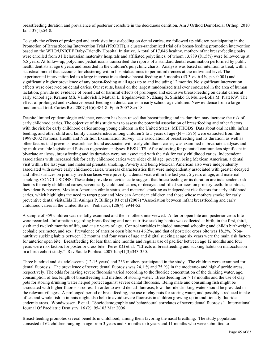breastfeeding duration and prevalence of posterior crossbite in the deciduous dentition. Am J Orthod Dentofacial Orthop. 2010 Jan;137(1):54-8.

To study the effects of prolonged and exclusive breast-feeding on dental caries, we followed up children participating in the Promotion of Breastfeeding Intervention Trial (PROBIT), a cluster-randomized trial of a breast-feeding promotion intervention based on the WHO/UNICEF Baby-Friendly Hospital Initiative. A total of 17,046 healthy, mother-infant breast-feeding pairs were enrolled from 31 Belarussian maternity hospitals and affiliated polyclinics, of whom 13,889 (81.5%) were followed up at 6.5 years. At follow-up, polyclinic pediatricians transcribed the reports of a standard dental examination performed by public health dentists at age 6 years and recorded in the children's polyclinic charts. Analysis was based on intention to treat, with a statistical model that accounts for clustering within hospitals/clinics to permit inferences at the individual level. The experimental intervention led to a large increase in exclusive breast-feeding at 3 months (43.3 vs.  $6.4\%$ , p < 0.001) and a significantly higher prevalence of any breast-feeding at all ages up to and including 12 months. No significant intervention effects were observed on dental caries. Our results, based on the largest randomized trial ever conducted in the area of human lactation, provide no evidence of beneficial or harmful effects of prolonged and exclusive breast-feeding on dental caries at early school age. Kramer MS, Vanilovich I, Matush L, Bogdanovich N, Zhang X, Shishko G, Muller-Bolla M, Platt RW. The effect of prolonged and exclusive breast-feeding on dental caries in early school-age children. New evidence from a large randomized trial. Caries Res. 2007;41(6):484-8. Epub 2007 Sep 18

Despite limited epidemiologic evidence, concern has been raised that breastfeeding and its duration may increase the risk of early childhood caries. The objective of this study was to assess the potential association of breastfeeding and other factors with the risk for early childhood caries among young children in the United States. METHODS: Data about oral health, infant feeding, and other child and family characteristics among children 2 to 5 years of age  $(N = 1576)$  were extracted from the 1999-2002 National Health and Nutrition Examination Survey. The association of breastfeeding and its duration, as well as other factors that previous research has found associated with early childhood caries, was examined in bivariate analyses and by multivariable logistic and Poisson regression analyses. RESULTS: After adjusting for potential confounders significant in bivariate analyses, breastfeeding and its duration were not associated with the risk for early childhood caries. Independent associations with increased risk for early childhood caries were older child age, poverty, being Mexican American, a dental visit within the last year, and maternal prenatal smoking. Poverty and being Mexican American also were independently associated with severe early childhood caries, whereas characteristics that were independently associated with greater decayed and filled surfaces on primary teeth surfaces were poverty, a dental visit within the last year, 5 years of age, and maternal smoking. CONCLUSIONS: These data provide no evidence to suggest that breastfeeding or its duration are independent risk factors for early childhood caries, severe early childhood caries, or decayed and filled surfaces on primary teeth. In contrast, they identify poverty, Mexican American ethnic status, and maternal smoking as independent risk factors for early childhood caries, which highlights the need to target poor and Mexican American children and those whose mothers smoke for early preventive dental visits.Iida H, Auinger P, Billings RJ et al (2007) "Association between infant breastfeeding and early childhood caries in the United States." Pediatrics;120(4): e944-52.

A sample of 359 children was dentally examined and their mothers interviewed. Anterior open bite and posterior cross bite were recorded. Information regarding breastfeeding and non-nutritive sucking habits was collected at birth, in the first, third, sixth and twelvth months of life, and at six years of age. Control variables included maternal schooling and child's birthweight, cephalic perimeter, and sex. Prevalence of anterior open bite was 46.2%, and that of posterior cross bite was 18.2%. Nonnutritive sucking habits between 12 months and four years of age and digital sucking at age six years were the main risk factors for anterior open bite. Breastfeeding for less than nine months and regular use of pacifier between age 12 months and four years were risk factors for posterior cross bite. Peres KG et al. "Effects of breastfeeding and sucking habits on malocclusion in a birth cohort study." Rev Saude Publica. 2007 Jun;41(3):343-350.

Three hundred and six adolescents (12-15 years) and 233 mothers participated in the study. The children were examined for dental fluorosis. The prevalence of severe dental fluorosis was 24.1 % and 75.9% in the moderate- and high-fluoride areas, respectively. The odds for having severe fluorosis varied according to the fluoride concentration of the drinking water, age, consumption of tea, length of breastfeeding and method of storing water. Breastfeeding for  $> 18$  months and the use of clay pots for storing drinking water helped protect against severe dental fluorosis. Being male and consuming fish might be associated with higher fluorosis scores. In order to avoid dental fluorosis, low-fluoride drinking water should be provided in the relevant villages. A prolonged period of breastfeeding, the use of clay pots for storing water, and possibly a reduced intake of tea and whole fish in infants might also help to avoid severe fluorosis in children growing up in traditionally fluorideendemic areas. Wondwossen, F et al. "Sociodemographic and behavioural correlates of severe dental fluorosis." International Journal Of Paediatric Dentistry, 16 (2): 95-103 Mar 2006

Breast-feeding promotes several benefits in childhood, among them favoring the nasal breathing. The study population consisted of 62 children ranging in age from 3 years and 3 months to 6 years and 11 months who were submitted to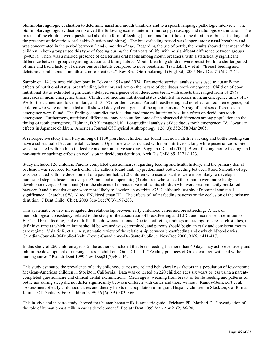otorhinolaryngologic evaluation to determine nasal and mouth breathers and to a speech language pathologic interview. The otorhinolaryngologic evaluation involved the following exams: anterior rhinoscopy, oroscopy and radiologic examination. The parents of the children were questioned about the form of feeding (natural and/or artificial), the duration of breast-feeding and the presence of deleterious oral habits (suction and biting). The breast-feeding period was longer among nasal breathers and was concentrated in the period between 3 and 6 months of age. Regarding the use of bottle, the results showed that most of the children in both groups used this type of feeding during the first years of life, with no significant difference between groups (p=0.58). There was a marked presence of deleterious oral habits among mouth breathers, with a statistically significant difference between groups regarding suction and biting habits. Mouth-breathing children were breast-fed for a shorter period of time and had a history of deleterious oral habits compared to nose breathers. Trawitzki LV et al. "Breast-feeding and deleterious oral habits in mouth and nose breathers." Rev Bras Otorrinolaringol (Engl Ed). 2005 Nov-Dec;71(6):747-51.

Sample of 114 Japanese children born in Tokyo in 1914 and 1924. Parametric survival analysis was used to quantify the effects of nutritional status, breastfeeding behavior, and sex on the hazard of deciduous tooth emergence. Children of poor nutritional status exhibited significantly delayed emergence of all deciduous teeth, with effects that ranged from 14-29% increases in mean emergence times. Children of medium nutritional status exhibited increases in mean emergence times of 5- 9% for the canines and lower molars, and 13-17% for the incisors. Partial breastfeeding had no effect on tooth emergence, but children who were not breastfed at all showed delayed emergence of the upper incisors. No significant sex differences in emergence were found. The findings contradict the idea that moderate malnutrition has little effect on deciduous tooth emergence. Furthermore, nutritional differences may account for some of the observed differences among populations in the timing of tooth emergence. Holman, DJ; Yamaguchi, K. Longitudinal analysis of deciduous tooth emergence: IV. Covariate effects in Japanese children. American Journal Of Physical Anthropology, 126 (3): 352-358 Mar 2005.

A retrospective study from Italy among of 1130 preschool children has found that non-nutritive sucking and bottle feeding can have a substantial effect on dental occlusion. Open bite was associated with non-nutritive sucking while posterior cross-bite was associated with both bottle feeding and non-nutritive sucking. Viggiano D et al (2004). Breast feeding, bottle feeding, and non-nutritive sucking; effects on occlusion in deciduous dentition. Arch Dis Child 89: 1121-1123.

Study included 126 children. Parents completed questionnaires regarding feeding and health history, and the primary dental occlusion was recorded for each child. The authors found that: (1) predominant bottle-feeding between 0 and 6 months of age was associated with the development of a pacifier habit; (2) children who used a pacifier were more likely to develop a nonmesial step occlusion, an overjet >3 mm, and an open bite; (3) children who sucked their thumb were more likely to develop an overjet >3 mm; and (4) in the absence of nonnutritive oral habits, children who were predominantly bottle-fed between 0 and 6 months of age were more likely to develop an overbite >75%, although just shy of nominal statistical significance. Charchut SW, Allred EN, Needleman HL. The effects of infant feeding patterns on the occlusion of the primary dentition. J Dent Child (Chic). 2003 Sep-Dec;70(3):197-203.

This systematic review investigated the relationship between early childhood caries and breastfeeding. A lack of methodological consistency, related to the study of the association of breastfeeding and ECC, and inconsistent definitions of ECC and breastfeeding, make it difficult to draw conclusions. Due to conflicting findings in less. rigorous research studies, no definitive time at which an infant should be weaned was determined, and parents should begin an early and consistent mouth care regime. Valaitis R, et al. A systematic review of the relationship between breastfeeding and early childhood caries. Canadian-Journal-Of-Public-Health-Revue-Canadienne-De-Sante-Publique. Nov-Dec 2000; 91(6) : 411-417.

In this study of 260 children ages 3-5, the authors concluded that breastfeeding for more than 40 days may act preventively and inhibit the development of nursing caries in children. Oulis CJ et al. "Feeding practices of Greek children with and without nursing caries." Pediatr Dent 1999 Nov-Dec;21(7):409-16.

This study estimated the prevalence of early childhood caries and related behavioral risk factors in a population of low-income, Mexican-American children in Stockton, California. Data was collected on 220 children ages six years or less using a parentcompleted questionnaire and clinical dental examinations. Mean age at weaning from breast-or bottle-feeding and patterns of bottle use during sleep did not differ significantly between children with caries and those without. Ramos-Gomez-FJ et al. "Assessment of early childhood caries and dietary habits in a population of migrant Hispanic children in Stockton, California." Journal-Of-Dentistry-For-Children 1999; 66 (6): 395-403, 366

This in-vivo and in-vitro study showed that human breast milk is not cariogenic. Erickson PR, Mazhari E. "Investigation of the role of human breast milk in caries development." Pediatr Dent 1999 Mar-Apr;21(2):86-90.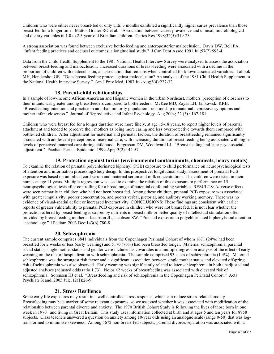Children who were either never breast-fed or only until 3 months exhibited a significantly higher caries prevalence than those breast-fed for a longer time. Mattos-Graner RO et al. "Association between caries prevalence and clinical, microbiological and dietary variables in 1.0 to 2.5-year-old Brazilian children. Caries Res 1998;32(5):319-23.

A strong association was found between exclusive bottle-feeding and anteroposterior malocclusion. Davis DW, Bell PA. "Infant feeding practices and occlusal outcomes: a longitudinal study." J Can Dent Assoc 1991 Jul;57(7):593-4.

Data from the Child Health Supplement to the 1981 National Health Interview Survey were analyzed to assess the association between breast-feeding and malocclusion. Increased durations of breast-feeding were associated with a decline in the proportion of children with malocclusion, an association that remains when controlled for known associated variables. Labbok MH, Hendershot GE. "Does breast-feeding protect against malocclusion? An analysis of the 1981 Child Health Supplement to the National Health Interview Survey." Am J Prev Med. 1987 Jul-Aug;3(4):227-32.

#### **18. Parent-child relationships**

In a sample of low-income African American and Hispanic women in the urban Northeast, mothers' perception of closeness to their infants was greater among breastfeeders compared to bottlefeeders. McKee MD; Zayas LH; Jankowski KRB. "Breastfeeding intention and practice in an urban minority population: relationship to maternal depressive symptoms and mother infant closeness." Journal of Reproductive and Infant Psychology. Aug 2004; 22 (3) : 167-181.

Children who were breast fed for a longer duration were more likely, at age 15-18 years, to report higher levels of parental attachment and tended to perceive their mothers as being more caring and less overprotective towards them compared with bottle-fed children. After adjustment for maternal and perinatal factors, the duration of breastfeeding remained significantly associated with adolescent perceptions of maternal care, with increasing duration of breast feeding being associated with higher levels of perceived maternal care during childhood. Fergusson DM, Woodward LJ. "Breast feeding and later psychosocial adjustment." Paediatr Perinat Epidemiol 1999 Apr;13(2):144-57

#### **19. Protection against toxins (environmental contaminants, chemicals, heavy metals)**

To examine the relation of prenatal polychlorinated biphenyl (PCB) exposure to child performance on neuropsychological tests of attention and information processing.Study design In this prospective, longitudinal study, assessment of prenatal PCB exposure was based on umbilical cord serum and maternal serum and milk concentrations. The children were tested in their homes at age 11 years. Multiple regression was used to examine the relation of this exposure to performance on 15 neuropsychological tests after controlling for a broad range of potential confounding variables. RESULTS: Adverse effects were seen primarily in children who had not been breast fed. Among these children, prenatal PCB exposure was associated with greater impulsivity, poorer concentration, and poorer verbal, pictorial, and auditory working memory. There was no evidence of visual-spatial deficit or increased hyperactivity. CONCLUSIONS: These findings are consistent with earlier reports of greater vulnerability to prenatal PCB exposure in children who were not breast fed. It is not clear whether the protection offered by breast-feeding is caused by nutrients in breast milk or better quality of intellectual stimulation often provided by breast-feeding mothers. Jacobson JL, Jacobson SW. "Prenatal exposure to polychlorinated biphenyls and attention at school age." J Pediatr. 2003 Dec;143(6):780-8.

#### **20. Schizophrenia**

The current sample comprises 6841 individuals from the Copenhagen Perinatal Cohort of whom 1671 (24%) had been breastfed for 2 weeks or less (early weaning) and 5170 (76%) had been breastfed longer. Maternal schizophrenia, parental social status, single mother status and gender were included as covariates in a multiple regression analysis of the effect of early weaning on the risk of hospitalization with schizophrenia. The sample comprised 93 cases of schizophrenia (1.4%). Maternal schizophrenia was the strongest risk factor and a significant association between single mother status and elevated offspring risk of schizophrenia was also observed. Early weaning was significantly related to later schizophrenia in both unadjusted and adjusted analyses (adjusted odds ratio 1.73). No or <2 weeks of breastfeeding was associated with elevated risk of schizophrenia. Sorensen HJ et al. "Breastfeeding and risk of schizophrenia in the Copenhagen Perinatal Cohort." Acta Psychiatr Scand. 2005 Jul;112(1):26-9.

#### **21. Stress Resilience**

Some early life exposures may result in a well controlled stress response, which can reduce stress-related anxiety. Breastfeeding may be a marker of some relevant exposures, so we assessed whether it was associated with modification of the relationship between parental divorce and anxiety. The 1970 British Cohort Study is following the lives of those born in one week in 1970 and living in Great Britain. This study uses information collected at birth and at ages 5 and ten years for 8958 subjects. Class teachers answered a question on anxiety among 10-year olds using an analogue scale (range 0-50) that was logtransformed to minimise skewness. Among 5672 non-breast-fed subjects, parental divorce/separation was associated with a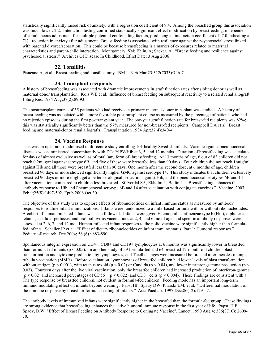statistically significantly raised risk of anxiety, with a regression coefficient of 9.4. Among the breastfed group this association was much lower: 2.2. Interaction testing confirmed statistically significant effect modification by breastfeeding, independent of simultaneous adjustment for multiple potential confounding factors, producing an interaction coefficient of -7.0 indicating a 7% reduction in anxiety after adjustment. Breast feeding is associated with resilience against the psychosocial stress linked with parental divorce/separation. This could be because breastfeeding is a marker of exposures related to maternal characteristics and parent-child interaction. Montgomery, SM; Ehlin, A; Sacker, A. "Breast feeding and resilience against psychosocial stress." Archives Of Disease In Childhood, Efirst Date: 3 Aug 2006

#### **22. Tonsillitis**

Pisacane A, et al. Breast feeding and tonsillectomy. BMJ. 1996 Mar 23;312(7033):746-7.

#### **23. Transplant recipients**

A history of breastfeeding was associated with dramatic improvements in graft function rates after sibling donor as well as maternal donor transplantation. Kois WE et al. Influence of breast feeding on subsequent reactivity to a related renal allograft. J Surg Res. 1984 Aug;37(2):89-93.

The posttransplant course of 55 patients who had received a primary maternal-donor transplant was studied. A history of breast feeding was associated with a more favorable posttransplant course as measured by the percentage of patients who had no rejection episodes during the first posttransplant year. The one-year graft function rate for breast-fed recipients was 82%; this was statistically significantly better than the 57% measured for non-breast-fed recipients. Campbell DA et al. Breast feeding and maternal-donor renal allografts. Transplantation 1984 Apr;37(4):340-4.

#### **24. Vaccine Response**

This was an open non-randomised multi-centre study enrolling 101 healthy Swedish infants. Vaccine against pneumococcal diseases was administered concomitantly with DTaP/IPV/Hib at 3, 5, and 12 months. Duration of breastfeeding was calculated for days of almost exclusive as well as of total (any form of) breastfeeding. At 13 months of age, 6 out of 83 children did not reach 0.2mug/ml against serotype 6B, and five of these were breastfed less than 90 days. Four children did not reach 1mug/ml against Hib and all those were breastfed less than 90 days. One month after the second dose, at 6 months of age, children breastfed 90 days or more showed significantly higher GMC against serotype 14. This study indicates that children exclusively breastfed 90 days or more might get a better serological protection against Hib, and the pneumococcal serotypes 6B and 14 after vaccination, compared to children less breastfed. Silfverdal SA, Ekholm L, Bodin L. "Breastfeeding enhances the antibody response to Hib and Pneumococcal serotype 6B and 14 after vaccination with conjugate vaccines." Vaccine. 2007 Feb 9;25(8):1497-502. Epub 2006 Oct 30.

The objective of this study was to explore effects of ribonucleotides on infant immune status as measured by antibody responses to routine infant immunizations. Infants were randomized to a milk-based formula with or without ribonucleotides. A cohort of human milk-fed infants was also followed. Infants were given Haemophilus influenzae type b (Hib), diphtheria, tetanus, acellular pertussis, and oral poliovirus vaccinations at 2, 4, and 6 mo of age, and specific antibody responses were assessed at 2, 6, 7, and 12 mo. Human-milk-fed infant responses to the polio vaccine were significantly higher than formulafed infants. Schaller JP et al. "Effect of dietary ribonucleotides on infant immune status. Part 1: Humoral responses." Pediatric-Research. Dec 2004; 56 (6) : 883-890

Spontaneous integrin expression on CD4+, CD8+ and CD19+ lymphocytes at 6 months was significantly lower in breastfed than formula-fed infants (p < 0.05). In another study of 59 formula-fed and 64 breastfed 12-month-old children blast transformation and cytokine production by lymphocytes, and T cell changes were measured before and after measles-mumpsrubella vaccination (MMR). Before vaccination, lymphocytes of breastfed children had lower levels of blast transformation without antigen (p < 0.001), with tetanus toxoid (p < 0.02) or Candida (p < 0.04), and lower interferon-gamma production (p < 0.03). Fourteen days after the live viral vaccination, only the breastfed children had increased production of interferon-gamma  $(p < 0.02)$  and increased percentages of CD56+ (p < 0.022) and CD8+ cells (p < 0.004). These findings are consistent with a Th1 type response by breastfed children, not evident in formula-fed children. Feeding mode has an important long-term immunomodulating effect on infants beyond weaning. Pabst HF, Spady DW, Pilarski LM, et al. "Differential modulation of the immune response by breast- or formula-feeding of infants." Acta Paediatr. 1997 Dec;86(12):1291-7.

The antibody levels of immunized infants were significantly higher in the breastfed than the formula-fed group. These findings are strong evidence that breastfeeding enhances the active humoral immune response in the first year of life. Papst, H.F. , Spady, D.W. "Effect of Breast Feeding on Antibody Response to Conjugate Vaccine". Lancet, 1990 Aug 4; 336(8710): 2609- 70.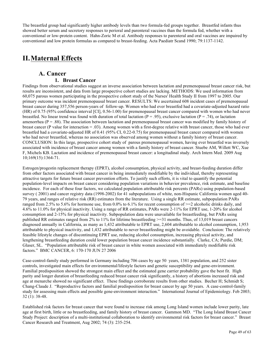The breastfed group had significantly higher antibody levels than two formula-fed groups together. Breastfed infants thus showed better serum and secretory responses to perioral and parenteral vaccines than the formula fed, whether with a conventional or low-protein content. Hahn-Zoric M et al. Antibody responses to parenteral and oral vaccines are impaired by conventional and low protein formulas as compared to breast-feeding. Acta Paediatr Scand 1990; 79:1137-1142.

# **II.Maternal Effects**

# **A. Cancer**

## **1. Breast Cancer**

Findings from observational studies suggest an inverse association between lactation and premenopausal breast cancer risk, but results are inconsistent, and data from large prospective cohort studies are lacking. METHODS: We used information from 60,075 parous women participating in the prospective cohort study of the Nurses' Health Study II from 1997 to 2005. Our primary outcome was incident premenopausal breast cancer. RESULTS: We ascertained 608 incident cases of premenopausal breast cancer during 357,556 person-years of follow-up. Women who had ever breastfed had a covariate-adjusted hazard ratio (HR) of 0.75 (95% confidence interval [CI], 0.56-1.00) for premenopausal breast cancer compared with women who had never breastfed. No linear trend was found with duration of total lactation ( $P = .95$ ), exclusive lactation ( $P = .74$ ), or lactation amenorrhea ( $P = 0.88$ ). The association between lactation and premenopausal breast cancer was modified by family history of breast cancer (P value for interaction = .03). Among women with a first-degree relative with breast cancer, those who had ever breastfed had a covariate-adjusted HR of 0.41 (95% CI, 0.22-0.75) for premenopausal breast cancer compared with women who had never breastfed, whereas no association was observed among women without a family history of breast cancer. CONCLUSION: In this large, prospective cohort study of parous premenopausal women, having ever breastfed was inversely associated with incidence of breast cancer among women with a family history of breast cancer. Stuebe AM, Willett WC, Xue F, Michels KB. Lactation and incidence of premenopausal breast cancer: a longitudinal study. Arch Intern Med. 2009 Aug 10;169(15):1364-71.

Estrogen/progestin replacement therapy (EPRT), alcohol consumption, physical activity, and breast-feeding duration differ from other factors associated with breast cancer in being immediately modifiable by the individual, thereby representing attractive targets for future breast cancer prevention efforts. To justify such efforts, it is vital to quantify the potential population-level impacts on breast cancer considering population variations in behavior prevalence, risk estimate, and baseline incidence. For each of these four factors, we calculated population attributable risk percents (PARs) using population-based survey ( 2001) and cancer registry data (1998-2002) for 41 subpopulations of white, non-Hispanic California women aged 40- 79 years, and ranges of relative risk (RR) estimates from the literature. Using a single RR estimate, subpopulation PARs ranged from 2.5% to 5.6% for hormone use, from 0.0% to 6.1% for recent consumption of  $\geq$  2 alcoholic drinks daily, and 4.6% to 11.0% for physical inactivity. Using a range of RR estimates, PARs were 2-11% for EPRT use, 1-20% for alcohol consumption and 2-15% for physical inactivity. Subpopulation data were unavailable for breastfeeding, but PARs using published RR estimates ranged from 2% to 11% for lifetime breastfeeding >=31 months. Thus, of 13,019 breast cancers diagnosed annually in California, as many as 1,432 attributable to EPRT use, 2,604 attributable to alcohol consumption, 1,953 attributable to physical inactivity, and 1,432 attributable to never breastfeeding might be avoidable. Conclusion: The relatively feasible lifestyle changes of discontinuing EPRT use, reducing alcohol consumption, increasing physical activity, and lengthening breastfeeding duration could lower population breast cancer incidence substantially. Clarke, CA; Purdie, DM; Glaser, SL. "Population attributable risk of breast cancer in white women associated with immediately modifiable risk factors." BMC CANCER, 6: 170-170 JUN 27 2006

Case-control-family study performed in Germany including 706 cases by age 50 years, 1381 population, and 252 sister controls, investigated main effects for environmental/lifestyle factors and genetic susceptibility and gene-environment. Familial predisposition showed the strongest main effect and the estimated gene carrier probability gave the best fit. High parity and longer duration of breastfeeding reduced breast cancer risk significantly, a history of abortions increased risk and age at menarche showed no significant effect. These findings corroborate results from other studies. Becher H; Schmidt S; Chang-Claude J. "Reproductive factors and familial predisposition for breast cancer by age 50 years. A case-control-family study for assessing main effects and possible gene-environment interaction." International Journal of Epidemiology. Feb 2003; 32 (1): 38-48.

Established risk factors for breast cancer that were found to increase risk among Long Island women include lower parity, late age at first birth, little or no breastfeeding, and family history of breast cancer. Gammon MD. "The Long Island Breast Cancer Study Project: description of a multi-institutional collaboration to identify environmental risk factors for breast cancer." Breast Cancer Research and Treatment, Aug 2002; 74 (3): 235-254.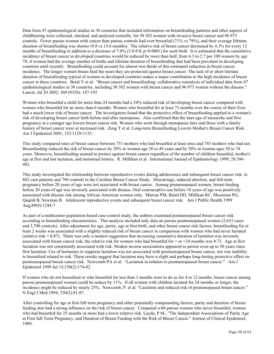Data from 47 epidemiological studies in 30 countries that included information on breastfeeding patterns and other aspects of childbearing were collected, checked, and analysed centrally, for 50 302 women with invasive breast cancer and 96 973 controls. Fewer parous women with cancer than parous controls had ever breastfed (71% vs 79%), and their average lifetime duration of breastfeeding was shorter (9.8 vs 15.6 months). The relative risk of breast cancer decreased by 4.3% for every 12 months of breastfeeding in addition to a decrease of 7.0% (5.0-9.0;  $p<0.0001$ ) for each birth. It is estimated that the cumulative incidence of breast cancer in developed countries would be reduced by more than half, from 6.3 to 2.7 per 100 women by age 70, if women had the average number of births and lifetime duration of breastfeeding that had been prevalent in developing countries until recently. Breastfeeding could account for almost two-thirds of this estimated reduction in breast cancer incidence. The longer women breast feed the more they are protected against breast cancer. The lack of or short lifetime duration of breastfeeding typical of women in developed countries makes a major contribution to the high incidence of breast cancer in these countries. Beral V et al. "Breast cancer and breastfeeding: collaborative reanalysis of individual data from 47 epidemiological studies in 30 countries, including 50 302 women with breast cancer and 96 973 women without the disease." Lancet, Jul 20 2002; 360 (9328): 187-195

Women who breastfed a child for more than 24 months had a 54% reduced risk of developing breast cancer compared with women who breastfed for no more than 6 months. Women who breastfed for at least 73 months over the course of their lives had a much lower risk of breast cancer. The investigators found that the protective effect of breastfeeding applied to a woman's risk of developing breast cancer both before and after menopause. Also confirmed that the later age of menarche and first pregnancy at a younger age lowers breast cancer risk. Women who went through menopause later and those with a family history of breast cancer were at increased risk. Zeng T et al. Long-term Breastfeeding Lowers Mother's Breast Cancer Risk. Am J Epidemiol 2001; 152:1129-1135.

This study compared rates of breast cancer between 751 mothers who had breastfed at least once and 743 mothers who had not. Breastfeeding reduced the risk of breast cancer by 20% in women age 20 to 49 years and by 30% in women ages 50 to 74 years. Moreover, breastfeeding seemed to protect against breast cancer regardless of the number of children breastfed, mother's age at first and last lactation, and menstrual history. R. Millikan et al. International Journal of Epidemiology 1999; 28:396- 402.

This study investigated the relationship between reproductive events during adolescence and subsequent breast cancer risk. in 862 case patients and 790 controls in the Carolina Breast Cancer Study. Miscarriage, induced abortion, and full-term pregnancy before 20 years of age were not associated with breast cancer. Among premenopausal women, breast-feeding before 20 years of age was inversely associated with disease. Oral contraceptive use before 18 years of age was positively associated with disease risk among African American women only. Marcus PM, Baird DD, Millikan RC, Moorman PG, Qaqish B, Newman B. Adolescent reproductive events and subsequent breast cancer risk. Am J Public Health 1999 Aug;89(8):1244-7

As part of a multicenter population-based case-control study, the authors examined postmenopausal breast cancer risk according to breastfeeding characteristics. This analysis included only data on parous postmenopausal women (3,633 cases and 3,790 controls). After adjustment for age, parity, age at first birth, and other breast cancer risk factors, breastfeeding for at least 2 weeks was associated with a slightly reduced risk of breast cancer in comparison with women who had never lactated (relative risk  $= 0.87$ ). There was only a modest suggestion that increasing cumulative duration of lactation was inversely associated with breast cancer risk; the relative risk for women who had breastfed for  $>$  or  $=$  24 months was 0.73. Age at first lactation was not consistently associated with risk. Modest inverse associations appeared to persist even up to 50 years since first lactation. Use of hormones to suppress lactation was not associated with postmenopausal breast cancer, nor was inability to breastfeed related to risk. These results suggest that lactation may have a slight and perhaps long-lasting protective effect on postmenopausal breast cancer risk. Newcomb PA et al. "Lactation in relation to postmenopausal breast cancer." Am J Epidemiol 1999 Jul 15;150(2):174-82

If women who do not breastfeed or who breastfed for less than 3 months were to do so for 4 to 12 months, breast cancer among parous premenopausal women could be reduce by 11%. If all women with children lactated for 24 months or longer, the incidence might be reduced by nearly 25%. Newcomb, P. et al. "Lactation and reduced risk of premenopausal breast cancer." N Engl J Med 1994; 330(2):81-87.

After controlling for age at first full term pregnancy and other potentially compounding factors, parity and duration of breast feeding also had a strong influence on the risk of breast cancer. Compared with parous women who never breastfed, women who had breastfed for 25 months or more had a lower relative risk. Layde, P.M., "The Independent Associations of Parity Age at First full Term Pregnancy, and Duration of Breast Feeding with the Risk of Breast Cancer." Journal of Clinical Epidemiol, 1989.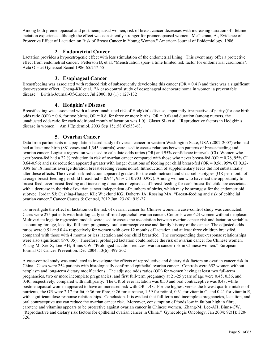Among both premenopausal and postmenopausal women, risk of breast cancer decreases with increasing duration of lifetime lactation experience although the effect was consistently stronger for premenopausal women. McTieman, A., Evidence of Protective Effect of Lactation on Risk of Breast Cancer in Young Women." American Journal of Epidemiology, 1986

#### **2. Endometrial Cancer**

Lactation provides a hypoestrogenic effect with less stimulation of the endometrial lining. This event may offer a protective effect from endometrial cancer. Petterson B, et al. "Menstruation span- a time limited risk factor for endometrial carcinoma". Acta Obstet Gyneocol Scand 1986;65:247-55

#### **3. Esophageal Cancer**

Breastfeeding was associated with reduced risk of subsequently developing this cancer  $(OR = 0.41)$  and there was a significant dose-response effect. Cheng-KK et al. "A case-control study of oesophageal adenocarcinoma in women: a preventable disease." British-Journal-Of-Cancer. Jul 2000; 83 (1) : 127-132

#### **4. Hodgkin's Disease**

Breastfeeding was associated with a lower unadjusted risk of Hodgkin's disease, apparently irrespective of parity (for one birth, odds ratio (OR) = 0.6, for two births, OR = 0.8, for three or more births, OR = 0.6) and duration (among nursers, the unadjusted oddsratio for each additional month of lactation was 1.0). Glaser SL et al. "Reproductive factors in Hodgkin's disease in women." Am J Epidemiol. 2003 Sep 15;158(6):553-63.

#### **5. Ovarian Cancer**

Data from participants in a population-based study of ovarian cancer in western Washington State, USA (2002-2007) who had had at least one birth (881 cases and 1,345 controls) were used to assess relations between patterns of breast-feeding and ovarian cancer. Logistic regression was used to calculate odds ratios (OR) and 95% confidence intervals (CI). Women who ever breast-fed had a 22 % reduction in risk of ovarian cancer compared with those who never breast-fed (OR =  $0.78$ , 95% CI 0.64-0.96) and risk reduction appeared greater with longer durations of feeding per child breast-fed (OR =  $0.56$ ,  $95\%$  CI 0.32-0.98 for 18 months average duration breast-feeding versus none). Introduction of supplementary feeds did not substantially alter these effects. The overall risk reduction appeared greatest for the endometrioid and clear cell subtypes (OR per month of average breast-feeding per child breast-fed  $= 0.944$ , 95% CI 0.903-0.987). Among women who have had the opportunity to breast-feed, ever breast-feeding and increasing durations of episodes of breast-feeding for each breast-fed child are associated with a decrease in the risk of ovarian cancer independent of numbers of births, which may be strongest for the endometrioid subtype. Jordan SJ; Cushing-Haugen KL; Wicklund KG; Doherty JA; Rossing MA. "Breast-feeding and risk of epithelial ovarian cancer." Cancer Causes & Control, 2012 Jun; 23 (6): 919-27

To investigate the effect of lactation on the risk of ovarian cancer for Chinese women, a case-control study was conducted. Cases were 275 patients with histologically confirmed epithelial ovarian cancer. Controls were 623 women without neoplasm. Multivariate logistic regression models were used to assess the association between ovarian cancer risk and lactation variables, accounting for age, locality, full-term pregnancy, oral contraceptive use and family history of the cancer. The adjusted odds ratios were 0.51 and 0.44 respectively for women with over 12 months of lactation and at least three children breastfed, compared with those with 4 months or less lactation and one child breastfed. The corresponding dose-response relationships were also significant (P<0.05). Therefore, prolonged lactation could reduce the risk of ovarian cancer foe Chinese women. Zhang-M; Xie-X; Lee-AH; Binns-CW. "Prolonged lactation reduces ovarian cancer risk in Chinese women." European-Journal-Of-Cancer-Prevention. Dec 2004; 13(6): 499-502

A case-control study was conducted to investigate the effects of reproductive and dietary risk factors on ovarian cancer risk in China. Cases were 254 patients with histologically confirmed epithelial ovarian cancer. Controls were 652 women without neoplasm and long-term dietary modifications. The adjusted odds ratios (OR) for women having at least two full-term pregnancies, two or more incomplete pregnancies, and first full-term pregnancy at 21-25 years of age were 0.45, 0.56, and 0.40, respectively, compared with nulliparity. The OR of ever lactation was 0.50 and oral contraceptive was 0.48, while postmenopausal women appeared to have an increased risk with OR 1.48. For the highest versus the lowest quartile intakes of nutrients, the OR were 2.17 for fat, 0.36 for fibre, 0.26 for carotene, 1.59 for retinol, 0.31 for vitamin C, and 0.41 for vitamin E, with significant dose-response relationships. Conclusion. It is evident that full-term and incomplete pregnancies, lactation, and oral contraceptive use can reduce the ovarian cancer risk. Moreover, consumption of foods low in fat but high in fibre, carotene and vitamins appears to be protective against ovarian cancer in Chinese women. Zhang-M; Lee-AH; Binns-CW. "Reproductive and dietary risk factors for epithelial ovarian cancer in China." Gynecologic Oncology. Jan 2004; 92(1): 320- 326.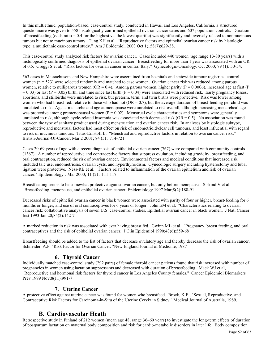In this multiethnic, population-based, case-control study, conducted in Hawaii and Los Angeles, California, a structured questionnaire was given to 558 histologically confirmed epithelial ovarian cancer cases and 607 population controls. Duration of breastfeeding (odds ratio  $= 0.4$  for the highest vs. the lowest quartile) was significantly and inversely related to nonmucinous tumors but not to mucinous tumors. Tung KH et al. "Reproductive factors and epithelial ovarian cancer risk by histologic type: a multiethnic case-control study." Am J Epidemiol. 2003 Oct 1;158(7):629-38.

This case-control study analyzed risk factors for ovarian cancer. Cases included 440 women (age range 13-80 years) with a histologically confirmed diagnosis of epithelial ovarian cancer. Breastfeeding for more than 1 year was associated with an OR of 0.5. Greggi S et al. "Risk factors for ovarian cancer in central Italy." Gynecologic-Oncology. Oct 2000; 79 (1): 50-54.

563 cases in Massachusetts and New Hampshire were ascertained from hospitals and statewide tumour registries; control women (n = 523) were selected randomly and matched to case women. Ovarian cancer risk was reduced among parous women, relative to nulliparous women (OR = 0.4). Among parous women, higher parity ( $P = 0.0006$ ), increased age at first (P  $= 0.03$ ) or last (P = 0.05) birth, and time since last birth (P = 0.04) were associated with reduced risk. Early pregnancy losses, abortions, and stillbirths were unrelated to risk, but preterm, term, and twin births were protective. Risk was lower among women who had breast-fed. relative to those who had not  $(OR = 0.7)$ , but the average duration of breast-feeding per child was unrelated to risk. Age at menarche and age at menopause were unrelated to risk overall, although increasing menarcheal age was protective among premenopausal women ( $P = 0.02$ ). Menstrual cycle characteristics and symptoms were generally unrelated to risk, although cycle-related insomnia was associated with decreased risk ( $OR = 0.5$ ). No association was found between the type of sanitary product used during menstruation and ovarian cancer risk. In analyses by histologic subtype, reproductive and menstrual factors had most effect on risk of endometrioid/clear cell tumours, and least influential with regard to risk of mucinous tumours. Titus-Ernstoff L. "Menstrual and reproductive factors in relation to ovarian cancer risk." British-Journal-Of-Cancer. Mar 2 2001; 84 (5) : 714-721

Cases 20-69 years of age with a recent diagnosis of epithelial ovarian cancer (767) were compared with community controls (1367). A number of reproductive and contraceptive factors that suppress ovulation, including gravidity, breastfeeding, and oral contraception, reduced the risk of ovarian cancer. Environmental factors and medical conditions that increased risk included talc use, endometriosis, ovarian cysts, and hyperthyroidism. Gynecologic surgery including hysterectomy and tubal ligation were protective. Ness-RB et al. "Factors related to inflammation of the ovarian epithelium and risk of ovarian cancer." Epidemiology-. Mar 2000; 11 (2) : 111-117

Breastfeeding seems to be somewhat protective against ovarian cancer, but only before menopause. Siskind V et al. "Breastfeeding, menopause, and epithelial ovarian cancer. Epidemiology 1997 Mar;8(2):188-91

Decreased risks of epithelial ovarian cancer in black women were associated with parity of four or higher, breast-feeding for 6 months or longer, and use of oral contraceptives for 6 years or longer. John EM et al. "Characteristics relating to ovarian cancer risk: collaborative analysis of seven U.S. case-control studies. Epithelial ovarian cancer in black women. J Natl Cancer Inst 1993 Jan 20;85(2):142-7

A marked reduction in risk was associated with ever having breast fed. Gwinn ML et al. "Pregnancy, breast feeding, and oral contraceptives and the risk of epithelial ovarian cancer. J Clin Epidemiol 1990;43(6):559-68

Breastfeeding should be added to the list of factors that decrease ovulatory age and thereby decrease the risk of ovarian cancer. Schneider, A.P. "Risk Factor for Ovarian Cancer. "New England Journal of Medicine, 1987

## **6. Thyroid Cancer**

Individually matched case-control study (292 pairs) of female thyroid cancer patients found that risk increased with number of pregnancies in women using lactation suppressants and decreased with duration of breastfeeding. Mack WJ et al, "Reproductive and hormonal risk factors for thyroid cancer in Los Angeles County females." Cancer Epidemiol Biomarkers Prev 1999 Nov;8(11):991-7

#### **7. Uterine Cancer**

A protective effect against uterine cancer was found for women who breastfeed. Brock, K.E., "Sexual, Reproductive, and Contraceptive Risk Factors for Carcinoma-in-Situ of the Uterine Cervix in Sidney." Medical Journal of Australia, 1989.

# **B. Cardiovascular Heath**

Retrospective study in Finland of 212 women (mean age 48, range 36–60 years) to investigate the long-term effects of duration of postpartum lactation on maternal body composition and risk for cardio-metabolic disorders in later life. Body composition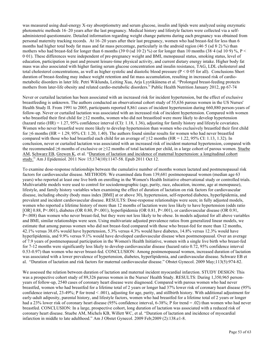was measured using dual-energy X-ray absorptiometry and serum glucose, insulin and lipids were analyzed using enzymatic photometric methods 16–20 years after the last pregnancy. Medical history and lifestyle factors were collected via a selfadministered questionnaire. Detailed information regarding weight change patterns during each pregnancy was obtained from personal maternity tracking records. At 16–20 years after their last pregnancy, women who had breast-fed for less than 6 months had higher total body fat mass and fat mass percentage, particularly in the android region  $(46.5 \text{ (sd } 8.2) \%)$  than mothers who had breast-fed for longer than 6 months (39.0 (sd 10.2) %) or for longer than 10 months (38.4 (sd 10.9) %, P < 0·01). These differences were independent of pre-pregnancy weight and BMI, menopausal status, smoking status, level of education, participation in past and present leisure-time physical activity, and current dietary energy intake. Higher body fat mass was also associated with higher fasting serum glucose concentration and insulin resistance, TAG, LDL cholesterol and total cholesterol concentrations, as well as higher systolic and diastolic blood pressure ( $P < 0.05$  for all). Conclusions Short duration of breast-feeding may induce weight retention and fat mass accumulation, resulting in increased risk of cardiometabolic disorders in later life. Petri Wiklunda, Leiting Xua, Arja Lyytikäinena et al. "Prolonged breast-feeding protects mothers from later-life obesity and related cardio-metabolic disorders." Public Health Nutrition January 2012, pp 67-74

Never or curtailed lactation has been associated with an increased risk for incident hypertension, but the effect of exclusive breastfeeding is unknown. The authors conducted an observational cohort study of 55,636 parous women in the US Nurses' Health Study II. From 1991 to 2005, participants reported 8,861 cases of incident hypertension during 660,880 person-years of follow-up. Never or curtailed lactation was associated with an increased risk of incident hypertension. Compared with women who breastfed their first child for  $\geq$ 12 months, women who did not breastfeed were more likely to develop hypertension (hazard ratio  $(HR) = 1.27$ , 95% confidence interval (CI): 1.18, 1.36), adjusting for family history and lifestyle covariates. Women who never breastfed were more likely to develop hypertension than women who exclusively breastfed their first child for  $\geq$ 6 months (HR = 1.29, 95% CI: 1.20, 1.40). The authors found similar results for women who had never breastfed compared with those who had breastfed each child for an average of  $\geq$ 12 months (HR = 1.22, 95% CI: 1.13, 1.32). In conclusion, never or curtailed lactation was associated with an increased risk of incident maternal hypertension, compared with the recommended  $\geq 6$  months of exclusive or  $\geq 12$  months of total lactation per child, in a large cohort of parous women. Stuebe AM, Schwarz EB, Grewen K, et al. "Duration of lactation and incidence of maternal hypertension: a longitudinal cohort study." Am J Epidemiol. 2011 Nov 15;174(10):1147-58. Epub 2011 Oct 12.

To examine dose-response relationships between the cumulative number of months women lactated and postmenopausal risk factors for cardiovascular disease. METHODS: We examined data from 139,681 postmenopausal women (median age 63 years) who reported at least one live birth on enrolling in the Women's Health Initiative observational study or controlled trials. Multivariable models were used to control for sociodemographic (age, parity, race, education, income, age at menopause), lifestyle, and family history variables when examining the effect of duration of lactation on risk factors for cardiovascular disease, including obesity (body mass index [BMI] at or above 30), hypertension, self-reported diabetes, hyperlipidemia, and prevalent and incident cardiovascular disease. RESULTS: Dose-response relationships were seen; in fully adjusted models, women who reported a lifetime history of more than 12 months of lactation were less likely to have hypertension (odds ratio [OR] 0.88, P<.001), diabetes (OR 0.80, P<.001), hyperlipidemia (OR 0.81, P<.001), or cardiovascular disease (OR 0.91, P=.008) than women who never breast-fed, but they were not less likely to be obese. In models adjusted for all above variables and BMI, similar relationships were seen. Using multivariate adjusted prevalence ratios from generalized linear models, we estimate that among parous women who did not breast-feed compared with those who breast-fed for more than 12 months, 42.1% versus 38.6% would have hypertension, 5.3% versus 4.3% would have diabetes, 14.8% versus 12.3% would have hyperlipidemia, and 9.9% versus 9.1% would have developed cardiovascular disease when postmenopausal. Over an average of 7.9 years of postmenopausal participation in the Women's Health Initiative, women with a single live birth who breast-fed for 7-12 months were significantly less likely to develop cardiovascular disease (hazard ratio 0.72, 95% confidence interval 0.53-0.97) than women who never breast-fed. CONCLUSION: Among postmenopausal women, increased duration of lactation was associated with a lower prevalence of hypertension, diabetes, hyperlipidemia, and cardiovascular disease. Schwarz EB et al. "Duration of lactation and risk factors for maternal cardiovascular disease." Obstet Gynecol. 2009 May;113(5):974-82.

We assessed the relation between duration of lactation and maternal incident myocardial infarction. STUDY DESIGN: This was a prospective cohort study of 89,326 parous women in the Nurses' Health Study. RESULTS: During 1,350,965 personyears of follow-up, 2540 cases of coronary heart disease were diagnosed. Compared with parous women who had never breastfed, women who had breastfed for a lifetime total of 2 years or longer had 37% lower risk of coronary heart disease (95% confidence interval, 23-49%; P for trend < .001), adjusting for age, parity, and stillbirth history. With additional adjustment for early-adult adiposity, parental history, and lifestyle factors, women who had breastfed for a lifetime total of 2 years or longer had a 23% lower risk of coronary heart disease (95% confidence interval, 6-38%; P for trend = .02) than women who had never breastfed. CONCLUSION: In a large, prospective cohort, long duration of lactation was associated with a reduced risk of coronary heart disease. Stuebe AM, Michels KB, Willett WC, et al. "Duration of lactation and incidence of myocardial infarction in middle to late adulthood." Am J Obstet Gynecol. 2009 Feb;2009 (2):138.e1-8.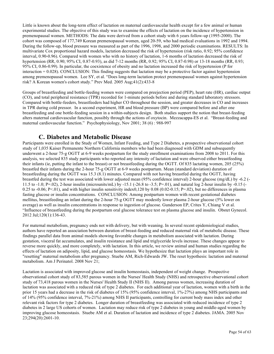Little is known about the long-term effect of lactation on maternal cardiovascular health except for a few animal or human experimental studies. The objective of this study was to examine the effects of lactation on the incidence of hypertension in premenopausal women. METHODS: The data were derived from a cohort study with 6 years follow-up (1995-2000). The cohort was composed of 177,749 Korean premenopausal women, aged 20-59, who had medical evaluations in 1992 and 1994. During the follow-up, blood pressure was measured as part of the 1996, 1998, and 2000 periodic examinations. RESULTS: In multivariate Cox proportional hazard models, lactation decreased the risk of hypertension (risk ratio, 0.92; 95% confidence interval, 0.90-0.96). Compared with women who with no history of lactation, 1-6 months of lactation decreased the risk of hypertension (RR, 0.90; 95% CI, 0.87-0.93), as did 7-12 months (RR, 0.92; 95% CI, 0.87-0.98) or 13-18 months (RR, 0.93; 95% CI, 0.86-0.99). In particular, the coexistence of obesity and no lactation increased the risk of hypertension (P for interaction = 0.028). CONCLUSION: This finding suggests that lactation may be a protective factor against hypertension among premenopausal women. Lee SY, et al. "Does long-term lactation protect premenopausal women against hypertension risk? A Korean women's cohort study." Prev Med. 2005 Aug;41(2):433-8

Groups of breastfeeding and bottle-feeding women were compared on preejection period (PEP), heart rate (HR), cardiac output (CO), and total peripheral resistance (TPR) recorded for 1-minute periods before and during standard laboratory stressors. Compared with bottle-feeders, breastfeeders had higher CO throughout the session, and greater decreases in CO and increases in TPR during cold pressor. In a second experiment, HR and blood pressure (BP) were compared before and after one breastfeeding and one bottle-feeding session in a within-subjects design. Both studies support the notion that breast-feeding alters maternal cardiovascular function, possibly through the actions of oxytocin. Mezzacappa-ES et al. "Breast-feeding and maternal cardiovascular function." Psychophysiology, Nov 2001; 38 (6) : 988-997

# **C. Diabetes and Metabolic Disease**

Participants were enrolled in the Study of Women, Infant Feeding, and Type 2 Diabetes, a prospective observational cohort study of 1,035 Kaiser Permanente Northern California members who had been diagnosed with GDM and subsequently underwent a 2-hour 75-g OGTT at 6-9 weeks postpartum for the study enrollment examinations from 2008 to 2011. For this analysis, we selected 835 study participants who reported any intensity of lactation and were observed either breastfeeding their infants (ie, putting the infant to the breast) or not breastfeeding during the OGTT. Of 835 lactating women, 205 (25%) breastfed their infants during the 2-hour 75-g OGTT at 6-9 weeks postpartum. Mean (standard deviation) duration of breastfeeding during the OGTT was 15.3 (8.1) minutes. Compared with not having breastfed during the OGTT, having breastfed during the test was associated with lower adjusted mean (95% confidence interval) 2-hour glucose (mg/dL) by -6.2 (- 11.5 to -1.0; P=.02), 2-hour insulin (microunits/mL) by -15.1 (-26.8 to -3.5; P=.01), and natural log 2-hour insulin by -0.15 (- 0.25 to -0.06; P<.01), and with higher insulin sensitivity index0,120 by 0.08 (0.02-0.15; P=.02), but no differences in plasma fasting glucose or insulin concentrations. CONCLUSION: Among postpartum women with recent gestational diabetes mellitus, breastfeeding an infant during the 2-hour 75-g OGTT may modestly lower plasma 2-hour glucose (5% lower on average) as well as insulin concentrations in response to ingestion of glucose. Gunderson EP, Crites Y, Chiang V et al. "Influence of breastfeeding during the postpartum oral glucose tolerance test on plasma glucose and insulin. Obstet Gynecol. 2012 Jul;120(1):136-43.

For maternal metabolism, pregnancy ends not with delivery, but with weaning. In several recent epidemiological studies, authors have reported an association between duration of breast-feeding and reduced maternal risk of metabolic disease. These findings parallel data from animal models showing favorable changes in metabolism associated with lactation. During gestation, visceral fat accumulates, and insulin resistance and lipid and triglyceride levels increase. These changes appear to reverse more quickly, and more completely, with lactation. In this article, we review animal and human studies regarding the effects of lactation on adiposity, lipid, and glucose homeostasis. We hypothesize that lactation plays an important role in "resetting" maternal metabolism after pregnancy. Stuebe AM, Rich-Edwards JW. The reset hypothesis: lactation and maternal metabolism. Am J Perinatol. 2008 Nov 21;

Lactation is associated with improved glucose and insulin homeostasis, independent of weight change. Prospective observational cohort study of 83,585 parous women in the Nurses' Health Study (NHS) and retrospective observational cohort study of 73,418 parous women in the Nurses' Health Study II (NHS II). Among parous women, increasing duration of lactation was associated with a reduced risk of type 2 diabetes. For each additional year of lactation, women with a birth in the prior 15 years had a decrease in the risk of diabetes of 15% (95% confidence interval, 1%-27%) among NHS participants and of 14% (95% confidence interval, 7%-21%) among NHS II participants, controlling for current body mass index and other relevant risk factors for type 2 diabetes. Longer duration of breastfeeding was associated with reduced incidence of type 2 diabetes in 2 large US cohorts of women. Lactation may reduce risk of type 2 diabetes in young and middle-aged women by improving glucose homeostasis. Stuebe AM et al. Duration of lactation and incidence of type 2 diabetes. JAMA. 2005 Nov 23;294(20):2601-10.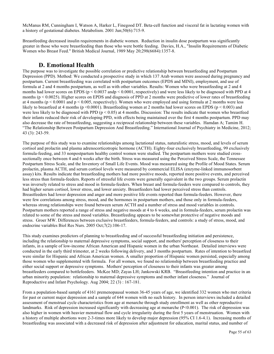McManus RM, Cunningham I, Watson A, Harker L, Finegood DT. Beta-cell function and visceral fat in lactating women with a history of gestational diabetes. Metabolism. 2001 Jun;50(6):715-9.

Breastfeeding decreased insulin requirements in diabetic women. Reduction in insulin dose postpartum was significantly greater in those who were breastfeeding than those who were bottle feeding. Davies, H.A., "Insulin Requirements of Diabetic Women who Breast Feed." British Medical Journal, 1989 May 20;298(6684):1357-8.

# **D. Emotional Health**

The purpose was to investigate the possible correlation or predictive relationship between breastfeeding and Postpartum Depression (PPD). Method: We conducted a prospective study in which 137 Arab women were assessed during pregnancy and postpartum. Current breastfeeding was correlated with postpartum outcomes (EPDS and MINI), employment, and use of formula at 2 and 4 months postpartum, as well as with other variables. Results: Women who were breastfeeding at 2 and 4 months had lower scores on EPDS ( $p < 0.0037$  andp $< 0.0001$ , respectively) and were less likely to be diagnosed with PPD at 4 months ( $p < 0.0025$ ). Higher scores on EPDS and diagnosis of PPD at 2 months were predictive of lower rates of breastfeeding at 4 months ( $p < 0.0001$  and  $p < 0.005$ , respectively). Women who were employed and using formula at 2 months were less likely to breastfeed at 4 months ( $p \le 0.0001$ ). Breastfeeding women at 2 months had lower scores on EPDS ( $p \le 0.003$ ) and were less likely to be diagnosed with PPD ( $p < 0.05$ ) at 4 months. Discussion: The results indicate that women who breastfeed their infants reduced their risk of developing PPD, with effects being maintained over the first 4 months postpartum. PPD may also decrease the rate of breastfeeding, suggesting a reciprocal relationship between these variables. Hamdan A; Tamim H. "The Relationship Between Postpartum Depression And Breastfeeding." International Journal of Psychiatry in Medicine, 2012; 43 (3): 243-59.

The purpose of this study was to examine relationships among lactational status, naturalistic stress, mood, and levels of serum cortisol and prolactin and plasma adrenocorticotropic hormone (ACTH). Eighty-four exclusively breastfeeding, 99 exclusively formula-feeding, and 33 nonpostpartum healthy control women were studied. The postpartum mothers were studied crosssectionally once between 4 and 6 weeks after the birth. Stress was measured using the Perceived Stress Scale, the Tennessee Postpartum Stress Scale, and the Inventory of Small Life Events. Mood was measured using the Profile of Mood States. Serum prolactin, plasma ACTH, and serum cortisol levels were measured by commercial ELISA (enzyme-linked immunosorbent assay) kits. Results indicate that breastfeeding mothers had more positive moods, reported more positive events, and perceived less stress than formula-feeders. Reports of stressful life events were generally equivalent in the two groups. Serum prolactin was inversely related to stress and mood in formula-feeders. When breast and formula-feeders were compared to controls, they had higher serum cortisol, lower stress, and lower anxiety. Breastfeeders had lower perceived stress than controls. Breastfeeders had lower depression and anger and more positive life events reported than formula-feeders. However, there were few correlations among stress, mood, and the hormones in postpartum mothers, and those only in formula-feeders, whereas strong relationships were found between serum ACTH and a number of stress and mood variables in controls. Postpartum mothers reported a range of stress and negative moods at 4 to 6 weeks, and in formula-feeders, serum prolactin was related to some of the stress and mood variables. Breastfeeding appears to be somewhat protective of negative moods and stress. Groer MW. Differences between exclusive breastfeeders, formula-feeders, and controls: a study of stress, mood, and endocrine variables Biol Res Nurs. 2005 Oct;7(2):106-17.

This study examines predictors of planning to breastfeeding and of successful breastfeeding initiation and persistence, including the relationship to maternal depressive symptoms, social support, and mothers' perception of closeness to their infants, in a sample of low-income African American and Hispanic women in the urban Northeast. Detailed interviews were conducted in the early third trimester, at 2 weeks following delivery, and 3 months postpartum. Rates of intention to breastfeed were similar for Hispanic and African American women. A smaller proportion of Hispanic women persisted, especially among those women who supplemented with formula. For all women, we found no relationship between breastfeeding practice and either social support or depressive symptoms. Mothers' perception of closeness to their infants was greater among breastfeeders compared to bottlefeeders. McKee MD; Zayas LH; Jankowski KRB. "Breastfeeding intention and practice in an urban minority population: relationship to maternal depressive symptoms and mother infant closeness." Journal of Reproductive and Infant Psychology. Aug 2004; 22 (3) : 167-181.

From a population-based sample of 4161 premenopausal women 36-45 years of age, we identified 332 women who met criteria for past or current major depression and a sample of 644 women with no such history. In person interviews included a detailed assessment of menstrual cycle characteristics from age at menarche through study enrollment as well as other reproductive landmarks. Risk of depression increased significantly with decreasing age at menarche  $(P< 0.001)$ . The risk of depression was also higher in women with heavier menstrual flow and cycle irregularity during the first 5 years of menstruation. Women with a history of multiple abortions were 2-3-times more likely to develop major depression (95% CI 1.6-4.1). Increasing months of breastfeeding was associated with a decreased risk of depression after adjustment for education, marital status, and number of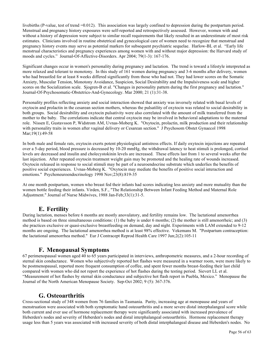livebirths (P-value, test of trend =0.012). This association was largely confined to depression during the postpartum period. Menstrual and pregnancy history exposures were self-reported and retrospectively assessed. However, women with and without a history of depression were subject to similar recall requirements that likely resulted in an underestimate of most risk estimates. Clinicians involved in routine obstetrical and gynecological care of women need to recognize that menstrual and pregnancy history events may serve as potential markers for subsequent psychiatric sequelae. Harlow-BL et al. "Early life menstrual characteristics and pregnancy experiences among women with and without major depression: the Harvard study of moods and cycles." Journal-Of-Affective-Disorders. Apr 2004; 79(1-3): 167-176.

Significant changes occur in women's personality during pregnancy and lactation. The trend is toward a lifestyle interpreted as more relaxed and tolerant to monotony. In this study of 161 women during pregnancy and 3-6 months after delivery, women who had breastfed for at least 8 weeks differed significantly from those who had not. They had lower scores on the Somatic Anxiety, Muscular Tension, Monotony Avoidance, Suspicion, Social Desirability and the Impulsiveness scale and higher scores on the Socialization scale. Sjogren-B et al. "Changes in personality pattern during the first pregnancy and lactation." Journal-Of-Psychosomatic-Obstetrics-And-Gynecology. Mar 2000; 21 (1):31-38.

Personality profiles reflecting anxiety and social interaction showed that anxiety was inversely related with basal levels of oxytocin and prolactin in the cesarean section mothers, whereas the pulsatility of oxytocin was related to social desirability in both groups. Social desirability and oxytocin pulsativity were also correlated with the amount of milk transferred from the mother to the baby. The correlations indicate that central oxytocin may be involved in behavioral adaptations to the maternal role. Nissen E, Gustavsson P, Widstrom AM, Uvnas-Moberg K. "Oxytocin, prolactin, milk production and their relationship with personality traits in women after vaginal delivery or Cesarean section." J Psychosom Obstet Gynaecol 1998 Mar;19(1):49-58

In both male and female rats, oxytocin exerts potent physiological antistress effects. If daily oxytocin injections are repeated over a 5-day period, blood pressure is decreased by 10-20 mmHg, the withdrawal latency to heat stimuli is prolonged, cortisol levels are decreased and insulin and cholecystokinin levels are increased. These effects last from 1 to several weeks after the last injection. After repeated oxytocin treatment weight gain may be promoted and the healing rate of wounds increased. Oxytocin released in response to social stimuli may be part of a neuroendocrine substrate which underlies the benefits of positive social experiences. Uvnas-Moberg K. "Oxytocin may mediate the benefits of positive social interaction and emotions." Psychoneuroendocrinology 1998 Nov;23(8):819-35

At one month postpartum, women who breast fed their infants had scores indicating less anxiety and more mutuality than the women bottle feeding their infants. Virden, S.F., "The Relationship Between Infant Feeding Method and Maternal Role Adjustment." Journal of Nurse Midwives, 1988 Jan-Feb;33(1):31-5.

# **E. Fertility**

During lactation, menses before 6 months are mostly anovulatory, and fertility remains low. The lactational amenorrhea method is based on three simultaneous conditions: (1) the baby is under 6 months; (2) the mother is still amenorrheic; and (3) she practices exclusive or quasi-exclusive breastfeeding on demand, day and night. Experiments with LAM extended to 9-12 months are ongoing. The lactational amenorrhea method is at least 98% effective. Vekemans M. "Postpartum contraception: the lactational amenorrhea method." Eur J Contracept Reprod Health Care 1997 Jun;2(2):105-11

# **F. Menopausal Symptoms**

67 perimenopausal women aged 40 to 65 years participated in interviews, anthropometric measures, and a 2-hour recording of sternal skin conductance. Women who subjectively reported hot flashes were measured in a warmer room, were more likely to be postmenopausal, reported more frequent consumption of coffee, and spent fewer months breast-feeding their last child compared with women who did not report the experience of hot flashes during the testing period. Sievert LL et al. "Measurement of hot flashes by sternal skin conductance and subjective hot flash report in Puebla, Mexico." Menopause the Journal of the North American Menopause Society. Sep-Oct 2002; 9 (5): 367-376.

# **G. Osteoarthritis**

Cross-sectional study of 348 women from 76 families in Tasmania. Parity, increasing age at menopause and years of menstruation were associated with both symptomatic hand osteoarthritis and a more severe distal interphalangeal score while both current and ever use of hormone replacement therapy were significantly associated with increased prevalence of Heberden's nodes and severity of Heberden's nodes and distal interphalangeal osteoarthritis. Hormone replacement therapy usage less than 5 years was associated with increased severity of both distal interphalangeal disease and Heberden's nodes. No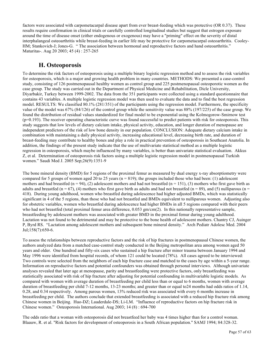factors were associated with carpometacarpal disease apart from ever breast-feeding which was protective (OR 0.37). These results require confirmation in clinical trials or carefully controlled longitudinal studies but suggest that estrogen exposure around the time of disease onset (either endogenous or exogenous) may have a "priming" effect on the severity of distal interphalangeal osteoarthritis while breast-feeding in earlier life may be protective for carpometacarpal osteoarthritis. Cooley-HM; Stankovich-J; Jones-G. " The association between hormonal and reproductive factors and hand osteoarthritis." Maturitas-. Aug 20 2003; 45 (4) : 257-265

# **H. Osteoporosis**

To determine the risk factors of osteoporosis using a multiple binary logistic regression method and to assess the risk variables for osteoporosis, which is a major and growing health problem in many countries. METHODS: We presented a case-control study, consisting of 126 postmenopausal healthy women as control group and 225 postmenopausal osteoporotic women as the case group. The study was carried out in the Department of Physical Medicine and Rehabilitation, Dicle University, Diyarbakir, Turkey between 1999-2002. The data from the 351 participants were collected using a standard questionnaire that contains 43 variables. A multiple logistic regression model was then used to evaluate the data and to find the best regression model. RESULTS: We classified 80.1% (281/351) of the participants using the regression model. Furthermore, the specificity value of the model was 67% (84/126) of the control group while the sensitivity value was 88% (197/225) of the case group. We found the distribution of residual values standardized for final model to be exponential using the Kolmogorow-Smirnow test (p=0.193). The receiver operating characteristic curve was found successful to predict patients with risk for osteoporosis. This study suggests that low levels of dietary calcium intake, physical activity, education, and longer duration of menopause are independent predictors of the risk of low bone density in our population. CONCLUSION: Adequate dietary calcium intake in combination with maintaining a daily physical activity, increasing educational level, decreasing birth rate, and duration of breast-feeding may contribute to healthy bones and play a role in practical prevention of osteoporosis in Southeast Anatolia. In addition, the findings of the present study indicate that the use of multivariate statistical method as a multiple logistic regression in osteoporosis, which maybe influenced by many variables, is better than univariate statistical evaluation. Akkus Z, et al. Determination of osteoporosis risk factors using a multiple logistic regression model in postmenopausal Turkish women." Saudi Med J. 2005 Sep;26(9):1351-9

The bone mineral density (BMD) for 5 regions of the proximal femur as measured by dual energy x-ray absorptiometry were compared for 5 groups of women aged 20 to 25 years ( $n = 819$ ); the groups included those who had been: (1) adolescent mothers and had breastfed (n = 94), (2) adolescent mothers and had not breastfed (n = 151), (3) mothers who first gave birth as adults and breastfed (n = 67), (4) mothers who first gave birth as adults and had not breastfed (n = 89), and (5) nulliparous (n = 418). During young adulthood, women who breastfed during adolescence had higher adjusted BMDs, which was statistically significant in 4 of the 5 regions, than those who had not breastfed and BMDs equivalent to nulliparous women. Adjusting also for obstetric variables, women who breastfed during adolescence had higher BMDs in all 5 regions compared with their peers who had not breastfed (total proximal femur area difference, 0.053 gm/cm(2). In this nationally representative sample, breastfeeding by adolescent mothers was associated with greater BMD in the proximal femur during young adulthood. Lactation was not found to be detrimental and may be protective to the bone health of adolescent mothers. Chantry CJ, Auinger P, Byrd RS. "Lactation among adolescent mothers and subsequent bone mineral density." Arch Pediatr Adolesc Med. 2004 Jul;158(7):650-6.

To assess the relationships between reproductive factors and the risk of hip fractures in postmenopausal Chinese women, the authors analyzed data from a matched case-control study conducted in the Beijing metropolitan area among women aged 50 years and older. One hundred and fifty-six cases who sustained a hip fracture after minor trauma between January 1994 and May 1996 were identified from hospital records, of whom 121 could be located (78%). All cases agreed to be interviewed: Two controls were selected from the neighbors of each hip fracture case and matched to the cases by age within a 5-year range. Information on reproductive factors and potential confounders was obtained through personal interviews. Although univariate analyses revealed that later age at menopause, parity and breastfeeding were protective factors, only breastfeeding was statistically associated with risk of hip fracture after adjusting for potential confounding in multivariable logistic models. As compared with women with average duration of breastfeeding per child less than or equal to 6 months, women with average duration of breastfeeding per child 7-12 months, 13-23 months; and greater than or equal to24 months had odds ratios of 1.14, 0.28, and 0.34 respectively. Among parous women, 13% reduced risk was associated with every 6 months increase in breastfeeding per child. The authors conclude that extended breastfeeding is associated with a reduced hip fracture risk among Chinese women in Beijing. Huo-DZ; Lauderdale-DS; Li-LM. "Influence of reproductive factors on hip fracture risk in Chinese women." Osteoporosis International. Aug 2003; 14 (8) : 694-700

The odds ratio that a woman with osteoporosis did not breastfeed her baby was 4 times higher than for a control woman. Blaauw, R. et al. "Risk factors for development of osteoporosis in a South African population." SAMJ 1994; 84:328-32.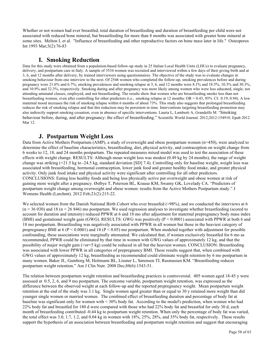Whether or not women had ever breastfed, total duration of breastfeeding and duration of breastfeeding per child were not associated with reduced bone mineral, but breastfeeding for more than 8 months was associated with greater bone mineral at some sites. Melton L et al. "Influence of breastfeeding and other reproductive factors on bone mass later in life." Osteoporos Int 1993 Mar;3(2):76-83

# **I. Smoking Reduction**

Data for this study were obtained from a population-based follow-up study in 25 Italian Local Health Units (LHUs) to evaluate pregnancy, delivery, and postpartum care in Italy. A sample of 3534 women was recruited and interviewed within a few days of their giving birth and at 3, 6, and 12 months after delivery, by trained interviewers using questionnaires. The objective of the study was to evaluate changes in smoking behaviour from one interview to the next. Of 2546 women who completed the follow-up, smoking prevalences before and during pregnancy were 21.6% and 6.7%; smoking prevalences and smoking relapse at 3, 6, and 12 months were 8.1% and 18.5%, 10.3% and 30.3%, and 10.9% and 32.3%, respectively. Smoking during and after pregnancy was more likely among women who were less educated, single, not attending antenatal classes, employed, and not breastfeeding. The results show that women who are breastfeeding smoke less than not breastfeeding women, even after controlling for other predictors (i.e., smoking relapse at 12 months: OR =  $0.43$ , 95% CI:  $0.19$ ,  $0.94$ ). A low maternal mood increases the risk of smoking relapse within 6 months of about 73%. This study also suggests that prolonged breastfeeding reduces the risk of smoking relapse and that this reduction may be persistent in time. Interventions targeting breastfeeding promotion may also indirectly support smoking cessation, even in absence of specific interventions. Lauria L, Lamberti A, Grandolfo M. "Smoking behaviour before, during, and after pregnancy: the effect of breastfeeding." Scientific World Journal. 2012;2012:154910. Epub 2012 Mar 12.

# **J. Postpartum Weight Loss**

Data from Active Mothers Postpartum (AMP), a study of overweight and obese postpartum women (n=450), were analyzed to determine the effect of baseline characteristics, breastfeeding, diet, physical activity, and contraception on weight change from 6 weeks to 12, 18, and 24 months postpartum. The repeated measures mixed model was used to test the association of these effects with weight change. RESULTS: Although mean weight loss was modest (0.49 kg by 24 months), the range of weight change was striking (+21.5 kg to -24.5 kg, standard deviation [SD] 7.4). Controlling only for baseline weight, weight loss was associated with breastfeeding, hormonal contraception, lower junk food and greater healthy food intake, and greater physical activity. Only junk food intake and physical activity were significant after controlling for all other predictors. CONCLUSIONS: Eating less healthy foods and being less physically active put overweight and obese women at risk of gaining more weight after a pregnancy. Østbye T, Peterson BL, Krause KM, Swamy GK, Lovelady CA. "Predictors of postpartum weight change among overweight and obese women: results from the Active Mothers Postpartum study." J Womens Health (Larchmt). 2012 Feb;21(2):215-22.

We selected women from the Danish National Birth Cohort who ever breastfed (>98%), and we conducted the interviews at 6  $(n = 36 030)$  and 18 ( $n = 26 846$ ) mo postpartum. We used regression analyses to investigate whether breastfeeding (scored to account for duration and intensity) reduced PPWR at 6 and 18 mo after adjustment for maternal prepregnancy body mass index (BMI) and gestational weight gain (GWG). RESULTS: GWG was positively (P < 0.0001) associated with PPWR at both 6 and 18 mo postpartum. Breastfeeding was negatively associated with PPWR in all women but those in the heaviest category of prepregnancy BMI at  $6 (P < 0.0001)$  and 18 ( $P < 0.05$ ) mo postpartum. When modeled together with adjustment for possible confounding, these associations were marginally attenuated. We calculated that, if women exclusively breastfed for 6 mo as recommended, PPWR could be eliminated by that time in women with GWG values of approximately 12 kg, and that the possibility of major weight gain (>or=5 kg) could be reduced in all but the heaviest women. CONCLUSION: Breastfeeding was associated with lower PPWR in all categories of prepregnancy BMI. These results suggest that, when combined with GWG values of approximately 12 kg, breastfeeding as recommended could eliminate weight retention by 6 mo postpartum in many women. Baker JL, Gamborg M, Heitmann BL, Lissner L, Sørensen TI, Rasmussen KM. "Breastfeeding reduces postpartum weight retention." Am J Clin Nutr. 2008 Dec;88(6):1543-51.

The relation between postpartum weight retention and breastfeeding practices is controversial. 405 women aged 18-45 y were assessed at 0.5, 2, 6, and 9 mo postpartum. The outcome variable, postpartum weight retention, was expressed as the difference between the observed weight at each follow-up and the reported prepregnancy weight. Mean postpartum weight retention at the end of the study was 3.1 kg. Single women aged greater than or equal to 30 y retained more weight than did younger single women or married women. The combined effect of breastfeeding duration and percentage of body fat at baseline was significant only for women with < 30% body fat. According to the model's prediction, when women who had 22% body fat and breastfed for 180 d were compared with those who had 22% body fat and breastfed for only 30 d, each month of breastfeeding contributed -0.44 kg to postpartum weight retention. When only the percentage of body fat was varied, the total effect was 3.0, 1.7, 1.2, and 0.04 kg in women with 18%, 25%, 28%, and 35% body fat, respectively. These results support the hypothesis of an association between breastfeeding and postpartum weight retention and suggest that encouraging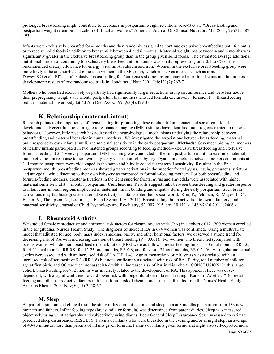prolonged breastfeeding might contribute to decreases in postpartum weight retention. Kac-G et al. "Breastfeeding and postpartum weight retention in a cohort of Brazilian women." American-Journal-Of-Clinical-Nutrition. Mar 2004; 79 (3) : 487- 493

Infants were exclusively breastfed for 4 months and then randomly assigned to continue exclusive breastfeeding until 6 months or to receive solid foods in addition to breast milk between 4 and 6 months. Maternal weight loss between 4 and 6 months was significantly greater in the exclusive breastfeeding group than in the group given solid foods. The estimated average additional nutritional burden of continuing to exclusively breastfeed until 6 months was small, representing only 0.1 to 6% of the recommended dietary allowance for energy, vitamin A, calcium and iron. Women in the exclusive breastfeeding group were more likely to be amenorrheic at 6 mo than women in the SF group, which conserves nutrients such as iron. Dewey KG et al. Effects of exclusive breastfeeding for four versus six months on maternal nutritional status and infant motor development: results of two randomized trials in Honduras. J Nutr 2001 Feb;131(2):262-7

Mothers who breastfed exclusively or partially had significantly larger reductions in hip circumference and were less above their prepregnancy weights at 1 month postpartum than mothers who fed formula exclusively. Kramer, F., "Breastfeeding reduces maternal lower body fat." J Am Diet Assoc 1993;93(4):429-33

## **K. Relationship (maternal-infant)**

Research points to the importance of breastfeeding for promoting close mother–infant contact and social-emotional development. Recent functional magnetic resonance imaging (fMRI) studies have identified brain regions related to maternal behaviors. However, little research has addressed the neurobiological mechanisms underlying the relationship between breastfeeding and maternal behavior in human mothers. We investigated the associations between breastfeeding, maternal brain response to own infant stimuli, and maternal sensitivity in the early postpartum. **Methods:** Seventeen biological mothers of healthy infants participated in two matched groups according to feeding method – exclusive breastfeeding and exclusive formula-feeding at 2–4 weeks postpartum. fMRI scanning was conducted in the first postpartum month to examine maternal brain activation in response to her own baby's cry versus control baby-cry. Dyadic interactions between mothers and infants at 3–4 months postpartum were videotaped in the home and blindly coded for maternal sensitivity. **Results:** In the first postpartum month, breastfeeding mothers showed greater activations in the superior frontal gyrus, insula, precuneus, striatum, and amygdala while listening to their own baby-cry as compared to formula-feeding mothers. For both breastfeeding and formula-feeding mothers, greater activations in the right superior frontal gyrus and amygdala were associated with higher maternal sensitivity at 3–4 months postpartum. **Conclusions:** Results suggest links between breastfeeding and greater response to infant cues in brain regions implicated in maternal–infant bonding and empathy during the early postpartum. Such brain activations may facilitate greater maternal sensitivity as infants enter their social world. Kim, P., Feldman, R., Mayes, L. C., Eicher, V., Thompson, N., Leckman, J. F. and Swain, J. E. (2011), Breastfeeding, brain activation to own infant cry, and maternal sensitivity. Journal of Child Psychology and Psychiatry, 52: 907–915. doi: 10.1111/j.1469-7610.2011.02406.x

#### **L. Rheumatoid Arthritis**

We studied female reproductive and hormonal risk factors for rheumatoid arthritis (RA) in a cohort of 121,700 women enrolled in the longitudinal Nurses' Health Study. The diagnosis of incident RA in 674 women was confirmed. Using a multivariate model that adjusted for age, body mass index, smoking, parity, and other hormonal factors, we observed a strong trend for decreasing risk of RA with increasing duration of breast-feeding  $(P = 0.001)$ . For women who breast-fed (compared with parous women who did not breast-feed), the risk ratios (RRs) were as follows: breast-feeding for  $\leq$  or  $=$ 3 total months, RR 1.0; for 4-11 total months, RR 0.9; for 12-23 total months, RR 0.8; and for  $>$  or =24 total months, RR 0.5. Very irregular menstrual cycles were associated with an increased risk of RA (RR 1.4). Age at menarche  $\leq$  or =10 years was associated with an increased risk of seropositive RA (RR 1.6) but not significantly associated with risk of RA. Parity, total number of children, age at first birth, and OC use were not associated with an increased risk of RA in this cohort. CONCLUSION: In this large cohort, breast-feeding for >12 months was inversely related to the development of RA. This apparent effect was dosedependent, with a significant trend toward lower risk with longer duration of breast-feeding. Karlson EW et al. "Do breastfeeding and other reproductive factors influence future risk of rheumatoid arthritis? Results from the Nurses' Health Study." Arthritis Rheum. 2004 Nov;50(11):3458-67.

#### **M. Sleep**

As part of a randomized clinical trial, the study utilized infant feeding and sleep data at 3 months postpartum from 133 new mothers and fathers. Infant feeding type (breast milk or formula) was determined from parent diaries. Sleep was measured objectively using wrist actigraphy and subjectively using diaries. Lee's General Sleep Disturbance Scale was used to estimate perceived sleep disturbance. RESULTS: Parents of infants who were breastfed in the evening and/or at night slept an average of 40-45 minutes more than parents of infants given formula. Parents of infants given formula at night also self-reported more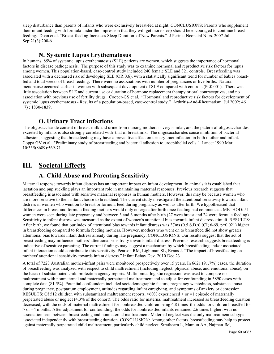sleep disturbance than parents of infants who were exclusively breast-fed at night. CONCLUSIONS: Parents who supplement their infant feeding with formula under the impression that they will get more sleep should be encouraged to continue breastfeeding. Doan et al. "Breast-feeding Increases Sleep Duration of New Parents." J Perinat Neonatal Nurs. 2007 Jul-Sep;21(3):200-6

# **N. Systemic Lupus Erythematosus**

In humans, 85% of systemic lupus erythematosus (SLE) patients are women, which suggests the importance of hormonal factors in disease pathogenesis. The purpose of this study was to examine hormonal and reproductive risk factors for lupus among women. This population-based, case-control study included 240 female SLE and 321 controls. Breastfeeding was associated with a decreased risk of developing SLE (OR 0.6), with a statistically significant trend for number of babies breastfed and total weeks of breast-feeding. There were no associations with number of pregnancies or live births. Natural menopause occurred earlier in women with subsequent development of SLE compared with controls (P<0.001). There was little association between SLE and current use or duration of hormone replacement therapy or oral contraceptives, and no association with previous use of fertility drugs. Cooper-GS et al. "Hormonal and reproductive risk factors for development of systemic lupus erythematosus - Results of a population-based, case-control study." Arthritis-And-Rheumatism. Jul 2002; 46 (7) : 1830-1839.

# **O. Urinary Tract Infections**

The oligosaccharide content of breast-milk and urine from nursing mothers is very similar, and the pattern of oligosaccharides excreted by infants is also strongly correlated with that of breastmilk. The oligosaccharides cause inhibition of bacterial adhesion, suggesting that breastfeeding may have a preventive effect on urinary tract infection in both mother and infant. Coppa GV et al. "Preliminary study of breastfeeding and bacterial adhesion to uroepithelial cells." Lancet 1990 Mar 10;335(8689):569-71

# **III. Societal Effects**

# **A. Child Abuse and Parenting Sensitivity**

Maternal response towards infant distress has an important impact on infant development. In animals it is established that lactation and pup suckling plays an important role in maintaining maternal responses. Previous research suggests that breastfeeding is associated with sensitive maternal responses in human mothers. However, this may be because women who are more sensitive to their infant choose to breastfeed. The current study investigated the attentional sensitivity towards infant distress in women who went on to breast or formula feed during pregnancy as well as after birth. We hypothesised that differences in breast and formula feeding mothers would only emerge after birth once feeding had commenced. METHOD: 51 women were seen during late pregnancy and between 3 and 6 months after birth (27 were breast and 24 were formula feeding). Sensitivity to infant distress was measured as the extent of women's attentional bias towards infant distress stimuli. RESULTS: After birth, we found that our index of attentional bias towards infant distress was 37ms (0.5 S.D.s) (CI; 6-69, p=0.021) higher in breastfeeding compared to formula feeding mothers. However, mothers who went on to breastfeed did not show greater attentional bias towards infant distress already during late pregnancy. CONCLUSIONS: Our results suggest that the act of breastfeeding may influence mothers' attentional sensitivity towards infant distress. Previous research suggests breastfeeding is indicative of sensitive parenting. The current findings may suggest a mechanism by which breastfeeding and/or associated infant interaction could contribute to this sensitivity. Pearson RM, Lightman SL, Evans J. "The impact of breastfeeding on mothers' attentional sensitivity towards infant distress." Infant Behav Dev. 2010 Dec 23

A total of 7223 Australian mother-infant pairs were monitored prospectively over 15 years. In 6621 (91.7%) cases, the duration of breastfeeding was analyzed with respect to child maltreatment (including neglect, physical abuse, and emotional abuse), on the basis of substantiated child protection agency reports. Multinomial logistic regression was used to compare no maltreatment with nonmaternal and maternally perpetrated maltreatment and to adjust for confounding in 5890 cases with complete data (81.5%). Potential confounders included sociodemographic factors, pregnancy wantedness, substance abuse during pregnancy, postpartum employment, attitudes regarding infant caregiving, and symptoms of anxiety or depression. RESULTS: Of 512 children with substantiated maltreatment reports, >60% experienced > or =1 episode of maternally perpetrated abuse or neglect (4.3% of the cohort). The odds ratio for maternal maltreatment increased as breastfeeding duration decreased, with the odds of maternal maltreatment for nonbreastfed children being 4.8 times the odds for children breastfed for > or =4 months. After adjustment for confounding, the odds for nonbreastfed infants remained 2.6 times higher, with no association seen between breastfeeding and nonmaternal maltreatment. Maternal neglect was the only maltreatment subtype associated independently with breastfeeding duration. CONCLUSION: Among other factors, breastfeeding may help to protect against maternally perpetrated child maltreatment, particularly child neglect. Strathearn L, Mamun AA, Najman JM,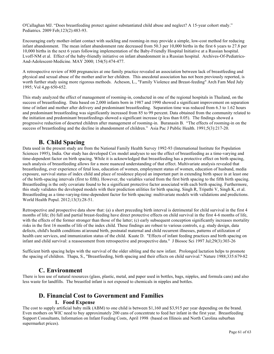O'Callaghan MJ. "Does breastfeeding protect against substantiated child abuse and neglect? A 15-year cohort study." Pediatrics. 2009 Feb;123(2):483-93.

Encouraging early mother-infant contact with suckling and rooming-in may provide a simple, low-cost method for reducing infant abandonment. The mean infant abandonment rate decreased from 50.3 per 10,000 births in the first 6 years to 27.8 per 10,000 births in the next 6 years following implementation of the Baby-Friendly Hospital Initiative at a Russian hospital. Lvoff-NM et al. Effect of the baby-friendly initiative on infant abandonment in a Russian hospital. Archives-Of-Pediatrics-And-Adolescent-Medicine. MAY 2000; 154(5):474-477.

A retrospective review of 800 pregnancies at one family practice revealed an association between lack of breastfeeding and physical and sexual abuse of the mother and/or her children. This anecdotal association has not been previously reported, is worth further study using more rigorous methods. Acheson, L., "Family Violence and Breast-feeding" Arch Fam Med July 1995; Vol 4,pp 650-652.

This study analyzed the effect of management of rooming-in, conducted in one of the regional hospitals in Thailand, on the success of breastfeeding. Data based on 2,000 infants born in 1987 and 1990 showed a significant improvement on separation time of infant and mother after delivery and predominant breastfeeding. Separation time was reduced from 6.3 to 1.62 hours and predominant breastfeeding was significantly increased from 85 to 99 percent. Data obtained from the community related to the initiation and predominant breastfeedings showed a significant increase (p less than 0.05). The findings showed a progressive reduction of deserted children after management of rooming-in. Buranasin B. "The effects of rooming-in on the success of breastfeeding and the decline in abandonment of children." Asia Pac J Public Health. 1991;5(3):217-20.

# **B. Child Spacing**

Data used in the present study are from the National Family Health Survey 1992-93 (International Institute for Population Sciences 1995), India. Our study has developed Cox model analyses to see the effect of breastfeeding as a time-varying and time-dependent factor on birth spacing. While it is acknowledged that breastfeeding has a protective effect on birth spacing, such analysis of breastfeeding allows for a more nuanced understanding of that effect. Multivariate analysis revealed that breastfeeding, ever experience of fetal loss, education of women, employment status of women, education of husband, media exposure, survival status of index child and place of residence played an important part in extending birth space in at least one of the birth-spacing intervals (first to fifth). However, the variables varied from the first birth spacing to the fifth birth spacing. Breastfeeding is the only covariate found to be a significant protective factor associated with each birth spacing. Furthermore, this study validates the developed models with their prediction utilities for birth spacing. Singh R, Tripathi V, Singh K, et al. Breastfeeding as a time-varying-time-dependent factor for birth spacing: multivariate models with validations and predictions. World Health Popul. 2012;13(3):28-51.

Retrospective and prospective data show that: (a) a short preceding birth interval is detrimental for child survival in the first 4 months of life; (b) full and partial breast-feeding have direct protective effects on child survival in the first 4-6 months of life, with the effects of the former stronger than those of the latter; (c) early subsequent conception significantly increases mortality risks in the first 16 months of life of the index child. These findings are robust to various controls, e.g. study design, data defects, child's health conditions at/around birth, postnatal maternal and child recurrent illnesses, patterns of utilization of health care services, and immunization status of the child. Kuate D. "Effects of infant feeding practices and birth spacing on infant and child survival: a reassessment from retrospective and prospective data." J Biosoc Sci 1997 Jul;29(3):303-26

Sufficient birth spacing helps with the survival of the older sibling and the new infant. Prolonged lactation helps to promote the spacing of children. Thapa, S., "Breastfeeding, birth spacing and their effects on child survival." Nature 1988;335:679-82

# **C. Environment**

There is less use of natural resources (glass, plastic, metal, and paper used in bottles, bags, nipples, and formula cans) and also less waste for landfills. The breastfed infant is not exposed to chemicals in nipples and bottles.

# **D. Financial Cost to Government and Families**

## **1. Food Expense**

The cost to supply artificial baby milk (ABM) to one child is between \$1,160 and \$3,915 per year depending on the brand. Even mothers on WIC need to buy approximately 200 cans of concentrate to feed her infant in the first year. Breastfeeding Support Consultants, Information on Infant Feeding Costs, April 1998 (based on Illinois and North Carolina suburban supermarket prices).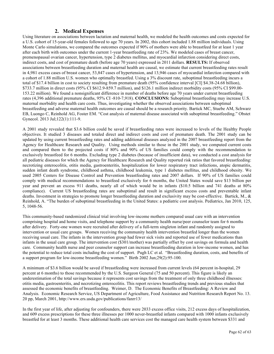#### **2. Medical Expenses**

Using literature on associations between lactation and maternal health, we modeled the health outcomes and costs expected for a U.S. cohort of 15-year-old females followed to age 70 years. In 2002, this cohort included 1.88 million individuals. Using Monte Carlo simulations, we compared the outcomes expected if 90% of mothers were able to breastfeed for at least 1 year after each birth with outcomes under the current 1-year breastfeeding rate of 23%. We modeled cases of breast cancer, premenopausal ovarian cancer, hypertension, type 2 diabetes mellitus, and myocardial infarction considering direct costs, indirect costs, and cost of premature death (before age 70 years) expressed in 2011 dollars. **RESULTS:** If observed associations between breastfeeding duration and maternal health are causal, we estimate that current breastfeeding rates result in 4,981 excess cases of breast cancer, 53,847 cases of hypertension, and 13,946 cases of myocardial infarction compared with a cohort of 1.88 million U.S. women who optimally breastfed. Using a 3% discount rate, suboptimal breastfeeding incurs a total of \$17.4 billion in cost to society resulting from premature death (95% confidence interval [CI] \$4.38-24.68 billion), \$733.7 million in direct costs (95% CI \$612.9-859.7 million), and \$126.1 million indirect morbidity costs (95% CI \$99.00- 153.22 million). We found a nonsignificant difference in number of deaths before age 70 years under current breastfeeding rates (4,396 additional premature deaths, 95% CI -810-7,918). **CONCLUSIONS:** Suboptimal breastfeeding may increase U.S. maternal morbidity and health care costs. Thus, investigating whether the observed associations between suboptimal breastfeeding and adverse maternal health outcomes are causal should be a research priority. Bartick MC, Stuebe AM, Schwarz EB, Luongo C, Reinhold AG, Foster EM. "Cost analysis of maternal disease associated with suboptimal breastfeeding." Obstet Gynecol. 2013 Jul;122(1):111-9.

A 2001 study revealed that \$3.6 billion could be saved if breastfeeding rates were increased to levels of the Healthy People objectives. It studied 3 diseases and totaled direct and indirect costs and cost of premature death. The 2001 study can be updated by using current breastfeeding rates and adding additional diseases analyzed in the 2007 breastfeeding report from the Agency for Healthcare Research and Quality. Using methods similar to those in the 2001 study, we computed current costs and compared them to the projected costs if 80% and 90% of US families could comply with the recommendation to exclusively breastfeed for 6 months. Excluding type 2 diabetes (because of insufficient data), we conducted a cost analysis for all pediatric diseases for which the Agency for Healthcare Research and Quality reported risk ratios that favored breastfeeding: necrotizing enterocolitis, otitis media, gastroenteritis, hospitalization for lower respiratory tract infections, atopic dermatitis, sudden infant death syndrome, childhood asthma, childhood leukemia, type 1 diabetes mellitus, and childhood obesity. We used 2005 Centers for Disease Control and Prevention breastfeeding rates and 2007 dollars. If 90% of US families could comply with medical recommendations to breastfeed exclusively for 6 months, the United States would save \$13 billion per year and prevent an excess 911 deaths, nearly all of which would be in infants (\$10.5 billion and 741 deaths at 80% compliance). Current US breastfeeding rates are suboptimal and result in significant excess costs and preventable infant deaths. Investment in strategies to promote longer breastfeeding duration and exclusivity may be cost-effective. Bartick, M., & Reinhold, A. "The burden of suboptimal breastfeeding in the United States: a pediatric cost analysis. Pediatrics, Jan 2010, 125, 5, 1048-56.

This community-based randomized clinical trial involving low-income mothers compared usual care with an intervention comprising hospital and home visits, and telephone support by a community health nurse/peer counselor team for 6 months after delivery. Forty-one women were recruited after delivery of a full-term singleton infant and randomly assigned to intervention or usual care groups. Women receiving the community health intervention breastfed longer than the women receiving usual care. The infants in the intervention group had fewer sick visits and reported use of fewer medications than infants in the usual care group. The intervention cost (\$301/mother) was partially offset by cost savings on formula and health care. Community health nurse and peer counselor support can increase breastfeeding duration in low-income women, and has the potential to reduce total costs including the cost of support. Pugh LC et al. "Breastfeeding duration, costs, and benefits of a support program for low-income breastfeeding women." Birth 2002 Jun;29(2):95-100.

A minimum of \$3.6 billion would be saved if breastfeeding were increased from current levels (64 percent in-hospital, 29 percent at 6 months) to those recommended by the U.S. Surgeon General (75 and 50 percent). This figure is likely an underestimation of the total savings because it represents cost savings from the treatment of only three childhood illnesses: otitis media, gastroenteritis, and necrotizing enterocolitis. This report reviews breastfeeding trends and previous studies that assessed the economic benefits of breastfeeding. Weimer, D. The Economic Benefits of Breastfeeding: A Review and Analysis. Economic Research Service, US Department of Agriculture, Food Assistance and Nutrition Research Report No. 13. 20 pp, March 2001, http://www.ers.usda.gov/publications/fanrr13/

In the first year of life, after adjusting for confounders, there were 2033 excess office visits, 212 excess days of hospitalization, and 609 excess prescriptions for these three illnesses per 1000 never-breastfed infants compared with 1000 infants exclusively breastfed for at least 3 months. These additional health care services cost the managed care health system between \$331 and